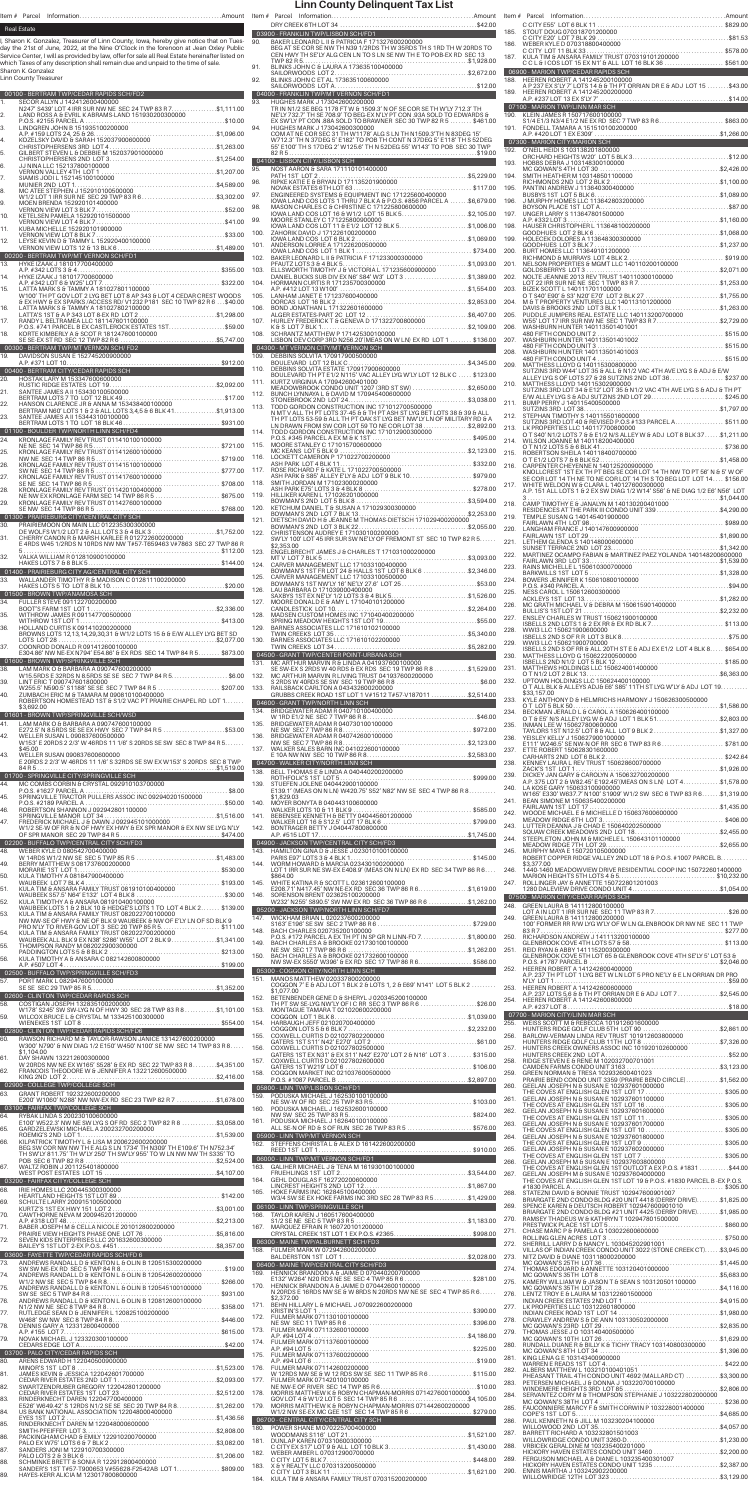|                   | <b>Real Estate</b><br>Sharon K. Gonzalez, Treasurer of Linn County, Iowa, hereby give notice that on Tues-<br>day the 21st of June, 2022, at the Nine O'Clock in the forenoon at Jean Oxley Public<br>Service Center, I will as provided by law, offer for sale all Real Estate hereinafter listed on<br>which Taxes of any description shall remain due and unpaid to the time of sale. | 90.          | BAKER LEONARD LII & PATRICIA F 171327600200000<br>BEG AT SE COR SE NIM THI NOR 1/0 DR 3 THING TO 200000                                                                                                                                                                                                                    |  |
|-------------------|------------------------------------------------------------------------------------------------------------------------------------------------------------------------------------------------------------------------------------------------------------------------------------------------------------------------------------------------------------------------------------------|--------------|----------------------------------------------------------------------------------------------------------------------------------------------------------------------------------------------------------------------------------------------------------------------------------------------------------------------------|--|
| 1.                | Sharon K. Gonzalez<br>Linn County Treasurer<br>00100 - BERTRAM TWP/CEDAR RAPIDS SCH/FD2<br>SECOR ALLYN J 142412600400000                                                                                                                                                                                                                                                                 | 93.          | 90.<br>BAKER LEONARD LI & PATRICIA F 1713276002000000<br>BEG AT SE COR SE NW TH N39 1/2RDS TH V 35RDS TH S 1RD TH W 20RDS TO<br>CEN HWY TH SE'LY ALG CEN LN TO S LN SE NW TH E TO POB-EX RD SEC 13<br>TWP 82 R &<br>HUGHES MARK J 173042600200000                                                                          |  |
| $\overline{2}$ .  | T247' S439' LOT 4 IRR SUR NW NE SEC 24 TWP 83 R 7\$1,111.00<br>LAND ROSS A & EVRIL K ABRAMS-LAND 151930200300000<br>DAOC ROSE DI EVRIL K ABRAMS-LAND 151930200300000                                                                                                                                                                                                                     | 94.          | TR IN N1/2 SE BEG 1178 FT W & 1509.3' N OF SE COR SE TH W'LY 712.3' TH<br>NE'LY 732.7' TH SE 708.9' TO BEG-EX N'LY PT CON .93A SOLD TO EDWARDS &<br>EX SW'LY PT CON .88A SOLD TO BRAWNER SEC 30 TWP 82 R 5  \$461.00<br>HUGHES MARK J 173042600300000                                                                      |  |
|                   |                                                                                                                                                                                                                                                                                                                                                                                          |              | TOM AT NE COR SEC 31 TH W1178' ALG S LN TH N1509.3'TH N 83DEG 15'<br>W712.3' TH N 37DEG 5' E182' TO POB TH CONT N 37DEG 5' E118' TH S 52DEG<br>55' E100' TH S 17DEG 2' W125.6' TH N 52DEG 55' W143' TO POB SEC 30 TWP<br>82 R 5                                                                                            |  |
|                   |                                                                                                                                                                                                                                                                                                                                                                                          | 95.          |                                                                                                                                                                                                                                                                                                                            |  |
|                   |                                                                                                                                                                                                                                                                                                                                                                                          | 97.<br>98.   |                                                                                                                                                                                                                                                                                                                            |  |
|                   |                                                                                                                                                                                                                                                                                                                                                                                          |              |                                                                                                                                                                                                                                                                                                                            |  |
|                   |                                                                                                                                                                                                                                                                                                                                                                                          |              |                                                                                                                                                                                                                                                                                                                            |  |
|                   |                                                                                                                                                                                                                                                                                                                                                                                          |              |                                                                                                                                                                                                                                                                                                                            |  |
| 16.               |                                                                                                                                                                                                                                                                                                                                                                                          |              |                                                                                                                                                                                                                                                                                                                            |  |
| 17.<br>18.        | LATIA MARK S'B TAMMY A 1810/278011000000<br>W100' TH PT GOV LOT 2 LYG BET LOT 8 AP 343 & LOT 4 CEDAR CREST WOODS<br>SEX HWY & EX SPARKS /ACCESS RD/ V1232 P181 SEC 10 TWP 82 R 6 \$40.00<br>LATTAY MARK S & TAMMY A 1810/278021000                                                                                                                                                       |              |                                                                                                                                                                                                                                                                                                                            |  |
| 19.               |                                                                                                                                                                                                                                                                                                                                                                                          |              |                                                                                                                                                                                                                                                                                                                            |  |
| 21.               |                                                                                                                                                                                                                                                                                                                                                                                          | 111.         | KURTZ VIRGINIA A 170942600401000<br>KURTZ VIRGINIA A 170942600401000<br>MEADOWBROOK CONDO UNIT 1207 (3RD ST SW) \$2,650.00                                                                                                                                                                                                 |  |
| 22.<br>23.        |                                                                                                                                                                                                                                                                                                                                                                                          | 112.         | BUNCH LYNNAYA L & DAVID M 170945400600000<br>113. TODD GORDON CONSTRUCTION INC 171012700500000<br>N MT V ALL TH PT LOTS 37-45 & & TH PT ASH ST LYG BET LOTS 38 & 39 & ALL                                                                                                                                                  |  |
| 24.               | <b>EXAMPLE JAMES A II 153443100100000</b><br><b>EXAMPLE JAMES A II 153443100100000</b><br><b>EXAMPLE JAMES A II 153443100100000</b><br><b>EXAMPLE TRANELY REVITABLY RELATED 424.</b><br><b>EXAMPLE TRANELY REVITAIST 011410100100000</b>                                                                                                                                                 |              | TH PT LOTS 53-59 & ALL TH PT OAK ST LYG BET NW'LY LN OF MILITARY RD & A<br>LN DRAWN FROM SW COR LOT 59 TO NE COR LOT 38 \$2,892.00                                                                                                                                                                                         |  |
| 25.<br>26.        |                                                                                                                                                                                                                                                                                                                                                                                          |              |                                                                                                                                                                                                                                                                                                                            |  |
| 27.<br>28.        |                                                                                                                                                                                                                                                                                                                                                                                          | 119.         | SMITH JORDAN M 171023000200000                                                                                                                                                                                                                                                                                             |  |
| 29.               |                                                                                                                                                                                                                                                                                                                                                                                          | 120.<br>121. |                                                                                                                                                                                                                                                                                                                            |  |
| 31.               |                                                                                                                                                                                                                                                                                                                                                                                          | 122.         | CHRISTENSON AUDREY E 171030100200000<br>SW'LY 100' LOT 45 IRR SUR SW NE'LY OF FREMONT ST SEC 10 TWP 82 R 5<br>\$2,353,00                                                                                                                                                                                                   |  |
| 32.               |                                                                                                                                                                                                                                                                                                                                                                                          | 124.         | 123. ENGELBRECHT JAMES J & CHARLES T 171031000200000<br>CARVER MANAGEMENT LLC 171033100400000<br>BOWMAN'S 1ST FR LOT 24 & HALLS 1ST LOT 6 BLK 6 \$2,346.00                                                                                                                                                                 |  |
| 33.               |                                                                                                                                                                                                                                                                                                                                                                                          |              | 125. CARVER MANAGEMENT LLC 171033100500000<br>BOWMAN'S 1ST NW'LY 16' NE'LY 27.6' LOT 25\$53.00                                                                                                                                                                                                                             |  |
| 34.<br>35.<br>36. |                                                                                                                                                                                                                                                                                                                                                                                          |              |                                                                                                                                                                                                                                                                                                                            |  |
| 37.               | HOLLAND CURTIS K 091410200200000<br>BROWNS LOTS 12, 13, 14, 29, 30, 31 & W1/2 LOTS 15 & & E/W ALLEY LYG BET SD<br>COONROD DONALD R 091412600100000<br>E304.86' NW NE-EX N794' E54.86' & EX RDS SEC 14 TWP 84 R 5 \$873.00                                                                                                                                                                |              |                                                                                                                                                                                                                                                                                                                            |  |
| 38.               | 01600 - BROWN TWP/SPRINGVILLE SCH                                                                                                                                                                                                                                                                                                                                                        | 132.         |                                                                                                                                                                                                                                                                                                                            |  |
| 39.<br>40.        | LINT ERIC T 090747601800000<br>W255.5' N590.5' S1188' SE SE SEC 7 TWP 84 R 5 \$207.00<br>ZUMBACH ERIC M & TAMARA M 090810100400000<br>ROBERTSON HOMESTEAD 1ST & S1/2 VAC PT PRAIRIE CHAPEL RD LOT 1                                                                                                                                                                                      |              |                                                                                                                                                                                                                                                                                                                            |  |
|                   | \$3,692.00<br>35,092.00<br>41. LAM MARK O & BARBARA A 090747600100000<br>E272.5' N 8.5RDS SE SE EX HWY SEC 7 TWP 84 R 5 \$53.00                                                                                                                                                                                                                                                          |              |                                                                                                                                                                                                                                                                                                                            |  |
| 42.<br>43.        | WELLER SUSAN L 090837600500000<br>W153' E 20RDS 2 2/3' W 46RDS 11 1/6' S 20RDS SE SW SEC 8 TWP 84 R 5<br>\$45.00<br>WELLER SUSAN 090837600600000                                                                                                                                                                                                                                         |              |                                                                                                                                                                                                                                                                                                                            |  |
| 44.               | E 20RDS 2 2/3' W 46RDS 11 1/6' S 32RDS SE SW EX W153' S 20RDS SEC 8 TWP                                                                                                                                                                                                                                                                                                                  | 139.         | STUEFEN JOLENE 040442900100000                                                                                                                                                                                                                                                                                             |  |
| 45.<br>46.        |                                                                                                                                                                                                                                                                                                                                                                                          |              | E139.1' (MEAS ON N LN) W420.75' S52' N82' NW SE SEC 4 TWP 86 R 8<br>\$1,829.03                                                                                                                                                                                                                                             |  |
| 47.               |                                                                                                                                                                                                                                                                                                                                                                                          |              | \$1,829.03<br>MALKER LOTS 10 & 11 BLK 9<br>MALKER LOTS 10 & 11 BLK 9<br>141. BEBENSEE KENNETH & BETTY 040445601200000<br>142. BONTRAGER BETTY 040447800800000<br>AP. #515 LOT 16 & 512.5' LOT 17 BLK 6                                                                                                                     |  |
|                   | OP STRALO TWP/CENTRAL CITY SCH/FD3<br>02200 - BUFFALO TWP/CENTRAL CITY SCH/FD3<br>48. WEBER KYLE D 080542700400000                                                                                                                                                                                                                                                                       |              | 144. WORM HOWARD & MARCIA 023430100200000                                                                                                                                                                                                                                                                                  |  |
| 49.<br>50.<br>51. |                                                                                                                                                                                                                                                                                                                                                                                          |              | LOT 1 IRR SUR NE SW-EX E408.9' (MEAS ON N LN) EX RD SEC 34 TWP 86 R 6<br>\$864.00<br>145. WHITE KATINA R & SCOTT L 023612600100000<br>WHITE KATINA R & SCOTT L 023612600100000<br>E208.71' N417.45' NW NE-EX RD SEC 36 TWP 86 R 6. \$1,619.00                                                                              |  |
| 52.<br>53.        | KULA TIMOTHY A & ANSARA 081910400100000<br>WAUBEEK LOTS 1 & 2 BLK 10 & HEDGE'S LOTS 1 TO LOT 4 BLK 2 \$139.00<br>KULA TIM & ANSARA FAMILY TRUST 082022700100000                                                                                                                                                                                                                          |              | 146. SORENSON BRENT 023625100200000<br>W232' N255' S890.5' SW NW EX RD SEC 36 TWP 86 R 6 \$1,262.00                                                                                                                                                                                                                        |  |
| 54.               | NW NW-SE OF HWY & NE OF BLK 9 WAUBEEK & NW OF E'LY LN OF SD BLK 9<br>PRO N'LY TO RIVER-GOV LOT 3 SEC 20 TWP 85 R 5\$111.00<br>KULA TIM & ANSARA FAMILY TRUST 082022700200000<br>WAUBEEK ALL BLK 9 EX N38' S286' W55' LOT 2 BLK 9\$1,341.00                                                                                                                                               | 148.<br>149. | BACH CHARLES 020735200100000<br>P.O.S. #172 PARCEL A EX TH PT IN SP GR N LINN-FD 7\$1,800.00                                                                                                                                                                                                                               |  |
| 55.               | THOMPSON RANDY M082022900300000<br>PADDINGTON LOTS 5 & 8 BLK 2                                                                                                                                                                                                                                                                                                                           | 150.         | BACH CHARLES A & BROOKE 021730100100000<br>BACH CHARLES A & BROOKE 021732600100000<br>NW SW-EX S550' W396' & EX RD SEC 17 TWP 86 R 6\$586.00                                                                                                                                                                               |  |
| 57.               |                                                                                                                                                                                                                                                                                                                                                                                          | 151.         | 05300 - COGGON CITY/NORTH LINN SCH<br>MANOS MATTHEW 020337800200000<br>COGGON 7' E & ADJ LOT 1 BLK 2 & LOTS 1, 2 & E69' N141' LOT 5 BLK 2<br>\$1,077,00                                                                                                                                                                    |  |
| 58.<br>59.        |                                                                                                                                                                                                                                                                                                                                                                                          | 152.         | BETENBENDER GENE D & SHERYL J 020345200100000                                                                                                                                                                                                                                                                              |  |
| 60.               | RAWSON RICHARD M & TAYLOR-RAWSON JANICE 131427600200000<br>W300' N790' & NW DIAG 1/2 E150' W450' N100' SE NW SEC 14 TWP 83 R 8                                                                                                                                                                                                                                                           |              |                                                                                                                                                                                                                                                                                                                            |  |
| 61.<br>62.        | \$1,104.00<br>DAY SHAWN 132212600300000<br>W 20RDS NW NE EX W165' S528' & EX RD SEC 22 TWP 83 R 8\$4,351.00                                                                                                                                                                                                                                                                              |              |                                                                                                                                                                                                                                                                                                                            |  |
| 63.               | E200' W1060' N288' NW NW-EX RD SEC 23 TWP 82 R 7 \$1,678.00                                                                                                                                                                                                                                                                                                                              |              | GATERS 1ST EX N31' EX S11' N42' E270' LOT 2 & N16' LOT 3 \$315.00<br>157. COXWELL CURTIS D 021027802600000<br>168. COGGON MARKET INC 021037600500000<br>168. COGGON MARKET INC 021037600500000<br>P.O.S. #1087 PARCEL B                                                                                                    |  |
| 64.               | 03100 - FAIRFAX TWP/COLLEGE SCH<br>64 - ENDAKLINDA S 200220100600000<br>RYBAK LINDA S 200230100600000<br>E100' W522.3' NW NE SW LYG S OF RD SEC 2 TWP 82 R 8 \$3,058.00                                                                                                                                                                                                                  | 160.         |                                                                                                                                                                                                                                                                                                                            |  |
| 65.<br>66.        |                                                                                                                                                                                                                                                                                                                                                                                          |              |                                                                                                                                                                                                                                                                                                                            |  |
| 67.               |                                                                                                                                                                                                                                                                                                                                                                                          |              |                                                                                                                                                                                                                                                                                                                            |  |
| 68.<br>69.        |                                                                                                                                                                                                                                                                                                                                                                                          |              |                                                                                                                                                                                                                                                                                                                            |  |
| 70.<br>71.        |                                                                                                                                                                                                                                                                                                                                                                                          |              |                                                                                                                                                                                                                                                                                                                            |  |
| 72.               |                                                                                                                                                                                                                                                                                                                                                                                          |              |                                                                                                                                                                                                                                                                                                                            |  |
|                   |                                                                                                                                                                                                                                                                                                                                                                                          |              | 170. HENNICK BRANDON A & JAIME D 070442600100000                                                                                                                                                                                                                                                                           |  |
|                   |                                                                                                                                                                                                                                                                                                                                                                                          |              | N 20RDS E 16RDS NW SE & W 8RDS N 20RDS NW NE SE SEC 4 TWP 85 R 6<br>\$2,372.00                                                                                                                                                                                                                                             |  |
|                   |                                                                                                                                                                                                                                                                                                                                                                                          |              |                                                                                                                                                                                                                                                                                                                            |  |
| 79.<br>80.        |                                                                                                                                                                                                                                                                                                                                                                                          |              |                                                                                                                                                                                                                                                                                                                            |  |
| 81.<br>82.        |                                                                                                                                                                                                                                                                                                                                                                                          | 177.         | 176. FULMER MARK 071142600200000<br>W 12RDS NW SE & W 12 RDS SW SE SEC 11 TWP 85 R 6 \$115.00                                                                                                                                                                                                                              |  |
| 83.<br>84.        | RINDERKNECHT DAREN 122047700400000<br>RINDERKNECH I DAREN 122047700400000<br>E526' W649.42' S 12RDS N1/2 SE SE SEC 20 TWP 84 R 8\$1,262.00                                                                                                                                                                                                                                               | 178.<br>179. | FULMER MARK 071420100100000<br>MORRIS MATTHEW K & ROBY NO HAPMAN-MORRIS 0714276001000000<br>MORRIS MATTHEW K & ROBYN CHAPMAN-MORRIS 0714276001000000<br>GOVLOT 4 & W1/2 LOT 5 SEC 14 TWP 85 R 6<br>MORRIS MATTHEW K & ROBYN CHAPMAN-MORRIS 071442600200000<br>W1/2 NW SE-EX MC GEE 1ST_SEC 14 TWP 85 R 6 …………………… \$279.00 |  |
| 85.<br>86.        | PACKINGHAM CHAD & EMILY 122910200700000                                                                                                                                                                                                                                                                                                                                                  | 180.         | 06700 - CENTRAL CITY/CENTRAL CITY SCH<br>POWER SHANE M 070225700400000<br>181. DUNLAP KAREN 070310600300000                                                                                                                                                                                                                |  |
| 87.<br>88.        | SANDERS JONI M 122910700300000<br>SCHMINKE BRETT & SONIA R 122912800400000                                                                                                                                                                                                                                                                                                               | 182.<br>183. | C CITY EX S17' LOT 9 & ALL LOT 10 BLK 3\$1,430.00<br>WEBER AMBER L 070312900700000                                                                                                                                                                                                                                         |  |
| 89.               | SANDER'S 1ST T#57-T900653 V#55628-F2542AB LOT 1\$809.00<br>HAYES-KERR ALICIA M 123017800800000                                                                                                                                                                                                                                                                                           | 184.         |                                                                                                                                                                                                                                                                                                                            |  |

| 145. | ירש<br>$\sqrt{1111}$<br><u>UZ 17 JU 100 100000</u><br>NE SW SEC 17 TWP 86 R 6<br>. \$1,262.00           | 25 |
|------|---------------------------------------------------------------------------------------------------------|----|
| 150. | BACH CHARLES A & BROOKE 021732600100000<br>NW SW-EX S550' W396' & EX RD SEC 17 TWP 86 R 6\$586.00       |    |
|      | 05300 - COGGON CITY/NORTH LINN SCH                                                                      | 25 |
| 151. | MANOS MATTHEW 020337800200000<br>COGGON 7' E & ADJ LOT 1 BLK 2 & LOTS 1, 2 & E69' N141' LOT 5 BLK 2     |    |
|      | \$1,077.00                                                                                              | 25 |
| 152. |                                                                                                         | 25 |
| 153. | MONTAGUE TAMARA T 021020600200000                                                                       | ٠  |
| 154. | HARBAUGH JEFF 021020700400000                                                                           | 25 |
| 155. | COGGON LOTS 5 & 6 BLK 7<br>COXWELL CURTIS D 021027802200000                                             | 25 |
|      | GATERS 1ST S11' N42' E270' LOT 2                                                                        |    |
| 156. | COXWELL CURTIS D 021027802500000<br>GATERS 1ST EX N31′ & EX S11′ N42′ E270′ LOT 2 & N16′ LOT 3 \$315.00 | 25 |
| 157. | COXWELL CURTIS D 021027802600000                                                                        | 25 |
| 158. | GATERS 1ST W219' LOT 6<br>COGGON MARKET INC 021037600500000                                             | 25 |
|      |                                                                                                         | 26 |
| 159. | 05800 - LINN TWP/LISBON SCH/FD1<br>PODUSKA MICHAEL J 162530100100000                                    |    |
|      |                                                                                                         | 26 |
| 160. | PODUSKA MICHAEL J 162532600100000<br>NW SW SEC 25 TWP 83 R 5<br>\$824.00                                | 26 |
| 161. | PODUSKA MICHAEL J 162640100100000                                                                       | 26 |
|      | ALL SE-N OF RD & S OF RUN SEC 26 TWP 83 R 5 \$576.00<br>05900 - LINN TWP/MT VERNON SCH                  | 26 |
| 162. | STEFFENS CHRISTA L & ALEX D 161422600200000                                                             |    |
|      | 06000 - LINN TWP/MT VERNON SCH/FD1                                                                      | 26 |
| 163. |                                                                                                         | 26 |
|      | GALIHER MICHAEL J & TENA M 161930100100000<br>FRUEHLINGS 1ST LOT 2<br>GEHL DOUGLAS F 162720200600000    | 26 |
| 164. | LINCREST HEIGHTS 2ND LOT 12<br>\$1,867.00                                                               |    |
| 165. | HOKE FARMS INC 162845100400000                                                                          | 26 |
|      | W3/4 SW SE EX HOKE FARMS INC 3RD SEC 28 TWP 83 R 5 \$1,429.00<br>06100 - LINN TWP/SPRINGVILLE SCH       | 26 |
| 166. | TAYLOR KAREN J 160517600400000                                                                          | 27 |
| 167. |                                                                                                         |    |
|      |                                                                                                         | 27 |
|      | 06300 - MAINE TWP/ALBURNETT SCH/FD3                                                                     | 27 |
| 168. | FULMER MARK W 072942600200000                                                                           | 27 |
|      | 06400 - MAINE TWP/CENTRAL CITY SCH/FD3                                                                  | 27 |
| 169. | HENNICK BRANDON A & JAIME D 070440200700000                                                             |    |
| 170. | HENNICK BRANDON A EUSE SEU 4 I WP 85 R 6\$281.00<br>N 20RDS ERANDON A & JAIME D 070442600100000         | 27 |
|      | N 20RDS E 16RDS NW SE & W 8RDS N 20RDS NW NE SE SEC 4 TWP 85 R 6<br>\$2.372.00                          | 27 |
| 171. | BEHN HILLARY L & MICHAEL J 070922600200000                                                              | 27 |
| 172. | KRISTIN'S LOT 1<br>FULMER MARK 071130100100000                                                          | 27 |
| 173. | NE SW SEC 11 TWP 85 R 6<br>FULMER MARK 071132600100000                                                  |    |
|      | A.P. #94 LOT 4                                                                                          | 27 |
| 174. | FULMER MARK 071137600100000<br>A.P. #94 LOT 5.                                                          | 28 |
| 175. | FULMER MARK 071137600200000                                                                             | 28 |
| 176. | A.P. #94 LOT 6.<br>FULMER MARK 071142600200000                                                          | 28 |
| 177. | W 12RDS NW SE & W 12 RDS SW SE SEC 11 TWP 85 R 6 \$115.00<br>FULMER MARK 071420100100000                |    |
|      | NE NW-E OF RIVER SEC 14 TWP 85 R 6<br>$\dots$ \$10.00                                                   | 28 |
| 178. | MORRIS MATTHEW K & ROBYN CHAPMAN-MORRIS 071427600100000<br>$$ \$4,105.00                                | 28 |
| 179. |                                                                                                         | 28 |
|      | W1/2 NW SE-EX MC GEE 1ST SEC 14 TWP 85 R 6 \$279.00<br>06700 - CENTRAL CITY/CENTRAL CITY SCH            | 28 |
| 180. | POWER SHANE M 070225700400000                                                                           |    |
| 181. | WOODMANS S116' LOT 21<br>DUNLAP KAREN 070310600300000                                                   | 28 |
|      | C CITY EX S17' LOT 9 & ALL LOT 10 BLK 3\$1,430.00                                                       | 28 |
| 182. | WEBER AMBER L 070312900700000<br>C CITY LOT 5 BLK 7<br>\$448.00                                         | 28 |
| 183. | X & Y REALTY LLC 070313200500000                                                                        | 29 |
| 184. | C CITY LOT 3 BLK 11<br>$\ldots$ \$1,621.00                                                              |    |

| 90.          | 03900 - FRANKLIN TWP/LISBON SCH/FD1<br>90.       BAKER LEONARD L II & PATRICIA F 171327600200000                                                                                                                                                                     |              |                                                                                                                                                                                                                                          |  |
|--------------|----------------------------------------------------------------------------------------------------------------------------------------------------------------------------------------------------------------------------------------------------------------------|--------------|------------------------------------------------------------------------------------------------------------------------------------------------------------------------------------------------------------------------------------------|--|
|              | BEG AT SE COR SE NW TH N39 1/2RDS TH W 35RDS TH S 1RD TH W 20RDS TO CEN HWY TH SE'LY ALG CEN LN TO S LN SE NW TH E TO POB-EX RD SEC 13                                                                                                                               |              |                                                                                                                                                                                                                                          |  |
| 91.<br>92.   |                                                                                                                                                                                                                                                                      |              | 06900 - MARION TWP/CEDAR RAPIDS SCH<br>188. HEEREN ROBERT A 141245200100000<br>A P 237 EX S'LY 7' LOTS 14 & & TH PT ORRIAN DR E & ADJ LOT 15 \$43.00                                                                                     |  |
|              | 04000 - FRANKLIN TWP/MT VERNON SCH/FD1                                                                                                                                                                                                                               |              |                                                                                                                                                                                                                                          |  |
| 93.          | HUGHES MARK J 173042600200000<br>TR IN N1/2 SE BEG 1178 FT W & 1509.3' N OF SE COR SE TH W'LY 712.3' TH<br>NE'LY 732.7' TH SE 708.9' TO BEG-EX N'LY PT CON .93A SOLD TO EDWARDS &                                                                                    |              | _07100 - MARION TWP/LINN MAR SCH<br>190. _ KLEIN JAMES R 150717600100000                                                                                                                                                                 |  |
| 94.          | EX SW'LY PT CON .88A SOLD TO BRAWNER SEC 30 TWP 82 R 5  \$461.00<br>HUGHES MARK J 173042600300000<br>COM AT NE COR SEC 31 TH W1178' ALG S LN TH N1509.3'TH N 83DEG 15'                                                                                               | 191.         | KLEIN JAMES K 150/1/600100000<br>S1/4 E1/3 N3/4 E1/2 NE EX RD SEC 7 TWP 83 R 6\$863.00                                                                                                                                                   |  |
|              | W712.3' TH N 37DEG 5' E182' TO POB TH CONT N 37DEG 5' E118' TH S 52DEG<br>55' E100' TH S 17DEG 2' W125.6' TH N 52DEG 55' W143' TO POB SEC 30 TWP                                                                                                                     |              | 07300 - MARION CITY/MARION SCH<br>192. O'NEIL HEIDI S 103138201800000                                                                                                                                                                    |  |
|              |                                                                                                                                                                                                                                                                      |              |                                                                                                                                                                                                                                          |  |
|              | <b>92 TO THE 1ST CONTRACT SERVE AND SERVE AND SERVE AND SERVE AND SERVE AND SERVE AND SERVE AND SERVE AND SERVE AND SERVE AND SERVE AND SERVE AND SERVE AND SERVE AND SERVE AND SERVE AND SERVE AND SERVE AND SERVE AND SERVE AN</b>                                 |              |                                                                                                                                                                                                                                          |  |
|              |                                                                                                                                                                                                                                                                      |              |                                                                                                                                                                                                                                          |  |
| 98.<br>99.   | MASON CHARLES C & CHRISTINE C 171225800600000<br>IOWA LAND COS LOT 16 & W1/2 LOT 15 BLK 5\$2,105.00                                                                                                                                                                  |              |                                                                                                                                                                                                                                          |  |
| 100.         | MOORE STANLEY C 171225800900000<br>IOWA LAND COS LOT 11 & E1/2 LOT 12 BLK 5\$1,006.00                                                                                                                                                                                |              |                                                                                                                                                                                                                                          |  |
| 101.<br>102. |                                                                                                                                                                                                                                                                      | 200.         |                                                                                                                                                                                                                                          |  |
| 103.         |                                                                                                                                                                                                                                                                      | 201.         |                                                                                                                                                                                                                                          |  |
| 104.         |                                                                                                                                                                                                                                                                      | 202.         | NOLTE JEANNIE 2013 REV TRUST 140110300100000<br>LOT 22 IRR SUR NE NE SEC 1 TWP 83 R 7\$1,253.00                                                                                                                                          |  |
| 105.<br>106. |                                                                                                                                                                                                                                                                      |              | 203. BIZEK SCOTT L 14011170110000<br>203. BIZEK SCOTT L 14011170110000<br>204. M & T PROPERTY VENTURES LLC 140113101200000<br>204. M & T PROPERTY VENTURES LLC 140113101200000<br>204. M & T PROPERTY VENTURES LLC 140113101200000<br>20 |  |
| 107.         |                                                                                                                                                                                                                                                                      | 206.         |                                                                                                                                                                                                                                          |  |
| 108.         | SCHRANTZ MATTHEW P 171425300100000<br>LISBON DEV CORP 3RD N256.20' (MEAS ON W LN) EX RD LOT 1  \$136.00                                                                                                                                                              | 207.         |                                                                                                                                                                                                                                          |  |
| 109.         |                                                                                                                                                                                                                                                                      | 208.<br>209. | MATTHESS LLOYD G 140115300800000                                                                                                                                                                                                         |  |
| 110.<br>111. |                                                                                                                                                                                                                                                                      |              | SUTZINS 3RD W44' LOT 35 & ALL & N1/2 VAC 4TH AVE LYG S & ADJ & E/W<br>ALLEY LYG S OF LOTS 27 & 28 SUTZINS 2ND LOT 36\$237.00                                                                                                             |  |
| 112.         | KUKIZ VIKGINIA A 170942600401000<br>MEADOWBROOK CONDO UNIT 1207 (3RD ST SW) \$2,650.00<br>RIJNCH I YNNAYA L.S. DANID M 17004E 1000000000                                                                                                                             | 210.         | MATTHESS LLOYD 140115302900000<br>SUTZINS 3RD LOT 34 & E12' LOT 35 & N1/2 VAC 4TH AVE LYG S & ADJ & TH PT<br>E/W ALLEY LYG S & ADJ SUTZINS 2ND LOT 29\$245.00                                                                            |  |
| 113.         | N MT V ALL TH PT LOTS 37-45 & & TH PT ASH ST LYG BET LOTS 38 & 39 & ALL                                                                                                                                                                                              |              |                                                                                                                                                                                                                                          |  |
| 114.         | THPT LOTS 53-59 BALL THPT OAK ST LYGBET NWLY LN OF MILITARY RD & A<br>LN DRAWN FROM SW COR LOT 59 TO NE COR LOT 38\$2,892.00<br>TODD GORDON CONSTRUCTION INC 1710129003000000 \$2,892.00<br>P.O.S. #345                                                              |              | 213. LK PROPERTIES LLC 140117700800000<br>OT S40' N1/2 LOTS 7 & & E1/2 N/S ALLEY W & ADJ LOT 8 BLK 37\$1,211.00                                                                                                                          |  |
|              |                                                                                                                                                                                                                                                                      |              |                                                                                                                                                                                                                                          |  |
|              |                                                                                                                                                                                                                                                                      |              |                                                                                                                                                                                                                                          |  |
|              |                                                                                                                                                                                                                                                                      | 217.         | KNOLLCREST 1ST EX TH PT BEG SE COR LOT 14 TH NW TO PT 56' N & 5' W OF<br>SE COR LOT 14 TH NE TO NE COR LOT 14 TH S TO BEG LOT LOT 14 \$156.00<br>WHITE WELDON W & CLARA L 140127600300000                                                |  |
| 119.         |                                                                                                                                                                                                                                                                      |              |                                                                                                                                                                                                                                          |  |
| 120.<br>121. |                                                                                                                                                                                                                                                                      | 219.         |                                                                                                                                                                                                                                          |  |
| 122.         | CHRISTENSON AUDREY E 171030100200000<br>SW'LY 100' LOT 45 IRR SUR SW NE'LY OF FREMONT ST SEC 10 TWP 82 R 5                                                                                                                                                           | 220.         |                                                                                                                                                                                                                                          |  |
|              | \$2,353,00<br>123. ENGELBRECHT JAMES J & CHARLES T 171031000200000<br><b>ENGELBRECHT JAMES J &amp; CHARLES TITTIUS 1000200000</b>                                                                                                                                    | 221.<br>222. |                                                                                                                                                                                                                                          |  |
| 124.<br>125. | CARVER MANAGEMENT LLC 171033100400000<br>BOWMAN'S 1ST FR LOT 24 & HALLS 1ST LOT 6 BLK 6 \$2,346.00                                                                                                                                                                   | 223.         |                                                                                                                                                                                                                                          |  |
| 126.         | CARVER MANAGEMENT LLC 171033100500000<br>BOWMAN'S 1ST NW'LY 16' NE'LY 27.6' LOT 25\$53.00                                                                                                                                                                            | 224.<br>225. |                                                                                                                                                                                                                                          |  |
| 127.         | <b>EXAMPLE TEXT AND AREA DITION OF A CONSUMER SET AND AREA DITION OF A CONSUMING THE AND AREA DITION OF A CONSUMING THE AND CONSUMING THE AND CONSUMING THE AND CONSUMING THE AND CONSUMING THE AND CONSUMING THE AND CONSUMING </b>                                 | 226.         |                                                                                                                                                                                                                                          |  |
| 128.         |                                                                                                                                                                                                                                                                      | 227.         |                                                                                                                                                                                                                                          |  |
|              |                                                                                                                                                                                                                                                                      | 228.<br>229. |                                                                                                                                                                                                                                          |  |
|              | 35000 TWIN CREEKS LOT 351 LC 171610102100000<br>TWIN CREEKS LOT 35<br>SARNES ASSOCIATES LLC 171610102100000<br>TWIN CREEKS LOT 35<br>TWIN CREEKS LOT 34<br>TWIN CREEKS LOT 34<br>TWIN CREEKS LOT 34<br>131. MC ARTHUR MARVIN R 5 LINDA A0419                         |              |                                                                                                                                                                                                                                          |  |
| 132.         | WORLD SERVER STANDS AND SECTED TO THE BEST OF SERVER STATEMENT OF SERVER STANDS OF SECTED TO THE BEST OF SERVER STATEMENT OF STATEMENT STANDS TO STATE STATEMENT STANDS SERVER SERVER SERVER SERVER SERVER SERVER SERVER SERVE                                       |              |                                                                                                                                                                                                                                          |  |
|              |                                                                                                                                                                                                                                                                      | 233.         | \$33,157.00<br>KYLE ANTHONY D & HELMRICHS HARMONY J 150626300500000                                                                                                                                                                      |  |
|              |                                                                                                                                                                                                                                                                      | 234.         | BECKMAN JERALD L & CAROL A 150626400100000<br>O T & E5' N/S ALLEY LYG W & ADJ LOT 1 BLK 51\$2,803.00                                                                                                                                     |  |
|              |                                                                                                                                                                                                                                                                      | 235.         |                                                                                                                                                                                                                                          |  |
|              |                                                                                                                                                                                                                                                                      | 236.         |                                                                                                                                                                                                                                          |  |
|              |                                                                                                                                                                                                                                                                      |              |                                                                                                                                                                                                                                          |  |
| 138.<br>139. | STUEFEN JOLENE 040442900100000                                                                                                                                                                                                                                       | 240.         |                                                                                                                                                                                                                                          |  |
|              | E139.1' (MEAS ON N LN) W420.75' S52' N82' NW SE SEC 4 TWP 86 R 8<br>\$1,829.03                                                                                                                                                                                       |              | LA KOSE GARY 150633100900000<br>W165' E330' W637.7' N100' S1909' W1/2 SW SEC 6 TWP 83 R 6\$1,319.00                                                                                                                                      |  |
| 141.         | BEBENSEE KENNETH & BETTY 040445601200000                                                                                                                                                                                                                             |              |                                                                                                                                                                                                                                          |  |
| 142.         |                                                                                                                                                                                                                                                                      |              |                                                                                                                                                                                                                                          |  |
|              |                                                                                                                                                                                                                                                                      | 245.         | MURPHY MAYA E 150720105000000<br>ROBERT COPPER RIDGE VALLEY 2ND LOT 18 & P.O.S. #1007 PARCEL B                                                                                                                                           |  |
|              | LOT 1 IRR SUR NE SW-EX E408.9' (MEAS ON N LN) EX RD SEC 34 TWP 86 R 6<br>\$864.00                                                                                                                                                                                    | 246.         | \$3.377.00<br>1440-1460 MEADOWVIEW DRIVE RESIDENTIAL COOP INC 150722601400000                                                                                                                                                            |  |
| 145.         | ∌ооч∪<br>- WHITE KATINA R & SCOTT L 023612600100000<br>- E208.71′ N417.45′ NW NE-EX RD SEC 36 TWP 86 R 6…………………\$1,619.00                                                                                                                                            |              |                                                                                                                                                                                                                                          |  |
| 146.         | SORENSON BRENT 023625100200000<br>170. UNIX 1970. 1970. 1970. 1970. 1970. 1970. 1970. 1970. 1970. 1970. 1970. 1970. 1970. 1970. 1970. 1970. 197<br>197. WICKHAM BRIAN L 020237600200000. 1970. 1971. 1972. 1973. 1972. 1973. 1972. 1972. 1972. 1972. 1972. 1972.<br> |              |                                                                                                                                                                                                                                          |  |
|              |                                                                                                                                                                                                                                                                      |              |                                                                                                                                                                                                                                          |  |
| 148.<br>149. | BACH CHARLES 020735200100000<br>P.O.S. #172 PARCEL A EXTH PT IN SP GR N LINN-FD 7\$1,800.00                                                                                                                                                                          |              |                                                                                                                                                                                                                                          |  |
| 150.         | BACH CHARLES A & BROOKE 021732600100000<br>BACH CHARLES A & BROOKE 021732600 TOODOO<br>NW SW-EX S550' W396' & EX RD SEC 17 TWP 86 R 6\$586.00                                                                                                                        |              | 251. REID RYAN & ABBY 141115200300000<br>GLENBROOK COVE 5TH LOT 65 & GLENBROOK COVE 4TH SE'LY 5' LOT 53 &<br>CLENBROOK COVE 5TH LOT 65 & GLENBROOK COVE 4TH SE'LY 5' LOT 53 &<br>252. HEEREN ROBERT A 141242600400000<br>AP, 237 TH PT   |  |
|              | 05300 - COGGON CITY/NORTH LINN SCH<br>151. MANOS MATTHEW 020337800200000                                                                                                                                                                                             |              |                                                                                                                                                                                                                                          |  |
|              | COGGON 7' E & ADJ LOT 1 BLK 2 & LOTS 1, 2 & E69' N141' LOT 5 BLK 2<br>\$1,077,00<br>152. BETENBENDER GENE D & SHERYL J 020345200100000                                                                                                                               |              |                                                                                                                                                                                                                                          |  |
|              | BETENBENDER GENE D & SHERTL J 020345200 100000<br>TH PT SW SE-LYG NW'LY OF I C RR SEC 3 TWP 86 R 6 \$26.00                                                                                                                                                           |              |                                                                                                                                                                                                                                          |  |
|              |                                                                                                                                                                                                                                                                      |              |                                                                                                                                                                                                                                          |  |
|              |                                                                                                                                                                                                                                                                      |              |                                                                                                                                                                                                                                          |  |
|              |                                                                                                                                                                                                                                                                      |              |                                                                                                                                                                                                                                          |  |
|              |                                                                                                                                                                                                                                                                      |              | PRAIRIE BEND CONDO UNIT 3359 (PRAIRIE BEND CIRCLE)\$1,562.00                                                                                                                                                                             |  |
|              |                                                                                                                                                                                                                                                                      |              |                                                                                                                                                                                                                                          |  |
|              |                                                                                                                                                                                                                                                                      |              |                                                                                                                                                                                                                                          |  |
|              |                                                                                                                                                                                                                                                                      |              | PRAIRIE BEND CONDO UNIT 3359 (PRAIRIE BEND CIRCLE)\$1,562.00<br>260. GEELAN JOSEPH N § SUSAN E 10293760100000<br>261. GEELAN DOSEPH N § SUSAN E 10293760100000<br>262. GEELAN DOSEPH N § SUSAN E 102937601100000<br>262.                 |  |
|              |                                                                                                                                                                                                                                                                      |              |                                                                                                                                                                                                                                          |  |
|              |                                                                                                                                                                                                                                                                      |              | 267. GEELAN JOSEPH M & SUSAN E 102937604000000                                                                                                                                                                                           |  |
|              |                                                                                                                                                                                                                                                                      |              | 268. STATEZNI DAVID & BONNIE TRUST 102947600901007<br>BRIARGATE 2ND CONDO BLDG #20 UNIT 4418 (DERBY DRIVE)\$1,825.00                                                                                                                     |  |
|              |                                                                                                                                                                                                                                                                      |              | 269. SPENCE KAREN & DEUTSCH ROBERT 102947600901010<br>BRIARGATE 2ND CONDO BLDG #21 UNIT 4425 (DERBY DRIVE)\$1,985.00                                                                                                                     |  |
|              |                                                                                                                                                                                                                                                                      |              | 270. RAMSEY THADEUS W & KATHRYN T 102947801500000                                                                                                                                                                                        |  |
|              |                                                                                                                                                                                                                                                                      |              | VILLAS OF INDIAN CREEK CONDO UNIT 3022 (STONE CREEK CT)\$3,945.00                                                                                                                                                                        |  |
|              |                                                                                                                                                                                                                                                                      |              | VILLAS OF INDIAN CREEK CONDOUNIT 3022 (STONE CREEK CT) \$3,945.00<br>273. NITZ DAVID & DIANE 1031120002000000<br>274. THOMAS EDDUARD BAINETTE 103120401000000<br>275. KAMERY WILLIAM W & JASON T & SEAN S 103120501100000<br>275.        |  |
|              | 170. HENNICK BRANDON A & JAIME D 070442600100000                                                                                                                                                                                                                     |              |                                                                                                                                                                                                                                          |  |
|              | N 20RDS E 16RDS NW SE & W 8RDS N 20RDS NW NE SE SEC 4 TWP 85 R 6<br>\$2,372,00                                                                                                                                                                                       |              |                                                                                                                                                                                                                                          |  |
|              |                                                                                                                                                                                                                                                                      |              |                                                                                                                                                                                                                                          |  |
|              | XHISTINIS LUI 1<br>THE SWISS CONTRACT 1130100100000<br>NE SWISS CONTRACT 1130100100000<br>NE SWISS CONTRACT 11301001000000<br>AP. #94 LOT 4<br>AP. #94 LOT 4<br>AP. #94 LOT 4<br>AP. #94 LOT 4<br>AP. #94 LOT 4<br>AP. #94 LOT 4<br>AP. #94 LOT 4<br>                |              |                                                                                                                                                                                                                                          |  |
|              |                                                                                                                                                                                                                                                                      |              |                                                                                                                                                                                                                                          |  |
|              | 176. FULMER MARK 071142600200000<br>W 12RDS NW SE & W 12 RDS SW SE SEC 11 TWP 85 R 6 \$115.00                                                                                                                                                                        |              | PHEASANT TRAIL 4TH CONDO UNIT 4692 (MALLARD CT) \$3,300.00                                                                                                                                                                               |  |
|              |                                                                                                                                                                                                                                                                      |              |                                                                                                                                                                                                                                          |  |
|              | GOV LOT 4 & W1/2 LOT 5 SEC 14 TWP 85 R 6 \$4,105.00<br>179. MORRIS MATTHEW K & ROBYN CHAPMAN-MORRIS 071442600200000<br>W1/2 NW SE-EX MC GEE 1ST SEC 14 TWP 85 R 6 \$279.00                                                                                           |              |                                                                                                                                                                                                                                          |  |
|              | 06700 - CENTRAL CITY/CENTRAL CITY SCH<br>180. POWER SHANE M 070225700400000                                                                                                                                                                                          |              |                                                                                                                                                                                                                                          |  |
|              | 181. DUNLAP KAREN 070310600300000<br>C CITY EX S17' LOT 9 & ALL LOT 10 BLK 3\$1,430.00                                                                                                                                                                               | 288.         | 287. BARRETT RICHARD A 103232801501003<br>VRBICEK GERALDINE M 103235400201000                                                                                                                                                            |  |
|              | 182. WEBER AMBER L 070312900700000                                                                                                                                                                                                                                   | 289.         | HICKORY HAVEN ESTATES CONDO UNIT 3460 \$2,200.00<br>FERGUSON MICHAEL A & DIANE L 103235400301007<br>HICKORY HAVEN ESTATES CONDO UNIT 1235 \$2,387.00                                                                                     |  |
|              | 183. X & Y REALTY LLC 070313200500000                                                                                                                                                                                                                                | 290.         | ENNIS MARTHA J 103242902200000                                                                                                                                                                                                           |  |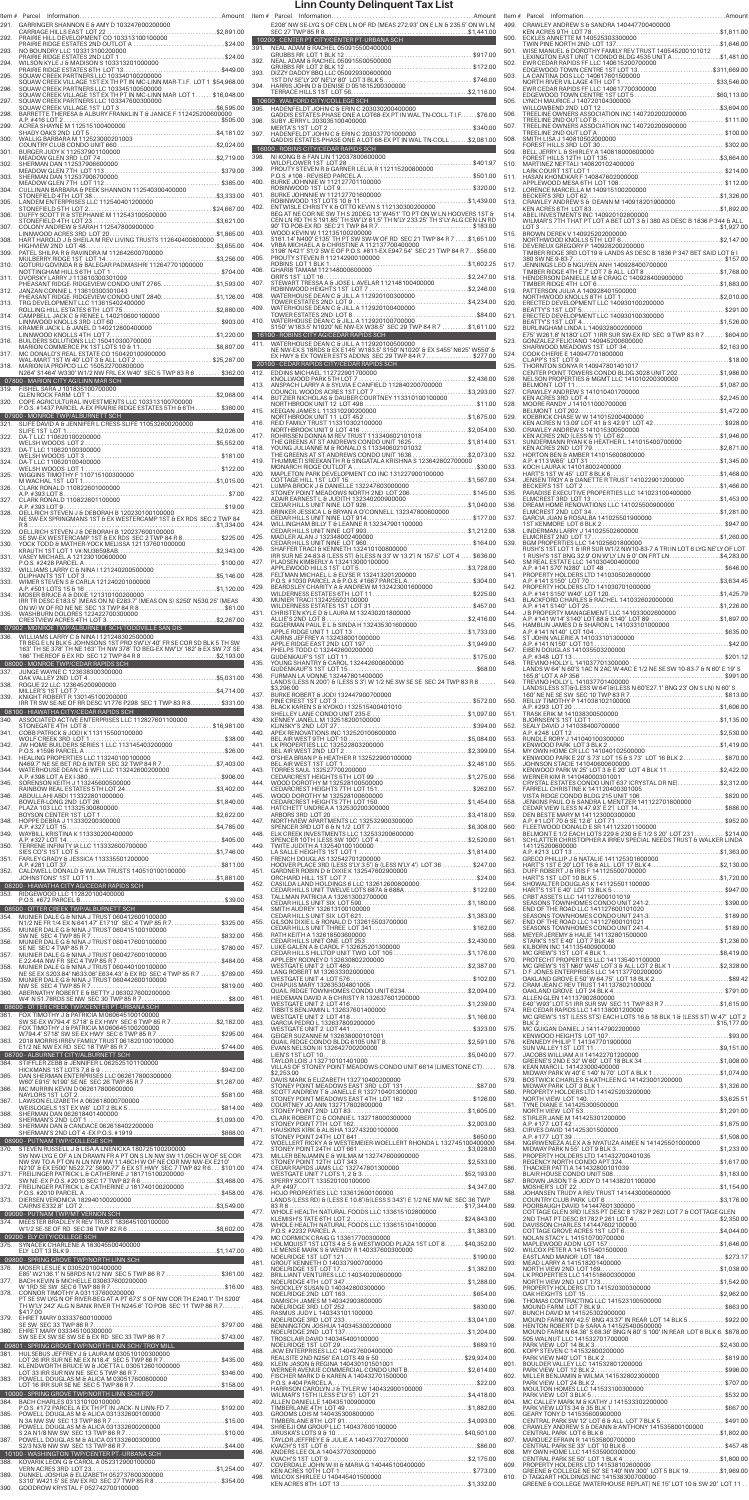| 291.         |                                                                                                                                                                                                  |                            |
|--------------|--------------------------------------------------------------------------------------------------------------------------------------------------------------------------------------------------|----------------------------|
|              | GARRINGER SHANNON E & AMY D 103247600200000                                                                                                                                                      |                            |
| 292.<br>293. | NO BOUNDRY LLC 103313100200000                                                                                                                                                                   |                            |
| 294.         |                                                                                                                                                                                                  |                            |
| 295.<br>296. | SQUAW CREEK PARTNERS LLC 103345100500000                                                                                                                                                         |                            |
| 297.         |                                                                                                                                                                                                  |                            |
| 298.<br>299. |                                                                                                                                                                                                  |                            |
| 300.<br>301. |                                                                                                                                                                                                  |                            |
| 302.         |                                                                                                                                                                                                  |                            |
| 303.<br>304. |                                                                                                                                                                                                  |                            |
|              |                                                                                                                                                                                                  |                            |
|              |                                                                                                                                                                                                  |                            |
|              |                                                                                                                                                                                                  |                            |
|              |                                                                                                                                                                                                  |                            |
|              | DVORSKY LARRY J 113610300301009                                                                                                                                                                  |                            |
|              | PHEASANT RIDGE- RIDGEVIEW CONDO UNIT 2765. \$1,593.00<br>JANZAN CONNIE L 113610300301043<br>PHEASANT RIDGE-RIDGEVIEW CONDO UNIT 2840\$1,126.00                                                   |                            |
|              |                                                                                                                                                                                                  |                            |
|              |                                                                                                                                                                                                  |                            |
|              |                                                                                                                                                                                                  |                            |
|              | MARION IA PROPCO LLC 150522700800000<br>NARION IA PROPCO LLC 150522700800000<br>N264' S1464' W330' W1/2 NW FRL EX W40' SEC 5 TWP 83 R 6  \$362.00                                                |                            |
|              | 07800 - MARION CITY AG/LINN MAR SCH<br>FISHEL SARA J 101835100700000<br>\$2,068.00<br>GLEN ROCK FARM LOT 1                                                                                       |                            |
|              | COPE AGRICULTURAL INVESTMENTS LLC 103313100700000<br>P.O.S. #1437 PARCEL A-EX PRAIRIE RIDGE ESTATES 5TH & 6TH \$360.00                                                                           |                            |
|              | 07900 - MONROE TWP/ALBURNETT SCH<br>SLIFE DAVID A & JENNIFER L CRESS-SLIFE 110532600200000                                                                                                       |                            |
|              | DA-T LLC 110620100200000<br>DA-T LLC 110620100300000                                                                                                                                             |                            |
|              | DA-T LLC 110620100300000<br>WELSH WOODS  LOT 3 ………………………………………………… \$181.00<br>DA-T LLC 110620100400000<br>. \$122.00<br>WELSH WOODS LOT 1                                                       |                            |
|              | WIGGINS TIMOTHY F 110715100300000<br>M WACHAL 1ST LOT 1<br>CLARK RONALD 110822601000000                                                                                                          | $\ldots \ldots$ \$1,015.00 |
|              | CLARK RONALD 110822601100000                                                                                                                                                                     |                            |
|              | OELLRICH STEVEN J & DEBORAH B 120230100100000<br>NE SW-EX SPRINGMANS 1ST & EX WESTERCAMP 1ST & EX RDS SEC 2 TWP 84<br>R8                                                                         |                            |
|              | OELLRICH STEVEN J & DEBORAH B 120237600100000<br>SE SW-EX WESTERCAMP 1ST & EX RDS SEC 2 TWP 84 R 8\$225.00<br>YOCK TODD & MATHER-YOCK MELISSA 121137601000000                                    |                            |
|              |                                                                                                                                                                                                  |                            |
|              | NASEY MICHAEL A 121230100600000<br>P.O.S. #2428 PARCEL A 121230100600000<br>WILLIAMS LARRY C & NINA 1121240200500000<br>OLIPHANTS 1ST LOT 3.                                                     |                            |
|              | MOSER BRUCE A & DIXIE 121310100200000<br>IRR TR DESC E183.5' (MEAS ON N) E283.7' (MEAS ON S) S250' N530.25' (MEAS                                                                                |                            |
|              | WASHBURN DOLORES 122422700300000                                                                                                                                                                 |                            |
|              | 07902 - MONROE TWP/ALBURNETT SCH/TODDVILLE SAN DIS<br>WILLIAMS LARRY C & NINA I 121248302500000<br>TR BEG E LN BLK 5 JOHNSONS 1ST PRO SW'LY 40' FR SE COR SD BLK 5 TH SW                         |                            |
|              | 163' TH SE 378' TH NE 163' TH NW 378' TO BEG-EX NW'LY 182' & EX SW 73' SE<br>186' THEREOF & EX RD SEC 12 TWP 84 R 8 \$2,193.00<br>08000 - MONROE TWP/CEDAR RAPIDS SCH                            |                            |
|              |                                                                                                                                                                                                  |                            |
|              | KNIGHT ROBERT R 130145100200000                                                                                                                                                                  |                            |
|              | IRR TR SW SE-NE OF RR DESC V1776 P298 SEC 1 TWP 83 R 8 \$331.00<br>08100 - HIAWATHA CITY/CEDAR RAPIDS SCH<br>ASSOCIATED ACTIVE ENTERPRISES LLC 112827601100000                                   |                            |
|              | COBB PATRICK & JODI K 113115500100000                                                                                                                                                            |                            |
|              |                                                                                                                                                                                                  |                            |
|              | N469.7' NE SE BET RD & INTER SEC 32 TWP 84 R 7 \$7,403.00<br>WATERHOUSE DEAN C.8 WFI LLC 113242600200000                                                                                         |                            |
|              |                                                                                                                                                                                                  |                            |
|              |                                                                                                                                                                                                  |                            |
|              |                                                                                                                                                                                                  |                            |
|              |                                                                                                                                                                                                  |                            |
|              |                                                                                                                                                                                                  |                            |
|              | 08200 - HIAWATHA CITY AG/CEDAR RAPIDS SCH                                                                                                                                                        |                            |
|              | 353. RIDGEWOOD LLC 112820100400000<br>P.O.S. #672 PARCEL B………………………………………………………\$39.00<br>08500 - OTTER CREEK TWP/ALBURNETT SCH                                                                  |                            |
|              | MUNIER DALE G & NINA J TRUST 060412600100000<br>N1/2 NE FR 1/4 EX N 641.47' E1710' SEC 4 TWP 85 R 7. \$325.00                                                                                    |                            |
|              |                                                                                                                                                                                                  |                            |
|              | MUNIER DALE G & NINA J TRUST 060427600100000                                                                                                                                                     |                            |
|              | NE SE EX S203.84' N633.06' E634.43' & EX RD SEC 4 TWP 85 R 7  \$789.00<br>MUNIER DALE G & NINA J TRUST 060442600100000                                                                           |                            |
|              |                                                                                                                                                                                                  |                            |
|              | 08600 - OTTER CREEK TWP/CENTER PT-URBANA SCH<br>FOX TIMOTHY J & PATRICIA M 060645100100000<br>SW SE-EX W794.4' S718' & EX HWY SEC 6 TWP 85 R 7 \$2,182.00                                        |                            |
|              | FOX TIMOTHY J & PATRICIA M 060645100200000                                                                                                                                                       |                            |
|              | 08700 - ALBURNETT CITY/ALBURNETT SCH                                                                                                                                                             |                            |
|              | STIFFLER ZEBB & JENNIFER L 062525101100000<br>HICKMANS 1ST LOTS 7,8 & 9<br>DAN SHERMAN ENTERPRISES LLC 062617800300000<br>W60' E915' N190' SE NE SEC 26 TWP 85 R 7 \$1,287.00                    | \$942.00                   |
|              | MC MURRIN KEVIN D 062617800600000<br>NAYLORS 1ST LOT 2                                                                                                                                           |                            |
|              | SHERMAN DAN 062618401400000                                                                                                                                                                      |                            |
|              |                                                                                                                                                                                                  |                            |
|              | 08900 - PUTNAM TWP/COLLEGE SCH<br>STEVEN RUSSELL J & LISA A LNENICKA 180725100200000<br>SW NW-LYG E OF A LN DRAWN FR A PT ON S LN NW SW 11.05CH W OF SE COR                                      |                            |
|              | NW SW TO A PT ON N LN NW NW 11.46CH W OF NE COR NW NW-EX E210'<br>N210' & EX E500' N522.72' S690.77' & EX ST HWY SEC 7 TWP 82 R 6 \$101.00<br>FREILINGER PATRICK L & CATHERINE J 181715100200000 |                            |
|              |                                                                                                                                                                                                  |                            |
|              |                                                                                                                                                                                                  |                            |
|              |                                                                                                                                                                                                  |                            |
|              | 09000 - PUTNAM TWP/MT VERNON SCH<br>374. – MEESTER BRADLEY R REV TRUST 183645100100000                                                                                                           |                            |
|              |                                                                                                                                                                                                  |                            |
|              | 09200 - ELY CITY/COLLEGE SCH<br>09800 - SPRING GROVE TWP/NORTH LINN SCH                                                                                                                          |                            |
|              | MOSER LESLIE K 030520100400000<br>E85' W2136.1' N 58RDS N1/2 NW SEC 5 TWP 86 R 7 \$361.00<br>BACH KEVIN & MICHELLE 030637600200000                                                               |                            |
|              | CONNOR TIMOTHY A 031137600200000<br>PT SE SW LYG N OF RIVER-BEG AT A PT 673' S OF NW COR TH E240.1' TH S200'                                                                                     |                            |
|              | TH W'LY 242' ALG N BANK RIVER TH N245.6' TO POB SEC 11 TWP 86 R 7<br>\$417.00<br>EHRET MARY 033337600100000                                                                                      |                            |
|              | EHRET MARY 033345100300000<br>SW SE EX SW SE SW SE & EX RD SEC 33 TWP 86 R 7  \$743.00                                                                                                           |                            |
|              | 09801 - SPRING GROVE TWP/NORTH LINN SCH/ TROY MILL<br>HULSEBUS JEFFREY J & LAURA M 030510100300000                                                                                               |                            |
|              | LOT 26 IRR SUR NE NE EX N18.4' SEC 5 TWP 86 R 7 \$435.00<br>KLENDWORTH BRUCE W & JOETTA L 030512601000000                                                                                        |                            |
|              | 10000 - SPRING GROVE TWP/NORTH LINN SCH/FD7                                                                                                                                                      |                            |
|              | BACH CHARLES 031310100100000<br>P.O.S. #172 PARCEL A EX TH PT IN JACK- N LINN-FD 7\$192.00                                                                                                       |                            |
|              |                                                                                                                                                                                                  |                            |
|              | POWELL DOUGLAS M & ALICA 031332600300000                                                                                                                                                         |                            |
|              | 10100 - WASHINGTON TWP/CENTER PT.-URBANA SCH<br>KOVARIK LEON G & CAROL A 052312900100000                                                                                                         |                            |
|              | DUNKEL JOSHUA & ELIZABETH 052737600300000<br>S310' W421.5' SE SW EX RD SEC 27 TWP 85 R 8  \$354.00<br>GOODROW KRYSTAL F 052742700100000                                                          |                            |

|              | E208' NW SE-LYG S OF CEN LN OF RD (MEAS 272.93' ON E LN & 235.5' ON W LN)                                                                                                                                                                |              |      | 499. CRAWLEY ANDREW S & SANDRA 140447700400000                                                                                                                                                                                 |  |
|--------------|------------------------------------------------------------------------------------------------------------------------------------------------------------------------------------------------------------------------------------------|--------------|------|--------------------------------------------------------------------------------------------------------------------------------------------------------------------------------------------------------------------------------|--|
|              |                                                                                                                                                                                                                                          |              |      | 499. CHAWLEY ANDREWS & SANURA 149447700400000<br>ECNLES ANNETTE M 140525303300000<br>ECNLES ANNETTE M 140525303300000<br>501. WISE MANUEL & DOROTHY FAMILY REV TRUST 140545200101012                                           |  |
|              |                                                                                                                                                                                                                                          |              |      | LEXINGTON EAST UNIT 1 CONDO BLDG 4535 UNIT A \$1,481.00                                                                                                                                                                        |  |
|              |                                                                                                                                                                                                                                          |              |      | LEAIN TO THE THEORY OF THE CONDUCTED AND THE CONDUCT TO THE CONDUCT TO THE CONDUCT TO THE CONDUCT TO THE CONDUCT TO THE CONDUCT TO THE CONDUCT TO THE CONDUCT TO THE CONDUCT TO THE CONDUCT TO THE CONDUCT TO THE CONDUCT TO T |  |
|              |                                                                                                                                                                                                                                          |              |      |                                                                                                                                                                                                                                |  |
|              |                                                                                                                                                                                                                                          |              |      |                                                                                                                                                                                                                                |  |
| 396.         | GADDIS ESTATES-PHASE ONE A LOT68-EX PT IN WAL TN-COLL-T.I.F\$76.00                                                                                                                                                                       |              |      |                                                                                                                                                                                                                                |  |
| 397.         |                                                                                                                                                                                                                                          |              |      |                                                                                                                                                                                                                                |  |
|              | GADDIS ESTATES-PHASE ONE A LOT 68-EX PT IN WAL TN-COLL \$2,081.00                                                                                                                                                                        |              |      |                                                                                                                                                                                                                                |  |
|              |                                                                                                                                                                                                                                          |              |      |                                                                                                                                                                                                                                |  |
|              |                                                                                                                                                                                                                                          |              |      |                                                                                                                                                                                                                                |  |
|              |                                                                                                                                                                                                                                          |              |      |                                                                                                                                                                                                                                |  |
|              |                                                                                                                                                                                                                                          |              |      |                                                                                                                                                                                                                                |  |
|              |                                                                                                                                                                                                                                          |              |      |                                                                                                                                                                                                                                |  |
| 403.         | WOOD KEVIN W 112135100200000                                                                                                                                                                                                             |              |      |                                                                                                                                                                                                                                |  |
| 404.         | S161.14' N400' E135' TH PT SW SW-W OF RD SEC 21 TWP 84 R 7  \$1,651.00<br>VRBA MICHAEL A & CHRISTINE A 112137700400000<br>S198' N421' S1/2 SW E OF P.O.S. #811-EX E947.54' SEC 21 TWP 84 R 7 \$56.00                                     |              |      |                                                                                                                                                                                                                                |  |
|              | 3198' N421' S1/2 SW E OF P.O.S. #811-EX E947.54' SEC 21 TWP 84 R7\$56.00<br>405. PROUTY STEVEN R 112142900100000<br>406. GHARIB TAMAM 112148000600000<br>406. GHARIB TAMAM 112148000600000<br>407. STEWART TRESSA A & JOSE L AVELAR 1121 |              |      |                                                                                                                                                                                                                                |  |
|              |                                                                                                                                                                                                                                          |              |      |                                                                                                                                                                                                                                |  |
|              |                                                                                                                                                                                                                                          |              |      |                                                                                                                                                                                                                                |  |
|              |                                                                                                                                                                                                                                          |              |      |                                                                                                                                                                                                                                |  |
|              |                                                                                                                                                                                                                                          |              |      |                                                                                                                                                                                                                                |  |
|              |                                                                                                                                                                                                                                          |              |      |                                                                                                                                                                                                                                |  |
|              | – TO TOO - ROBINS CITY AG/CEDAR RAPIDS SCH<br>411. – WATERHOUSE DEAN C & JILL A 112920100500000<br>– NE NW-FX S-18PDS G EY E14E011162 EL 2000000<br>NE NW-EX S 18RDS & EX E145' W183.5' S150' N1020' & EX S455' N625' W550' &            |              |      |                                                                                                                                                                                                                                |  |
|              | EX HWY & EX TOWER ESTS ADDNS SEC 29 TWP 84 R 7 \$277.00                                                                                                                                                                                  |              |      |                                                                                                                                                                                                                                |  |
|              |                                                                                                                                                                                                                                          |              |      |                                                                                                                                                                                                                                |  |
|              |                                                                                                                                                                                                                                          |              |      |                                                                                                                                                                                                                                |  |
|              |                                                                                                                                                                                                                                          |              |      |                                                                                                                                                                                                                                |  |
|              |                                                                                                                                                                                                                                          |              |      |                                                                                                                                                                                                                                |  |
|              |                                                                                                                                                                                                                                          |              |      |                                                                                                                                                                                                                                |  |
| 418.         | THE GREENS AT ST ANDREWS CONDO UNIT 1636<br>THE GREENS AT ST ANDREWS CONDO UNIT 1636\$2,073.00                                                                                                                                           |              |      |                                                                                                                                                                                                                                |  |
|              | 419. THUMMETI SREEKANTH R & SINGATALA KRISHNA S 123642802700000                                                                                                                                                                          |              |      |                                                                                                                                                                                                                                |  |
| 420.         | MAPLETON PARK DEVELOPMENT CO INC 131227900100000<br>COTTAGE HILL 1ST LOT 15.                                                                                                                                                             | . \$1,567.00 |      |                                                                                                                                                                                                                                |  |
|              |                                                                                                                                                                                                                                          |              |      |                                                                                                                                                                                                                                |  |
|              |                                                                                                                                                                                                                                          |              |      |                                                                                                                                                                                                                                |  |
|              |                                                                                                                                                                                                                                          |              |      |                                                                                                                                                                                                                                |  |
|              |                                                                                                                                                                                                                                          |              |      |                                                                                                                                                                                                                                |  |
|              |                                                                                                                                                                                                                                          |              |      |                                                                                                                                                                                                                                |  |
|              |                                                                                                                                                                                                                                          |              |      |                                                                                                                                                                                                                                |  |
|              |                                                                                                                                                                                                                                          |              |      |                                                                                                                                                                                                                                |  |
|              |                                                                                                                                                                                                                                          |              |      |                                                                                                                                                                                                                                |  |
|              |                                                                                                                                                                                                                                          |              |      |                                                                                                                                                                                                                                |  |
|              |                                                                                                                                                                                                                                          |              |      |                                                                                                                                                                                                                                |  |
|              |                                                                                                                                                                                                                                          |              |      |                                                                                                                                                                                                                                |  |
|              |                                                                                                                                                                                                                                          |              |      |                                                                                                                                                                                                                                |  |
|              |                                                                                                                                                                                                                                          |              |      |                                                                                                                                                                                                                                |  |
|              |                                                                                                                                                                                                                                          |              |      |                                                                                                                                                                                                                                |  |
|              | \$3,296.00                                                                                                                                                                                                                               |              |      |                                                                                                                                                                                                                                |  |
|              |                                                                                                                                                                                                                                          |              |      |                                                                                                                                                                                                                                |  |
|              |                                                                                                                                                                                                                                          |              |      |                                                                                                                                                                                                                                |  |
|              |                                                                                                                                                                                                                                          |              |      |                                                                                                                                                                                                                                |  |
|              |                                                                                                                                                                                                                                          |              |      |                                                                                                                                                                                                                                |  |
|              | 4A1. LANDS (LESS N 200') & (LESS S 3') W 1/2 NE SW SE SE SEC 24 TWP 83 R 8<br>43. 298.00<br>PINE CRISERT 4 JODI 132447900700000<br>43. BURKE ROBERT 4 JODI 132447900700000<br>43. BLELLY LANE CONDO UNIT 236-E                           |              |      | 549. TREVINO HOLLY L 141037701400000<br>LANDS(LESS ST) 64196 (LESS N 66' C27.1' BNG 23' ON S.LN) N 60' S<br>160' NE NE SE SW SEC 10 TWP 83 R 7.<br>550. RELLY TIMOTHYP 141038102100000<br>A.P. #293 LOT 20                     |  |
|              |                                                                                                                                                                                                                                          |              |      |                                                                                                                                                                                                                                |  |
|              |                                                                                                                                                                                                                                          |              |      |                                                                                                                                                                                                                                |  |
|              |                                                                                                                                                                                                                                          |              |      |                                                                                                                                                                                                                                |  |
|              |                                                                                                                                                                                                                                          |              |      |                                                                                                                                                                                                                                |  |
|              |                                                                                                                                                                                                                                          |              |      | BELMONT E 1/2 EACH LOTS 229 & 230 H E 1/2 S 20' LOT 231 \$214.00<br>561. SCHLATTER CHRISTOPHER A IRREV SPECIAL NEEDS TRUST & WALKER LINDA                                                                                      |  |
|              |                                                                                                                                                                                                                                          |              |      |                                                                                                                                                                                                                                |  |
|              |                                                                                                                                                                                                                                          |              |      |                                                                                                                                                                                                                                |  |
| 451.         |                                                                                                                                                                                                                                          |              |      |                                                                                                                                                                                                                                |  |
| 452.         |                                                                                                                                                                                                                                          |              |      |                                                                                                                                                                                                                                |  |
| 453.         |                                                                                                                                                                                                                                          |              |      |                                                                                                                                                                                                                                |  |
| 454.<br>455. |                                                                                                                                                                                                                                          |              |      |                                                                                                                                                                                                                                |  |
| 456.         |                                                                                                                                                                                                                                          |              |      |                                                                                                                                                                                                                                |  |
| 457.         |                                                                                                                                                                                                                                          |              |      | 569. KILBORN INC 141135400900000                                                                                                                                                                                               |  |
|              |                                                                                                                                                                                                                                          |              |      | MC GREW'S 1ST LOT 4 BLK 1                                                                                                                                                                                                      |  |
|              |                                                                                                                                                                                                                                          |              |      |                                                                                                                                                                                                                                |  |
|              |                                                                                                                                                                                                                                          |              |      |                                                                                                                                                                                                                                |  |
|              |                                                                                                                                                                                                                                          |              |      |                                                                                                                                                                                                                                |  |
| 462.<br>463. |                                                                                                                                                                                                                                          |              |      |                                                                                                                                                                                                                                |  |
| 464.         |                                                                                                                                                                                                                                          |              |      |                                                                                                                                                                                                                                |  |
| 465.         |                                                                                                                                                                                                                                          |              |      |                                                                                                                                                                                                                                |  |
| 466.         | VILLAS OF STONEY POINT MEADOWS-CONDO UNIT 6614 (LIMESTONE CT)                                                                                                                                                                            |              |      |                                                                                                                                                                                                                                |  |
|              | \$2,253,00<br>467. DAVIS MARK & ELIZABETH 132710400200000                                                                                                                                                                                |              |      |                                                                                                                                                                                                                                |  |
| 468.         | DAVIS MARK & ELIZABETH 132710400200000<br>STONEY POINT MEADOWS EAST 3RD LOT 131 \$87.00<br>SCOTT ANDREW T & JANELLE R 132710401300000<br>STONEY POINT MEADOWS EAST 4TH, LOT 162                                                          |              |      |                                                                                                                                                                                                                                |  |
|              |                                                                                                                                                                                                                                          |              |      |                                                                                                                                                                                                                                |  |
|              |                                                                                                                                                                                                                                          |              |      |                                                                                                                                                                                                                                |  |
|              |                                                                                                                                                                                                                                          |              |      |                                                                                                                                                                                                                                |  |
|              |                                                                                                                                                                                                                                          |              |      |                                                                                                                                                                                                                                |  |
|              |                                                                                                                                                                                                                                          |              |      |                                                                                                                                                                                                                                |  |
|              |                                                                                                                                                                                                                                          |              |      |                                                                                                                                                                                                                                |  |
|              |                                                                                                                                                                                                                                          |              |      |                                                                                                                                                                                                                                |  |
|              |                                                                                                                                                                                                                                          |              |      |                                                                                                                                                                                                                                |  |
|              |                                                                                                                                                                                                                                          |              |      |                                                                                                                                                                                                                                |  |
|              |                                                                                                                                                                                                                                          |              |      |                                                                                                                                                                                                                                |  |
|              |                                                                                                                                                                                                                                          |              |      |                                                                                                                                                                                                                                |  |
|              |                                                                                                                                                                                                                                          |              |      |                                                                                                                                                                                                                                |  |
|              |                                                                                                                                                                                                                                          |              |      |                                                                                                                                                                                                                                |  |
|              |                                                                                                                                                                                                                                          |              |      |                                                                                                                                                                                                                                |  |
|              |                                                                                                                                                                                                                                          |              |      |                                                                                                                                                                                                                                |  |
|              |                                                                                                                                                                                                                                          |              |      |                                                                                                                                                                                                                                |  |
|              |                                                                                                                                                                                                                                          |              |      |                                                                                                                                                                                                                                |  |
|              |                                                                                                                                                                                                                                          |              |      |                                                                                                                                                                                                                                |  |
|              |                                                                                                                                                                                                                                          |              |      |                                                                                                                                                                                                                                |  |
|              |                                                                                                                                                                                                                                          |              |      |                                                                                                                                                                                                                                |  |
|              |                                                                                                                                                                                                                                          |              |      |                                                                                                                                                                                                                                |  |
|              |                                                                                                                                                                                                                                          |              |      |                                                                                                                                                                                                                                |  |
| 492.         |                                                                                                                                                                                                                                          |              |      |                                                                                                                                                                                                                                |  |
| 493.         |                                                                                                                                                                                                                                          |              |      |                                                                                                                                                                                                                                |  |
| 494.<br>495. |                                                                                                                                                                                                                                          |              | 606. | CRAWLEY ANDREW S & DEANN & ANTHONY 141535800100000                                                                                                                                                                             |  |
|              | TAYLOR JEFFREY E & JULIE A 140437702700000<br>496. ANDERS LEE OLA 140437703000000                                                                                                                                                        |              |      | 607. MARQUEZ EFRAIN R 141535800700000<br>608. MY OWN HOME LLC 141535900300000                                                                                                                                                  |  |
| 497.         |                                                                                                                                                                                                                                          |              |      | GREENE & COLLEGE NE 50' SE 140' NW 300' LOT 5 BLK 19\$1,969.00                                                                                                                                                                 |  |

| 499.         | CRAWLEY ANDREW S & SANDRA 140447700400000                                                                                                                                      |  |
|--------------|--------------------------------------------------------------------------------------------------------------------------------------------------------------------------------|--|
| 500.         |                                                                                                                                                                                |  |
| 501.         |                                                                                                                                                                                |  |
| 502.         | LEXINGTON EAST UNIT 1 CONDO BLDG 4535 UNIT A \$1,481.00<br>EWR CEDAR RAPIDS FF LLC 140615200700000<br>EDGEWOOD TOWN CENTRE 1ST LOT 13\$311,669.00                              |  |
| 503.         |                                                                                                                                                                                |  |
| 504.         |                                                                                                                                                                                |  |
| 505.         | LYNCH MAURICE J 140720104300000                                                                                                                                                |  |
| 506.         |                                                                                                                                                                                |  |
| 507.         |                                                                                                                                                                                |  |
| 508.         | SMITH LISA J 140810502000000                                                                                                                                                   |  |
| 509.         |                                                                                                                                                                                |  |
| 510.         |                                                                                                                                                                                |  |
| 511.         |                                                                                                                                                                                |  |
| 512.         |                                                                                                                                                                                |  |
| 513.         |                                                                                                                                                                                |  |
| 514.         | ABEL INVESTMENTS INC 140920102800000<br>WILMAR'S 7TH THAT PT LOT A BET LOT 3 & 1 380 AS DESC B 1836 P 344 & ALL                                                                |  |
| 515.         | BROWN DEREK V 140925202000000                                                                                                                                                  |  |
| 516.         | DEVEREUX GREGORY P 140928200200000                                                                                                                                             |  |
|              | TIMBER RIDGE 3RD LOT19 & LANDS AS DESC B 1836 P 347 BET SAID LOT & I                                                                                                           |  |
| 517.         | JENNINGS LEO & NGUYEN ANH 140928400700000<br>TIMBER RIDGE 4TH E 7' LOT 7 & ALL LOT 8 \$1,768.00                                                                                |  |
| 518.         |                                                                                                                                                                                |  |
| 519.         |                                                                                                                                                                                |  |
| 520.         |                                                                                                                                                                                |  |
| 521.         |                                                                                                                                                                                |  |
| 522.         | BURLINGHAM LINDA L 140932800200000<br>E75' W261.8' N18O' LOT 1 IRR SUR SW-EX RD SEC 9 TWP 83 R 7  \$604.00                                                                     |  |
| 523.         | GONZALEZ FELICIANO 140945200600000<br>SHARWOOD MEADOWS 1ST_LOT 34……………………………………\$2,163.00                                                                                      |  |
| 524.         | ی برابر در دیگر به این سال ۱۹۵۰ میلیون به این این است.<br>THORNTON SONYA R 140947801401017<br>CENTER POINT TOWERS CONDO DUSE 1                                                 |  |
| 525.         |                                                                                                                                                                                |  |
| 526.         |                                                                                                                                                                                |  |
| 527.         |                                                                                                                                                                                |  |
| 528.         |                                                                                                                                                                                |  |
| 529.         | KOEBRICK CHASE WW 141015200400000<br>KEN ACRES N 13.09' LOT 41 & S 42.91' LOT 42\$928.00                                                                                       |  |
| 530.         |                                                                                                                                                                                |  |
| 531.         |                                                                                                                                                                                |  |
| 532.         | HORTON BEN & AMBER 141015600800000                                                                                                                                             |  |
| 533.         | KOCH LAURA K 141018002400000                                                                                                                                                   |  |
| 534.         |                                                                                                                                                                                |  |
| 535.         |                                                                                                                                                                                |  |
| 536.         |                                                                                                                                                                                |  |
| 537.         |                                                                                                                                                                                |  |
| 538.         |                                                                                                                                                                                |  |
| 539.         | BGM PROPERTIES LLC 141025601800000<br>RUSH'S 1ST LOT 1 & IRR SUR W1/2 NW10-83-7 A TRI IN LOT 6 LYG NE'LY OF LOT                                                                |  |
| 540.         | 1 RUSH'S 1ST BNG 32.9' ON W'LY LN & 0' ON FRT LN\$4,283.00<br>SM REAL ESTATE LLC 141030400400000                                                                               |  |
| 541.         |                                                                                                                                                                                |  |
| 542.         |                                                                                                                                                                                |  |
| 543.         |                                                                                                                                                                                |  |
| 544.         |                                                                                                                                                                                |  |
| 545.         |                                                                                                                                                                                |  |
| 546.         |                                                                                                                                                                                |  |
| 547.         |                                                                                                                                                                                |  |
| 548.         | TREVINO HOLLY L 141037701300000                                                                                                                                                |  |
| 549.         | LANDS W 64' N 60'S 1AC N 2AC W 4AC E 1/2 NE SE SW 10-83-7 & N 60' E 19' S                                                                                                      |  |
|              | TREVINO HOLLY L 141037701400000<br>LANDS(LESS ST)&(LESS W 64')&(LESS N 60'E27.1' BNG 23' ON S LN) N 60' S                                                                      |  |
| 550.         | REILLY TIMOTHY P 141038102100000                                                                                                                                               |  |
| 551.         | TRASK ERIK M 141038300500000                                                                                                                                                   |  |
| 552.         |                                                                                                                                                                                |  |
| 553.         |                                                                                                                                                                                |  |
| 554.         | MY OWN HOME CR LLC 141040102500000<br>KENWOOD PARK E 20' S 73' LOT 15 & S 73' LOT 16 BLK 2 \$870.00                                                                            |  |
| 555.         | JOHNSON STACIE 141040600600000<br>KENWOOD PARK W 25' LOT 3 & E 20' LOT 4 BLK 11\$2,422.00                                                                                      |  |
| 556.         | WERNER KIM R 141048000301001<br>CRYSTAL ESTATES CONDO UNIT 637 (CRYSTAL DR NE)\$2,312.00                                                                                       |  |
| 557.         | FARRELL CHRISTINE K 141120400301005<br>VISTA RIDGE CONDO BLDG 215 UNIT 106\$820.00<br>JENKINS PAUL O & SANDRA L MENTZER 141122701800000                                        |  |
| 558.         |                                                                                                                                                                                |  |
| 559.<br>560. | DEN BESTE MARY M 141123000300000                                                                                                                                               |  |
| 561.         | BELMONT E 1/2 EACH LOTS 229 & 230 & E 1/2 S 20' LOT 231 \$214.00<br>SCHLATTER CHRISTOPHER A IRREV SPECIAL NEEDS TRUST & WALKER LINDA                                           |  |
|              | 141125200600000                                                                                                                                                                |  |
| 562.         | GRECO PHILLIP J & NATALIE 141125301600000<br>HART'S 1ST E 20' LOT 16 & ALL LOT 17 BLK 4\$2,130.00                                                                              |  |
| 563.         |                                                                                                                                                                                |  |
| 564.         |                                                                                                                                                                                |  |
| 565.         | CRBT ASSETS LLC 141127600101019<br>SEASONS TOWNHOMES CONDO UNIT 241-2\$390.00                                                                                                  |  |
| 566.         | END OF THE ROAD LLC 141127600101020                                                                                                                                            |  |
| 567.         | END OF THE ROAD LLC 141127600101021                                                                                                                                            |  |
| 568.         |                                                                                                                                                                                |  |
| 569.         | KILBORN INC 141135400900000<br>MC GREW'S 1ST LOT 4 BLK 1                                                                                                                       |  |
| 570.         | PROTECHT PROPERTIES LLC 141135401100000<br>MC GREW'S 1ST N60' W45' LOT 3 & ALL LOT 2 BLK 1 \$2,328.00                                                                          |  |
| 571.         | D F JONES ENTERPRISES LLC 141137700200000<br>OAKLAND GROVE E 50' W 64.75' LOT 18 BLK 2\$89.42                                                                                  |  |
| 572.         | CRAM JEAN C REV TRUST 141137802100000                                                                                                                                          |  |
| 573.         | ALLEN GLEN 141137902800000<br>E40' W93' LOT 51 IRR SUR SW SEC 11 TWP 83 R 7 \$1,615.00                                                                                         |  |
| 574.         | REI CEDAR RAPIDS LLC 141138001200000<br>MC GREW'S 1ST (LESS STS) EACH LOTS 16 & 18 BLK 1 & (LESS ST) W 47' LOT 2                                                               |  |
| 575.         |                                                                                                                                                                                |  |
| 576.         |                                                                                                                                                                                |  |
| 577.         |                                                                                                                                                                                |  |
| 578.         |                                                                                                                                                                                |  |
| 579.         | JACOBS WILLIAM A II 141422701200000<br>GREENE'S 2ND E 32' W 60' LOT 18 BLK 34 \$1,008.00<br>KEAN MARCI L 141423000400000                                                       |  |
| 580.         | MIDWAY PARK W 40' E 140' N 70' LOT A BLK 1 \$1,074.00<br>BOSTWICK CHARLES & KATHLEEN G 141423001200000                                                                         |  |
| 581.         |                                                                                                                                                                                |  |
|              |                                                                                                                                                                                |  |
| 582.         |                                                                                                                                                                                |  |
| 583.         |                                                                                                                                                                                |  |
| 584.         |                                                                                                                                                                                |  |
| 585.         |                                                                                                                                                                                |  |
| 586.         | THACKER PATTI A 141432800101039                                                                                                                                                |  |
| 587.         |                                                                                                                                                                                |  |
| 588.         |                                                                                                                                                                                |  |
| 589.         | POORBAUGH DAVID 141447601300000<br>COTTAGE GLEN 3RD (LESS PT DESC B 1782 P 262) LOT 7 & COTTAGE GLEN                                                                           |  |
| 590.         | DAVISSON CHARLES 141447602100000                                                                                                                                               |  |
| 591.         |                                                                                                                                                                                |  |
| 592.         |                                                                                                                                                                                |  |
| 593.         | MEAD LARRY A 141518201400000                                                                                                                                                   |  |
| 594.         |                                                                                                                                                                                |  |
| 595.         |                                                                                                                                                                                |  |
| 596.         |                                                                                                                                                                                |  |
| 597.         | BUNCH DAVID M 141525302900000<br>MOUND FARM NW 42.5' BNG 43.37' IN REAR LOT 14 BLK 5  \$922.00                                                                                 |  |
| 598.         | HENTON ROBERT D & SARA A 141525400500000<br>MOUND FARM N 64.36' S 68.36' BNG N 80' S 100' IN REAR LOT 6 BLK 6. \$878.00                                                        |  |
| 599.         | 505 WALNUT LLC 141532701700000                                                                                                                                                 |  |
| 600.         |                                                                                                                                                                                |  |
| 601.         |                                                                                                                                                                                |  |
| 602.         |                                                                                                                                                                                |  |
| 603.         | MOULTON HOMES LLC 141533100300000                                                                                                                                              |  |
| 604.         |                                                                                                                                                                                |  |
| 605.<br>606. | GEARY TONY D 141535600900000                                                                                                                                                   |  |
| 607.         | CENTRAL PARK SW 12' LOT 6 & ALL LOT 7 BLK 5 \$491.00<br>CRAWLEY ANDREW S & DEANN & ANTHONY 141535800100000<br>MARQUEZ EFRAIN R 141535800700000                                 |  |
| 608.         | MY OWN HOME LLC 141535900300000                                                                                                                                                |  |
| 609.         | PROPERTY HOLDERS LTD 141538102600000                                                                                                                                           |  |
| 610.         | GREENE & COLLEGE NE 50' SE 140' NW 300' LOT 5 BLK 19\$1,969.00<br>D TAGGART HOLDINGS INC 141538300700000<br>GREENE & COLLEGE (WATERHOUSE REPLAT) NE 15' LOT 10 & SW 20' LOT 11 |  |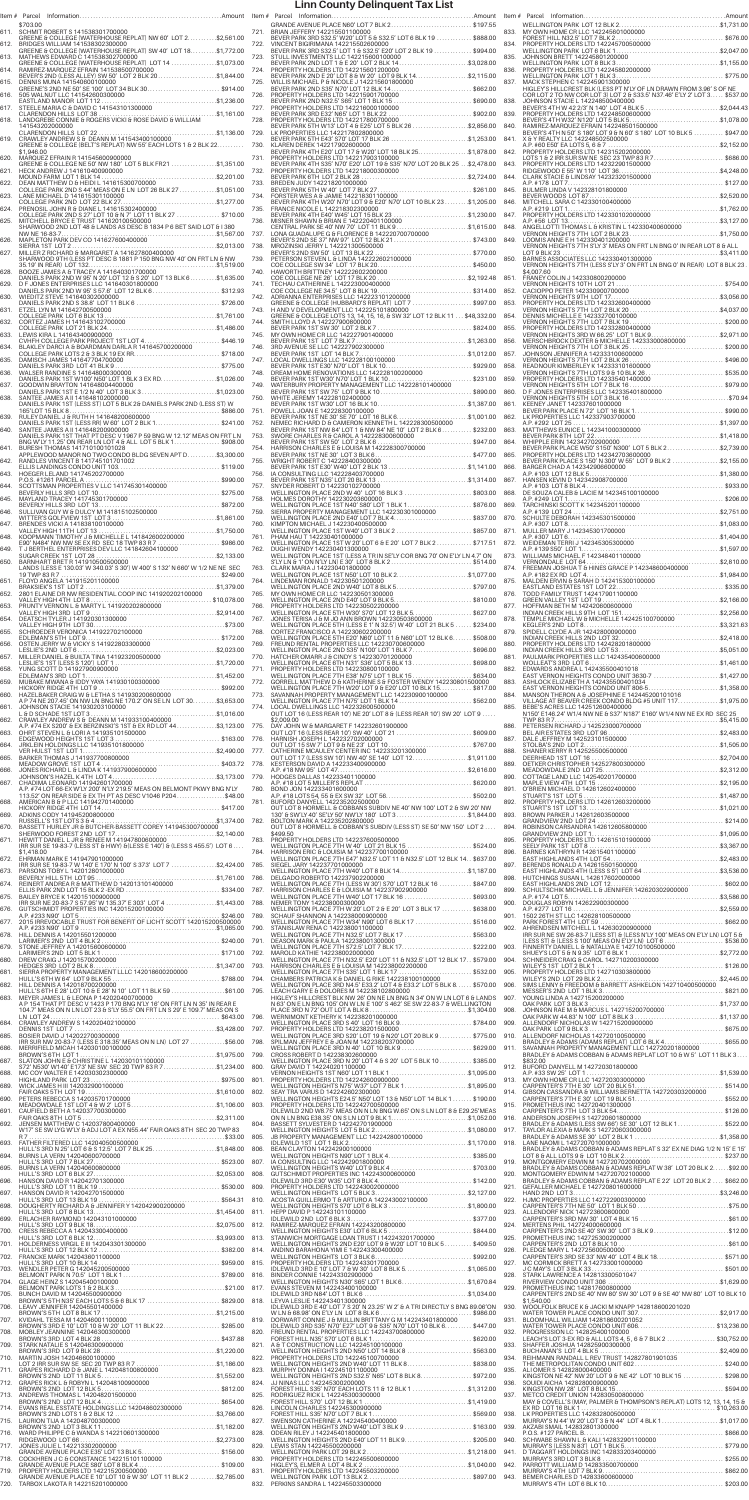|      | \$703.00<br>611. SCHMIT ROBERT S 141538301700000<br>GREENE & COLLEGE (WATERHOUSE REPLAT) NW 60' LOT 2\$2,561.00                                                                                                 |      | GRANDE AVENUE PLACE N60' LOT 7 BLK 2\$197.55<br>721. BRIAN JEFFERY 142215501100000<br>BEVER PARK 3RD S32.5' W20' LOT 5 & S32.5' LOT 6 BLK 19  \$888.00                                                                                                                                                                                                                                                                                              |  |
|------|-----------------------------------------------------------------------------------------------------------------------------------------------------------------------------------------------------------------|------|-----------------------------------------------------------------------------------------------------------------------------------------------------------------------------------------------------------------------------------------------------------------------------------------------------------------------------------------------------------------------------------------------------------------------------------------------------|--|
|      | 612. BRIDGES WILLIAM 141538302300000<br>BRIDGES WILLIAM 141538302300000<br>GREENE & COLLEGE (WATERHOUSE REPLAT) SW 40′ LOT 18. \$1,772.00                                                                       |      | 722. VINCENT BIGIRIMANA 142215502600000<br>BEVER PARK 3RD \$32.5' LOT 1 & \$32.5' E20' LOT 2 BLK 19  \$994.00                                                                                                                                                                                                                                                                                                                                       |  |
|      | 613. MATHEWS EDWARD C 141538302700000                                                                                                                                                                           |      |                                                                                                                                                                                                                                                                                                                                                                                                                                                     |  |
|      | 613. MATHEWS EDWARD C 141538302700000<br>GREENE & COLLEGE (WATERHOUSE REPLAT) LOT 14 \$1,073.00<br>614. RAMIREZ-MARQUEZ EFRAIN 141538500700000<br>PER BENER'S 2ND (LESS ALLEY) SW 50′LOT 2 BLK 20               |      |                                                                                                                                                                                                                                                                                                                                                                                                                                                     |  |
|      |                                                                                                                                                                                                                 |      |                                                                                                                                                                                                                                                                                                                                                                                                                                                     |  |
|      |                                                                                                                                                                                                                 |      |                                                                                                                                                                                                                                                                                                                                                                                                                                                     |  |
|      |                                                                                                                                                                                                                 |      |                                                                                                                                                                                                                                                                                                                                                                                                                                                     |  |
|      |                                                                                                                                                                                                                 |      |                                                                                                                                                                                                                                                                                                                                                                                                                                                     |  |
|      |                                                                                                                                                                                                                 |      |                                                                                                                                                                                                                                                                                                                                                                                                                                                     |  |
|      | GREENE & COLLEGE (BELT'S REPLAT) NW 55' EACH LOTS 1 & 2 BLK 22<br>\$1,946.00                                                                                                                                    |      | 730. KLAREN DEREK 142217902600000<br>KLAREN DEREK 142217902600000<br>BEVER PARK 4TH E20' LOT 17 & W20' LOT 18 BLK 25. \$1,878.00      {                                                                                                                                                                                                                                                                                                             |  |
|      | 620. MARQUEZ EFRAIN R 141545600900000<br>GREENE & COLLEGE NE 50' NW 180' LOT 5 BLK FR21 \$1,351.00                                                                                                              |      | 731. PROPERTY HOLDERS LTD 142217903100000<br>BEVER PARK 4TH S35' N70' E20' LOT 19 & S35' N70' LOT 20 BLK 25 \$2,478.00                                                                                                                                                                                                                                                                                                                              |  |
|      |                                                                                                                                                                                                                 |      |                                                                                                                                                                                                                                                                                                                                                                                                                                                     |  |
|      |                                                                                                                                                                                                                 |      |                                                                                                                                                                                                                                                                                                                                                                                                                                                     |  |
|      |                                                                                                                                                                                                                 |      |                                                                                                                                                                                                                                                                                                                                                                                                                                                     |  |
|      |                                                                                                                                                                                                                 |      |                                                                                                                                                                                                                                                                                                                                                                                                                                                     |  |
|      | 025. MITCHELL BRYCE ETRUST 141620100500000 (SULLENCE TRANCORD 2ND LOT 48 & LANDS AS DESC B 1834 P 6 BET SAID LOT & 1380<br>SHARWOOD 2ND LOT 48 & LANDS AS DESC B 1834 P 6 BET SAID LOT & 1380<br>NUW NE 16-83-7 |      |                                                                                                                                                                                                                                                                                                                                                                                                                                                     |  |
|      |                                                                                                                                                                                                                 |      |                                                                                                                                                                                                                                                                                                                                                                                                                                                     |  |
|      |                                                                                                                                                                                                                 |      |                                                                                                                                                                                                                                                                                                                                                                                                                                                     |  |
|      |                                                                                                                                                                                                                 |      |                                                                                                                                                                                                                                                                                                                                                                                                                                                     |  |
| 628. |                                                                                                                                                                                                                 |      |                                                                                                                                                                                                                                                                                                                                                                                                                                                     |  |
| 629. | D F JONES ENTERPRISES LLC 141640301800000<br>DANIELS PARK 2ND W 95' S 57.6' LOT 12 BLK 6 \$312.93                                                                                                               |      |                                                                                                                                                                                                                                                                                                                                                                                                                                                     |  |
|      |                                                                                                                                                                                                                 |      |                                                                                                                                                                                                                                                                                                                                                                                                                                                     |  |
|      |                                                                                                                                                                                                                 |      |                                                                                                                                                                                                                                                                                                                                                                                                                                                     |  |
|      |                                                                                                                                                                                                                 |      |                                                                                                                                                                                                                                                                                                                                                                                                                                                     |  |
|      |                                                                                                                                                                                                                 |      |                                                                                                                                                                                                                                                                                                                                                                                                                                                     |  |
|      |                                                                                                                                                                                                                 |      |                                                                                                                                                                                                                                                                                                                                                                                                                                                     |  |
|      |                                                                                                                                                                                                                 |      |                                                                                                                                                                                                                                                                                                                                                                                                                                                     |  |
|      |                                                                                                                                                                                                                 |      |                                                                                                                                                                                                                                                                                                                                                                                                                                                     |  |
|      |                                                                                                                                                                                                                 |      |                                                                                                                                                                                                                                                                                                                                                                                                                                                     |  |
|      |                                                                                                                                                                                                                 |      |                                                                                                                                                                                                                                                                                                                                                                                                                                                     |  |
|      |                                                                                                                                                                                                                 |      |                                                                                                                                                                                                                                                                                                                                                                                                                                                     |  |
|      |                                                                                                                                                                                                                 |      |                                                                                                                                                                                                                                                                                                                                                                                                                                                     |  |
|      | DANIELS PARK 1ST THAT PT DESC V 1967 P 59 BNG W 12.12' MEAS ON FRT LN BNG W'LY 11.25' ON REAR LN LOT 4 & ALL LOT 5 BLK 1\$908.00                                                                                |      |                                                                                                                                                                                                                                                                                                                                                                                                                                                     |  |
|      | 641. BURESH THOMAS 141710100101028<br>APPLEWOOD MANOR NO TWO CONDO BLDG SEVEN APT D\$3,300.00                                                                                                                   | 754. |                                                                                                                                                                                                                                                                                                                                                                                                                                                     |  |
|      |                                                                                                                                                                                                                 |      |                                                                                                                                                                                                                                                                                                                                                                                                                                                     |  |
| 643. | <b>HOEGER LELAND 141745202700000</b>                                                                                                                                                                            |      |                                                                                                                                                                                                                                                                                                                                                                                                                                                     |  |
|      |                                                                                                                                                                                                                 |      | WELLINGTON PLACE 2ND W 40' LOT 16 BLK 3 \$803.00                                                                                                                                                                                                                                                                                                                                                                                                    |  |
|      |                                                                                                                                                                                                                 |      | 758. HOLMES DOROTHY 142230203600000                                                                                                                                                                                                                                                                                                                                                                                                                 |  |
|      |                                                                                                                                                                                                                 |      |                                                                                                                                                                                                                                                                                                                                                                                                                                                     |  |
|      |                                                                                                                                                                                                                 |      | 760. KIMPTON MICHAEL J 142230400500000<br>WELLINGTON PLACE 1ST W40' LOT 3 BLK 2 \$857.00 8                                                                                                                                                                                                                                                                                                                                                          |  |
|      |                                                                                                                                                                                                                 |      | 761. PHAM HAU T 142230401000000<br>WELLINGTON PLACE 1ST W 20' LOT 6 & E 20' LOT 7 BLK 2 \$717.51                                                                                                                                                                                                                                                                                                                                                    |  |
| 649. |                                                                                                                                                                                                                 |      | 762. DUGHI WENDY 142230401300000                                                                                                                                                                                                                                                                                                                                                                                                                    |  |
|      |                                                                                                                                                                                                                 |      | WELLINGTON PLACE 1ST (LESS A TR IN SE'LY COR BNG 70' ON E'LY LN 4.7' ON S'LY LN & 1' ON N'LY LN) E 30' LOT 8 BLK 2\$514.00<br>763. CLARK MARIA J 142230401800000                                                                                                                                                                                                                                                                                    |  |
|      |                                                                                                                                                                                                                 |      | CLARK MARIA J 142230401800000<br>WELLINGTON PLACE 1ST N50' LOT 10 BLK 2\$1,077.00                                                                                                                                                                                                                                                                                                                                                                   |  |
|      |                                                                                                                                                                                                                 |      |                                                                                                                                                                                                                                                                                                                                                                                                                                                     |  |
|      |                                                                                                                                                                                                                 |      |                                                                                                                                                                                                                                                                                                                                                                                                                                                     |  |
|      |                                                                                                                                                                                                                 |      |                                                                                                                                                                                                                                                                                                                                                                                                                                                     |  |
|      |                                                                                                                                                                                                                 |      | 767. JONES TERISA J & M JO ANN BROWN 142230503600000<br>WELLINGTON PLACE 5TH (LESS E 1' N 32.5') W 40' LOT 21 BLK 5  \$234.00<br>768. CORTEZ FRANCISCO A 142230602200000                                                                                                                                                                                                                                                                            |  |
|      |                                                                                                                                                                                                                 |      | WELLINGTON PLACE 5TH E20' N60' LOT 11 & N60' LOT 12 BLK 6 \$508.00                                                                                                                                                                                                                                                                                                                                                                                  |  |
|      |                                                                                                                                                                                                                 |      | 769. FREUND RENTAL PROPERTIES LLC 142230700600000<br>WELLINGTON PLACE 2ND S35' N100' LOT 1 BLK 7\$696.00                                                                                                                                                                                                                                                                                                                                            |  |
|      |                                                                                                                                                                                                                 |      | 770. HATCHER OMARR J & CINDY S 142230701200000<br>WELLINGTON PLACE 6TH N31' S36' LOT 5 BLK 13 \$698.00                                                                                                                                                                                                                                                                                                                                              |  |
|      |                                                                                                                                                                                                                 |      |                                                                                                                                                                                                                                                                                                                                                                                                                                                     |  |
|      |                                                                                                                                                                                                                 |      |                                                                                                                                                                                                                                                                                                                                                                                                                                                     |  |
|      |                                                                                                                                                                                                                 |      | 773. SAVANNAH PROPERTY MANAGEMENT LLC 142230900100000<br>WELLINGTON PLACE 7TH N75' LOT 1 BLK 14 \$562.00                                                                                                                                                                                                                                                                                                                                            |  |
|      |                                                                                                                                                                                                                 |      | 774. LOCAL DWELLINGS LLC 142232600500000<br>OUT LOT 16 (LESS REAR 10') NE 20' LOT 8 & (LESS REAR 10') SW 20' LOT 9<br>\$2,009.00                                                                                                                                                                                                                                                                                                                    |  |
|      |                                                                                                                                                                                                                 |      |                                                                                                                                                                                                                                                                                                                                                                                                                                                     |  |
|      |                                                                                                                                                                                                                 |      |                                                                                                                                                                                                                                                                                                                                                                                                                                                     |  |
|      |                                                                                                                                                                                                                 |      |                                                                                                                                                                                                                                                                                                                                                                                                                                                     |  |
|      |                                                                                                                                                                                                                 |      |                                                                                                                                                                                                                                                                                                                                                                                                                                                     |  |
|      |                                                                                                                                                                                                                 |      |                                                                                                                                                                                                                                                                                                                                                                                                                                                     |  |
|      | 667. CHADIMA LEONARD 141942601700000<br>A.P. #74 LOT 66-EX W LY 200' N'LY 219.5' MEAS ON BELMONT PKWY BNG N'LY<br>113.52' ON REAR SIDE 6 EX TH PT AS DESC V1046 P204 \$48.00                                    |      |                                                                                                                                                                                                                                                                                                                                                                                                                                                     |  |
|      |                                                                                                                                                                                                                 |      | 781. BUFORD DANYELL 142235202500000                                                                                                                                                                                                                                                                                                                                                                                                                 |  |
|      |                                                                                                                                                                                                                 |      | OUT LOT 8 HORMELL & COBBANS SUBDIV NE 40' NW 100' LOT 2 & SW 20' NW 130' & SW'LY 40' SE'LY 50' NW'LY 180' LOT 3\$1,844.00 {                                                                                                                                                                                                                                                                                                                         |  |
|      |                                                                                                                                                                                                                 |      | OUT LOT 8 HORMELL & COBBAN'S SUBDIV (LESS ST) SE 50' NW 150' LOT 2                                                                                                                                                                                                                                                                                                                                                                                  |  |
|      | IRR SUR SE 19-83-7 (LESS ST & HWY) & (LESS E 140') & (LESS S 455.5') LOT 6                                                                                                                                      |      | 783. PROPERTY HOLDERS LTD 142237600500000<br>WELLINGTON PLACE 7TH W 40' LOT 21 BLK 15 \$524.00                                                                                                                                                                                                                                                                                                                                                      |  |
|      | \$1,418.00<br>672. EHRMAN MARK E 141947901000000                                                                                                                                                                |      | 784. HARRISON ERIC & LOUISIA M 142237700100000<br>WELLINGTON PLACE 7TH E47' N32.5' LOT 11 & N32.5' LOT 12 BLK 14 \$637.00                                                                                                                                                                                                                                                                                                                           |  |
|      | IRR SUR SE 19-83-7 W 140' E 170' N 100' S 373' LOT 7 \$2,424.00 785. SIEGEL JARY 142237701000000                                                                                                                |      | SIEGEL JARY 142237701000000<br>WELLINGTON PLACE 7TH W40' LOT 8 BLK 14\$1,187.00                                                                                                                                                                                                                                                                                                                                                                     |  |
|      |                                                                                                                                                                                                                 |      |                                                                                                                                                                                                                                                                                                                                                                                                                                                     |  |
|      |                                                                                                                                                                                                                 |      |                                                                                                                                                                                                                                                                                                                                                                                                                                                     |  |
|      |                                                                                                                                                                                                                 |      | WELLINGTON PLACE 7TH W 20' LOT 2 & E 20' LOT 3 BLK 17  \$638.00                                                                                                                                                                                                                                                                                                                                                                                     |  |
|      |                                                                                                                                                                                                                 |      | SCHAUF SHANNON A 142238000900000<br>WELLINGTON PLACE 7TH W34' N90' LOT 6 BLK 17 \$516.00                                                                                                                                                                                                                                                                                                                                                            |  |
| 678. |                                                                                                                                                                                                                 |      | STANISLAW RENA C 142238001100000<br>WELLINGTON PLACE 7TH N32.5' LOT 7 BLK 17  \$563.00                                                                                                                                                                                                                                                                                                                                                              |  |
| 679. |                                                                                                                                                                                                                 |      | DEASON MARK & PAULA 142238001300000<br>WELLINGTON PLACE 7TH S72.5' LOT 7 BLK 17\$222.00 9                                                                                                                                                                                                                                                                                                                                                           |  |
|      |                                                                                                                                                                                                                 |      | MAROLD KATHIE 142238002000000<br>WELLINGTON PLACE 7TH N32.5' E20' LOT 11 & N32.5' LOT 12 BLK 17. . \$579.00                                                                                                                                                                                                                                                                                                                                         |  |
|      |                                                                                                                                                                                                                 |      | HARRISON CHARLES E & LOUISIA M 142238002200000                                                                                                                                                                                                                                                                                                                                                                                                      |  |
|      |                                                                                                                                                                                                                 |      | HARRISON CHARLES E & LOUISIA M 142238002200000<br>WELLINGTON PLACE 7TH S35' LOT 1 BLK 17  \$532.00<br>CHAMBERS PATRICIA K & DANIEL G RIKE 142238100100000<br>WELLINGTON PLACE 3RD N4.5' E33.2' LOT 4 & E33                                                                                                                                                                                                                                          |  |
|      |                                                                                                                                                                                                                 |      |                                                                                                                                                                                                                                                                                                                                                                                                                                                     |  |
|      |                                                                                                                                                                                                                 |      |                                                                                                                                                                                                                                                                                                                                                                                                                                                     |  |
|      |                                                                                                                                                                                                                 |      |                                                                                                                                                                                                                                                                                                                                                                                                                                                     |  |
|      |                                                                                                                                                                                                                 | 798. | VS. LEACH GARY E & DOLORES M 142238102800000<br>A P 154 THAT PT DESC V 1423 P 170 BNG N'LY 16' ON FRT LN N 35' IN REAR E<br>104.7' MEAS ON N LN LOT 23 & S'LY 55.5' ON FRT LN S 29' E 109.7' MEAS ON S<br>104.7' MEAS ON N LN LOT 23<br>WELLINGTON PLACE 3RD 320' LOT 10 ULC 20000<br>SPIC CHARGE AND STRING AND STRING AND CONSIDER SUPPORT STRING STRING<br>SPILMAN JEFFREY E 5 JOAN M 142238203700000<br>WELLINGTON PLACE 3RD N 40' LOT 10 BLK 9 |  |
|      | IRR SUR NW 20-83-7 (LESS E 318.35' MEAS ON N LN) LOT 27 \$56.00                                                                                                                                                 |      | CROSS ROBERT D 142238302600000                                                                                                                                                                                                                                                                                                                                                                                                                      |  |
|      |                                                                                                                                                                                                                 |      | WELLINGTON PLACE 3RD N 20' LOT 4 & S 20' LOT 5 BLK 10 \$385.00                                                                                                                                                                                                                                                                                                                                                                                      |  |
|      |                                                                                                                                                                                                                 |      | 800. GRAY DAVID T 142240201100000<br>VERNON HEIGHTS 1ST N60' LOT 11 BLK 1 \$1,095.00<br>801. PROPERTY HOLDERS LTD 142242600900000<br>WELLINGTON HEIGHTS N75' W37' LOT 7 BLK 1                                                                                                                                                                                                                                                                       |  |
|      |                                                                                                                                                                                                                 |      | 802. SEAY TRA VARUS D 142242602300000                                                                                                                                                                                                                                                                                                                                                                                                               |  |
|      |                                                                                                                                                                                                                 |      |                                                                                                                                                                                                                                                                                                                                                                                                                                                     |  |
|      |                                                                                                                                                                                                                 |      | VELLINGTON HEIGHTS E24.5' N50' LOT 13 & N50' LOT 14 BLK 1 \$190.00<br>803. PROPERTY HOLDERS LTD 142242700500000<br>IDLEWILD 2ND W8.75' MEAS ON N LN BNG W.65' ON S LN LOT 8 & E29.25' MEAS<br>ON N LN BNG E38.35' ON S LN LOT 9 B                                                                                                                                                                                                                   |  |
|      |                                                                                                                                                                                                                 |      |                                                                                                                                                                                                                                                                                                                                                                                                                                                     |  |
|      |                                                                                                                                                                                                                 |      |                                                                                                                                                                                                                                                                                                                                                                                                                                                     |  |
|      |                                                                                                                                                                                                                 |      |                                                                                                                                                                                                                                                                                                                                                                                                                                                     |  |
|      |                                                                                                                                                                                                                 |      |                                                                                                                                                                                                                                                                                                                                                                                                                                                     |  |
|      |                                                                                                                                                                                                                 |      |                                                                                                                                                                                                                                                                                                                                                                                                                                                     |  |
|      |                                                                                                                                                                                                                 |      |                                                                                                                                                                                                                                                                                                                                                                                                                                                     |  |
|      |                                                                                                                                                                                                                 |      |                                                                                                                                                                                                                                                                                                                                                                                                                                                     |  |
|      |                                                                                                                                                                                                                 |      |                                                                                                                                                                                                                                                                                                                                                                                                                                                     |  |
|      |                                                                                                                                                                                                                 |      |                                                                                                                                                                                                                                                                                                                                                                                                                                                     |  |
|      |                                                                                                                                                                                                                 |      |                                                                                                                                                                                                                                                                                                                                                                                                                                                     |  |
|      |                                                                                                                                                                                                                 |      |                                                                                                                                                                                                                                                                                                                                                                                                                                                     |  |
|      |                                                                                                                                                                                                                 |      |                                                                                                                                                                                                                                                                                                                                                                                                                                                     |  |
|      |                                                                                                                                                                                                                 |      |                                                                                                                                                                                                                                                                                                                                                                                                                                                     |  |
|      |                                                                                                                                                                                                                 |      |                                                                                                                                                                                                                                                                                                                                                                                                                                                     |  |
|      |                                                                                                                                                                                                                 |      |                                                                                                                                                                                                                                                                                                                                                                                                                                                     |  |
|      |                                                                                                                                                                                                                 |      |                                                                                                                                                                                                                                                                                                                                                                                                                                                     |  |
|      |                                                                                                                                                                                                                 |      |                                                                                                                                                                                                                                                                                                                                                                                                                                                     |  |
|      |                                                                                                                                                                                                                 |      |                                                                                                                                                                                                                                                                                                                                                                                                                                                     |  |
|      |                                                                                                                                                                                                                 |      |                                                                                                                                                                                                                                                                                                                                                                                                                                                     |  |
|      |                                                                                                                                                                                                                 |      |                                                                                                                                                                                                                                                                                                                                                                                                                                                     |  |
|      |                                                                                                                                                                                                                 |      |                                                                                                                                                                                                                                                                                                                                                                                                                                                     |  |
|      |                                                                                                                                                                                                                 |      |                                                                                                                                                                                                                                                                                                                                                                                                                                                     |  |
|      |                                                                                                                                                                                                                 |      |                                                                                                                                                                                                                                                                                                                                                                                                                                                     |  |
|      | 715.     LAURION TIJA A 142048700300000<br>19 BROWN'S 2ND LOT 3 BLK 11…………………………………………………\$1,182.00<br>716.    WARD PHILIPPE C & WANDA S 142210601300000                                                        |      |                                                                                                                                                                                                                                                                                                                                                                                                                                                     |  |
|      |                                                                                                                                                                                                                 | 828. | ODEAN RILEY J 142245401800000<br>WELLINGTON HEIGHTS 2ND E40' LOT 11 BLK 9\$205.00 {                                                                                                                                                                                                                                                                                                                                                                 |  |
| 717. | JONES JULIE L 142213302000000<br>SONES JOLIE L 1422 13302000000<br>GRANDE AVENUE PLACE E35' LOT 13 BLK 5\$156.00                                                                                                | 829. | LEWIS STAN 142245500200000                                                                                                                                                                                                                                                                                                                                                                                                                          |  |
|      | 718. COCKHREN J C & CONSTANCE 142215101100000                                                                                                                                                                   | 830. |                                                                                                                                                                                                                                                                                                                                                                                                                                                     |  |
|      | 719. PROPERTY HOLDERS LTD 142215200500000<br>GRANDE AVENUE PLACE E 10' LOT 10 & W 30' LOT 11 BLK 2 \$2,785.00                                                                                                   | 831. | PROPERTY HOLDERS LTD 142245503200000                                                                                                                                                                                                                                                                                                                                                                                                                |  |
|      | 720. TARBOX LAKOTA R 142215201000000                                                                                                                                                                            |      | 832. PERKINS SANDRA L 142245503300000                                                                                                                                                                                                                                                                                                                                                                                                               |  |

|              | \$703.00<br>611. SCHMIT ROBERT S 141538301700000                                                                                                                                                                                                                                                                                                                                           |      |                                                                                                                                                                                                                                               |
|--------------|--------------------------------------------------------------------------------------------------------------------------------------------------------------------------------------------------------------------------------------------------------------------------------------------------------------------------------------------------------------------------------------------|------|-----------------------------------------------------------------------------------------------------------------------------------------------------------------------------------------------------------------------------------------------|
|              | GREENE & COLLEGE (WATERHOUSE REPLAT) NW 60' LOT 2\$2,561.00<br>612. BRIDGES WILLIAM 141538302300000<br>GREENE & COLLEGE (WATERHOUSE REPLAT) SW 40' LOT 18. \$1,772.00                                                                                                                                                                                                                      |      | BEVER PARK 3RD S32.5' W20' LOT 5 & S32.5' LOT 6 BLK 19<br>722. VINCENT BIGIRIMANA 142215502600000<br>BEVER PARK 3RD S32.5' LOT 1 & S32.5' E20' LOT 2 BLK 19                                                                                   |
|              | 013. MATHEWS EDWARD C 141538302700000<br>GREENE & COLLEGE (WATERHOUSE REPLAT) LOT 14<br>FRAMIREZ-MARQUEZ EFRAIN 141538500700000<br>FRAMIREZ-MARQUEZ EFRAIN 141538500700000<br>ALLESS ALLEY SW 50' LOT 2 BLK 20\$1                                                                                                                                                                          |      | 723. STULL INVESTMENTS LLC 142215600100000<br>BEVER PARK 2ND LOT 1 & E 20' LOT 2 BLK 14\$3                                                                                                                                                    |
|              |                                                                                                                                                                                                                                                                                                                                                                                            |      |                                                                                                                                                                                                                                               |
|              |                                                                                                                                                                                                                                                                                                                                                                                            |      |                                                                                                                                                                                                                                               |
|              |                                                                                                                                                                                                                                                                                                                                                                                            |      |                                                                                                                                                                                                                                               |
|              | 141543202000000                                                                                                                                                                                                                                                                                                                                                                            |      |                                                                                                                                                                                                                                               |
|              | \$1,946.00                                                                                                                                                                                                                                                                                                                                                                                 |      | BEVER PARK 4TH E20' LOT 17 & W20' LOT 18 BLK 25\$1                                                                                                                                                                                            |
|              | 620. MARQUEZ EFRAIN R 141545600900000                                                                                                                                                                                                                                                                                                                                                      |      | 731. PROPERTY HOLDERS LTD 142217903100000<br>731. PROPERTY HOLDERS LID 1422179031000000<br>THE BEVER PARK 4TH S35' N70' E20' LOT 19 & S35' N70' LOT 20 BLK 25 \$2<br>732. PROPERTY HOLDERS LTD 142218000300000<br>BEVER PARK 6TH LOT 2 BLK 28 |
|              | COLLEGE PARK 2ND S 44' MEAS ON E LN LOT 26 BLK 27 \$1,051.00                                                                                                                                                                                                                                                                                                                               |      |                                                                                                                                                                                                                                               |
|              |                                                                                                                                                                                                                                                                                                                                                                                            |      | BEVER PARK 4TH W20' N70' LOT 9 & E20' N70' LOT 10 BLK 23  \$1                                                                                                                                                                                 |
|              |                                                                                                                                                                                                                                                                                                                                                                                            |      |                                                                                                                                                                                                                                               |
|              |                                                                                                                                                                                                                                                                                                                                                                                            |      |                                                                                                                                                                                                                                               |
|              |                                                                                                                                                                                                                                                                                                                                                                                            |      |                                                                                                                                                                                                                                               |
|              |                                                                                                                                                                                                                                                                                                                                                                                            |      |                                                                                                                                                                                                                                               |
|              | 628. BOOZE JAMES A 8 TRACEY A 14 164030 1700000<br>DANIELS PARK 2ND W 95' N 20' LOT 12 & 5 20' LOT 13 BLK 6\$1,635.00<br>629. DF JONES ENTERPRISES LLC 141640301800000<br>______DANIELS PARK 2ND W 95' S 57.6' LOT 12 BLK 6                                                                                                                                                                |      |                                                                                                                                                                                                                                               |
|              |                                                                                                                                                                                                                                                                                                                                                                                            |      | 743. H AND V DEVELOPMENT LLC 142225101800000                                                                                                                                                                                                  |
|              |                                                                                                                                                                                                                                                                                                                                                                                            |      | GREENE & COLLEGE LOTS 13, 14, 15, 16, & SW 32' LOT 12 BLK 11  \$48                                                                                                                                                                            |
|              |                                                                                                                                                                                                                                                                                                                                                                                            |      | 3744.<br>SREENE & COLLEGE LOTS 13, 14, 15, 16, 8 SW 32' LOT 12 BLK 11  \$48<br>BEVER PARK 1ST SW 30' LOT 2 BLK 7<br>745. MY OWN HOME CR LLC 14222790040000<br>THE MEVIC READ BEVER PARK 1ST LOT 7 BLK 7                                       |
|              |                                                                                                                                                                                                                                                                                                                                                                                            |      |                                                                                                                                                                                                                                               |
|              |                                                                                                                                                                                                                                                                                                                                                                                            |      |                                                                                                                                                                                                                                               |
| 638.         | SANTEE JAMES A II 141648102000000                                                                                                                                                                                                                                                                                                                                                          |      |                                                                                                                                                                                                                                               |
|              |                                                                                                                                                                                                                                                                                                                                                                                            |      | 750. WHITE JEREMY 142228102400000<br>BEVER PARK 1ST W30' LOT 16 BLK 10\$1<br>751. POWELL JOAN E 142228300100000                                                                                                                               |
| 639.<br>640. | SANTEE JAMES A II 141648200900000                                                                                                                                                                                                                                                                                                                                                          |      |                                                                                                                                                                                                                                               |
|              | DANIELS PARK 1ST THAT PT DESC V 1967 P 59 BNG W 12.12' MEAS ON FRT LN BNG W'LY 11.25' ON REAR LN LOT 4 & ALL LOT 5 BLK 1 \$908.00<br>641. BURESH THOMAS 141710100101028                                                                                                                                                                                                                    |      |                                                                                                                                                                                                                                               |
|              | APPLEWOOD MANOR NO TWO CONDO BLDG SEVEN APT D\$3,300.00                                                                                                                                                                                                                                                                                                                                    |      |                                                                                                                                                                                                                                               |
|              |                                                                                                                                                                                                                                                                                                                                                                                            |      | <b>EVERTAIN 15 1 10 201 10 201 10 201 10 201 10 201 10 201 10 201 10 201 10 201 10 201 10 201 10 201 10 201 10 201 10 201 10 201 10 201 10 201 10 201 10 201 10 201 10 201 10 201 10 201 10 201 10 201 10 201 10 201 10 201 10 2</b>          |
|              |                                                                                                                                                                                                                                                                                                                                                                                            |      | 757. SNYDER ROBERT D 142230102700000<br>WELLINGTON PLACE 2ND W 40' LOT 16 BLK 3<br>HOLMES DOROTHY 142230203600000                                                                                                                             |
|              |                                                                                                                                                                                                                                                                                                                                                                                            |      |                                                                                                                                                                                                                                               |
|              |                                                                                                                                                                                                                                                                                                                                                                                            | 760. | KIMPTON MICHAEL J 142230400500000<br>KIMPTON MICHAEL J 142230400500000<br>WELLINGTON PLACE 1ST W40' LOT 3 BLK 2                                                                                                                               |
|              |                                                                                                                                                                                                                                                                                                                                                                                            |      | 761. PHAM HAU T 142230401000000<br>WELLINGTON PLACE 1ST W 20' LOT 6 & E 20' LOT 7 BLK 2<br>762. DUGHI WENDY 142230401300000                                                                                                                   |
|              |                                                                                                                                                                                                                                                                                                                                                                                            |      | 763. CLARK MARIA J 142230401800000                                                                                                                                                                                                            |
|              |                                                                                                                                                                                                                                                                                                                                                                                            |      | WELLINGTON PLACE 1ST N50' LOT 10 BLK 2\$1<br>764. LINDEMAN RONALD 142230501200000                                                                                                                                                             |
|              |                                                                                                                                                                                                                                                                                                                                                                                            |      |                                                                                                                                                                                                                                               |
|              |                                                                                                                                                                                                                                                                                                                                                                                            |      | 766. PROPERTY HOLDERS LTD 142230502200000                                                                                                                                                                                                     |
|              |                                                                                                                                                                                                                                                                                                                                                                                            |      | WELLINGTON PLACE 5TH (LESS E 1' N 32.5') W 40' LOT 21 BLK 5<br>768. CORTEZ FRANCISCO A 142230602200000                                                                                                                                        |
|              |                                                                                                                                                                                                                                                                                                                                                                                            |      | VELLINGTON PLACE 5TH E20' N60' LOT 11 & N60' LOT 12 BLK 6 9<br>769. FREUND RENTAL PROPERTIES LLC 142230700600000<br>WELLINGTON PLACE 2ND S35' N100' LOT 1 BLK 7                                                                               |
|              |                                                                                                                                                                                                                                                                                                                                                                                            |      | 770. HATCHER OMARR J & CINDY S 142230701200000<br>WELLINGTON PLACE 6TH N31' S36' LOT 5 BLK 13<br>771. PROPERTY HOLDERS LTD 142230800100000                                                                                                    |
|              |                                                                                                                                                                                                                                                                                                                                                                                            |      |                                                                                                                                                                                                                                               |
|              |                                                                                                                                                                                                                                                                                                                                                                                            |      | 774. LOCAL DWELLINGS LLC 142232600500000                                                                                                                                                                                                      |
|              |                                                                                                                                                                                                                                                                                                                                                                                            |      | OUT LOT 16 (LESS REAR 10') NE 20' LOT 8 & (LESS REAR 10') SW 20' LOT<br>\$2,009.00                                                                                                                                                            |
|              |                                                                                                                                                                                                                                                                                                                                                                                            |      | 775. DAY JOHN W & MARGARET F 142232601900000<br>OUT LOT 16 (LESS REAR 10') SW 40' LOT 21<br>776. HARNISH JOSEPH L 142232702000000                                                                                                             |
|              |                                                                                                                                                                                                                                                                                                                                                                                            |      |                                                                                                                                                                                                                                               |
|              | A P 74 NE 207.45' ON MV LN BNG NE 170.2' ON SE LN LOT 30\$3,653.00<br>661. UGHNSON STACIE 1419302031100000<br>662. CRAWLEY ANDREWS & DEANN M 1419331004000000<br>AP. #74 EX S200' & EX BERZINSKI'S 1ST & EX RD LOT 44                                                                                                                                                                      |      |                                                                                                                                                                                                                                               |
|              |                                                                                                                                                                                                                                                                                                                                                                                            |      | 780. BOND JON 142233401600000                                                                                                                                                                                                                 |
|              | 667. CHADIMA LEONARD 1419426017000000<br>A.P. #74 LOT 66-EX W'LY 200' N'LY 219.5' MEAS ON BELMONT PKWY BNG N'LY<br>113.52' ON REAR SIDE 6 EX TH PT AS DESC V1046 P204\$48.00<br>668. AMERICAN B & PLLC 14194270140                                                                                                                                                                         |      | 001 LOT 8 HORMELL & COBBANS SUBDIV NE 40' NW 100' LOT 2 & SW 2<br>130' & SW'LY 40' SE'LY 50' NW'LY 180' LOT 3\$1                                                                                                                              |
|              |                                                                                                                                                                                                                                                                                                                                                                                            |      | 782. BOLTON MARK A 142235202800000<br>OUT LOT 8 HORMELL & COBBAN'S SUBDIV (LESS ST) SE 50' NW 150' LO                                                                                                                                         |
|              |                                                                                                                                                                                                                                                                                                                                                                                            |      | \$499.50<br>783. PROPERTY HOLDERS LTD 142237600500000                                                                                                                                                                                         |
|              | \$1,418.00<br>672. EHRMAN MARK E 141947901000000                                                                                                                                                                                                                                                                                                                                           |      |                                                                                                                                                                                                                                               |
|              |                                                                                                                                                                                                                                                                                                                                                                                            | 785. | SIEGEL JARY 142237701000000<br>WELLINGTON PLACE 7TH W40'LOT 8 BLK 14\$1<br>786. DELGADO ROBERTO 142237902200000                                                                                                                               |
|              |                                                                                                                                                                                                                                                                                                                                                                                            |      |                                                                                                                                                                                                                                               |
|              | $675. \begin{tabular}{@{}c@{}} \hline \textbf{ELLIS PARK} & 1017 & 15 \textbf{ BLK 2-EX RD} \\ 675. \begin{tabular}{@{}c@{}} \textbf{BALLS PARK} & 1071 & 15 \textbf{BLK 2-EX RD} \\ 676. \begin{tabular}{@{}c@{}} \textbf{BALLS PARKCE} & 1571 & 10900000 \\ 676. \begin{tabular}{@{}c@{}} \textbf{BALER SUB PROPERTES} & 1071 & 3534.00 & 788. \end{tabular} & 767. \begin{tabular}{@{}$ |      |                                                                                                                                                                                                                                               |
|              |                                                                                                                                                                                                                                                                                                                                                                                            |      | WELLINGTON PLACE 7TH W 20' LOT 2 & E 20' LOT 3 BLK 17<br>SCHAUF SHANNON A 142238000900000<br>WELLINGTON PLACE 7TH W34' N90' LOT 6 BLK 17<br>STANISLAW RENA C 142238001100000                                                                  |
|              |                                                                                                                                                                                                                                                                                                                                                                                            |      | WELLINGTON PLACE 7TH N32.5' LOT 7 BLK 17<br>791. DEASON MARK & PAULA 142238001300000<br>WELLINGTON PLACE 7TH S72.5' LOT 7 BLK 17                                                                                                              |
|              |                                                                                                                                                                                                                                                                                                                                                                                            |      | WELLINGTON PLACE 7TH N32.5' E20' LOT 11 & N32.5' LOT 12 BLK 17                                                                                                                                                                                |
| 681.<br>682. |                                                                                                                                                                                                                                                                                                                                                                                            |      |                                                                                                                                                                                                                                               |
| 683.         |                                                                                                                                                                                                                                                                                                                                                                                            |      |                                                                                                                                                                                                                                               |
|              |                                                                                                                                                                                                                                                                                                                                                                                            |      |                                                                                                                                                                                                                                               |
| 684.<br>685. |                                                                                                                                                                                                                                                                                                                                                                                            |      |                                                                                                                                                                                                                                               |
|              | IRR SUR NW 20-83-7 (LESS E 318.35' MEAS ON N LN) LOT 27 \$56.00                                                                                                                                                                                                                                                                                                                            |      |                                                                                                                                                                                                                                               |
|              |                                                                                                                                                                                                                                                                                                                                                                                            | 798. |                                                                                                                                                                                                                                               |
|              |                                                                                                                                                                                                                                                                                                                                                                                            |      |                                                                                                                                                                                                                                               |
|              |                                                                                                                                                                                                                                                                                                                                                                                            |      |                                                                                                                                                                                                                                               |
|              |                                                                                                                                                                                                                                                                                                                                                                                            |      |                                                                                                                                                                                                                                               |
|              |                                                                                                                                                                                                                                                                                                                                                                                            |      | WELLINGTON HEIGHTS E24.5' N50' LOT 13 & N50' LOT 14 BLK 1 \$<br>803. PROPERTY HOLDERS LTD 142242700500000                                                                                                                                     |
|              |                                                                                                                                                                                                                                                                                                                                                                                            |      |                                                                                                                                                                                                                                               |
|              |                                                                                                                                                                                                                                                                                                                                                                                            |      |                                                                                                                                                                                                                                               |
|              |                                                                                                                                                                                                                                                                                                                                                                                            |      |                                                                                                                                                                                                                                               |
|              |                                                                                                                                                                                                                                                                                                                                                                                            |      |                                                                                                                                                                                                                                               |
|              |                                                                                                                                                                                                                                                                                                                                                                                            |      |                                                                                                                                                                                                                                               |
|              |                                                                                                                                                                                                                                                                                                                                                                                            |      |                                                                                                                                                                                                                                               |
|              |                                                                                                                                                                                                                                                                                                                                                                                            |      |                                                                                                                                                                                                                                               |
|              |                                                                                                                                                                                                                                                                                                                                                                                            |      |                                                                                                                                                                                                                                               |
|              |                                                                                                                                                                                                                                                                                                                                                                                            |      |                                                                                                                                                                                                                                               |
|              |                                                                                                                                                                                                                                                                                                                                                                                            |      |                                                                                                                                                                                                                                               |
|              |                                                                                                                                                                                                                                                                                                                                                                                            |      |                                                                                                                                                                                                                                               |
|              |                                                                                                                                                                                                                                                                                                                                                                                            |      |                                                                                                                                                                                                                                               |
|              |                                                                                                                                                                                                                                                                                                                                                                                            |      |                                                                                                                                                                                                                                               |
|              |                                                                                                                                                                                                                                                                                                                                                                                            |      |                                                                                                                                                                                                                                               |
|              |                                                                                                                                                                                                                                                                                                                                                                                            |      | 823. MURPHY DONNA   142245101100000<br>WELLINGTON HEIGHTS 2ND S32.5' N65' LOT 8 BLK 8<br>824. JJ NINAS LLC 142245300200000                                                                                                                    |
|              |                                                                                                                                                                                                                                                                                                                                                                                            |      | FOREST HILL S35' N70' EACH LOTS 11 & 12 BLK 1 \$1                                                                                                                                                                                             |
|              |                                                                                                                                                                                                                                                                                                                                                                                            |      |                                                                                                                                                                                                                                               |
|              |                                                                                                                                                                                                                                                                                                                                                                                            |      | WELLINGTON HEIGHTS 2ND W40' LOT 3 BLK 9<br>828. ODEAN RILEY J 142245401800000                                                                                                                                                                 |
|              | 717. JONES JULIE L 142213302000000                                                                                                                                                                                                                                                                                                                                                         | 829. | WELLINGTON HEIGHTS 2ND E40' LOT 11 BLK 9<br>LEWIS STAN 142245500200000                                                                                                                                                                        |
|              | GRANDE AVENUE PLACE E35' LOT 13 BLK 5\$156.00<br>718.    COCKHREN J C & CONSTANCE 142215101100000<br>GRANDE AVENUE PLACE S80' LOT 8 BLK 4 \$109.00<br>719. PROPERTY HOLDERS LTD 142215200500000<br>GRANDE AVENUE PLACE E 10' LOT 10 & W 30' LOT 11 BLK 2 \$2,785.00                                                                                                                        | 831. | PROPERTY HOLDERS LTD 142245503200000                                                                                                                                                                                                          |

| 833.         |                                                                                                                                                                                                                                      |  |
|--------------|--------------------------------------------------------------------------------------------------------------------------------------------------------------------------------------------------------------------------------------|--|
| 834.         |                                                                                                                                                                                                                                      |  |
| 835.         | JOHNSON BRETT 142245801200000                                                                                                                                                                                                        |  |
| 836.         |                                                                                                                                                                                                                                      |  |
| 837.         | MACK STEPHEN C 142245901300000<br>HIGLEY'S HILLCREST BLK (LESS PT N'LY OF LN DRAWN FROM 3.96' S OF NE<br>CORLOT 2 TO NW CORLOT 3) LOT 2 & S33.5' N37.46' E'LY 2' LOT 3 \$537.00                                                      |  |
| 838.         | JOHNSON STACIE L 142248500400000<br>BEVER'S 4TH W 42 2/3' N 140' LOT 4 BLK 5 \$2,044.43                                                                                                                                              |  |
| 839.         | PROPERTY HOLDERS LTD 142248500600000                                                                                                                                                                                                 |  |
| 840.<br>841. | RAMIREZ-MARQUEZ EFRAIN 142248501500000<br>BEVER'S 4TH N 50' S 180' LOT 9 & N 60' S 180' LOT 10 BLK 5  \$947.00<br>X & Y REALTY LLC 142248502500000                                                                                   |  |
| 842.         |                                                                                                                                                                                                                                      |  |
| 843.         | PROPERTY HOLDERS LTD 142315202000000<br>LOTS 1 & 2 IRR SUR SW NE SEC 23 TWP 83 R 7\$686.00<br>PROPERTY HOLDERS LTD 142322901500000                                                                                                   |  |
| 844.         |                                                                                                                                                                                                                                      |  |
| 845.         | BULMER LINDA V 142328101800000                                                                                                                                                                                                       |  |
| 846.         | MITCHELL SARA C 142330100400000                                                                                                                                                                                                      |  |
| 847.<br>848. | ANGELLOTTI THOMAS L & KRISTIN L 142330400600000                                                                                                                                                                                      |  |
| 849.         | VERNON HEIGHTS 7TH LOT 2 BLK 23\$1,750.00<br>LOOMIS ANNE E H 142330401200000                                                                                                                                                         |  |
|              | VERNON HEIGHTS 7TH S'LY 3' MEAS ON FRT LN BNG 0' IN REAR LOT 8 & ALL<br>LOT 9 BLK 23                                                                                                                                                 |  |
| 850.         | BARNES ASSOCIATES LLC 142330401300000<br>VERNON HEIGHTS 7TH (LESS S'LY 3' ON FRT LN BNG 0' IN REAR) LOT 8 BLK 23.<br>\$4,007.60                                                                                                      |  |
| 851.         | FRANEY COLIN J 142330800200000                                                                                                                                                                                                       |  |
| 852.         | CACIOPPO PETER 142330900700000                                                                                                                                                                                                       |  |
| 853.<br>854. | PROPERTY HOLDERS LTD 142332600400000<br>VERNON HEIGHTS 7TH LOT 2 BLK 20\$4,037.00<br>DENNIS MICHELLE E 142332700100000                                                                                                               |  |
| 855.         | PROPERTY HOLDERS LTD 142332800400000                                                                                                                                                                                                 |  |
| 856.         | VERNON HEIGHTS 3RD W 66.25' LOT 1 BLK 9\$2,971.00<br>MERSCHBROCK DEXTER & MICHELLE 142333000800000                                                                                                                                   |  |
| 857.         | JOHNSON JENNIFER A 142333100600000                                                                                                                                                                                                   |  |
| 858.         | READNOUR KIMBERLEY K 142333101600000                                                                                                                                                                                                 |  |
| 859.         | PROPERTY HOLDERS LTD 142335401400000                                                                                                                                                                                                 |  |
| 860.         |                                                                                                                                                                                                                                      |  |
| 861.<br>862. | KEENEY JANET 142337601000000<br>LK PROPERTIES LLC 142337903700000                                                                                                                                                                    |  |
| 863.         |                                                                                                                                                                                                                                      |  |
| 864.         | WHIPPLE ERIN 142342702900000                                                                                                                                                                                                         |  |
| 865.         | BEVER PARK PLACE W50' S150' N300' LOT 5 BLK 2\$2,739.00<br>PROPERTY HOLDERS LTD 142342703600000<br>BEVER PARK PLACE S 150' N 300' W 55' LOT 9 BLK 2 \$2,155.00                                                                       |  |
| 866.         | BARGER CHAD A 142342906600000                                                                                                                                                                                                        |  |
| 867.         | NSEN KEVIN D 142342908700000<br>НΑ                                                                                                                                                                                                   |  |
| 868.<br>869. |                                                                                                                                                                                                                                      |  |
| 870.         |                                                                                                                                                                                                                                      |  |
| 871.         | MULLER MARY J 142345301700000                                                                                                                                                                                                        |  |
| 872.         |                                                                                                                                                                                                                                      |  |
| 873.         |                                                                                                                                                                                                                                      |  |
| 874.         |                                                                                                                                                                                                                                      |  |
| 875.         |                                                                                                                                                                                                                                      |  |
| 876.<br>877. | HOFFMAN BETH M 142420600600000                                                                                                                                                                                                       |  |
| 878.         |                                                                                                                                                                                                                                      |  |
| 879.         | SPIDELL CLYDE A JR 142428000900000                                                                                                                                                                                                   |  |
| 880.         |                                                                                                                                                                                                                                      |  |
| 881.         |                                                                                                                                                                                                                                      |  |
| 882.         | EDWARDS ANDREA L 142435500401018<br>EAST VERNON HEIGHTS CONDO UNIT 3630-7 \$1,427.00                                                                                                                                                 |  |
| 883.<br>884. | ASHLOCK ELIZABETH A 142435500401034<br>NOTICION LEINER TREASURE (1997)<br>EAST VERNON HEIGHTS CONDO UNIT 806-5\$1,358.00<br>MANSON THERON A & JOSEPHINE E 142445200101016<br>VILLAGE AT BEAVER CREEK CONDO BLDG #5 UNIT 117\$1,975.0 |  |
| 885.         | BEBE'S ACRES LLC 142512600400000                                                                                                                                                                                                     |  |
|              | N150' E146.24' W1/4 NW NE & S37' N187' E160' W1/4 NW NE EX RD SEC 25                                                                                                                                                                 |  |
| 886.<br>887. |                                                                                                                                                                                                                                      |  |
| 888.         |                                                                                                                                                                                                                                      |  |
|              |                                                                                                                                                                                                                                      |  |
| 889.         |                                                                                                                                                                                                                                      |  |
| 890.         |                                                                                                                                                                                                                                      |  |
| 891.         |                                                                                                                                                                                                                                      |  |
| 892.         |                                                                                                                                                                                                                                      |  |
| 893.         | BROWN PARKER J 142612603500000                                                                                                                                                                                                       |  |
| 894.<br>895. | GRANDVIEW 2ND LOT 24<br>ROBINSON CARSANDRA 142612605800000<br>ROBINSON CARSANDRA 142612605800000                                                                                                                                     |  |
| 896.         |                                                                                                                                                                                                                                      |  |
| 897.         | BERENDS RONALD A 142615501500000                                                                                                                                                                                                     |  |
| 898.         | EAST HIGHLANDS 4TH (LESS S 5') LOT 64 \$3,536.00<br>HUTCHINGS SUSAN L 142617602000000                                                                                                                                                |  |
| 899.         |                                                                                                                                                                                                                                      |  |
| 900.         | A.P. #174 LOT 5<br>DOUGLAS ROBYN 142622900300000                                                                                                                                                                                     |  |
| 901.<br>902. |                                                                                                                                                                                                                                      |  |
|              | IRR SUR NE SW 26-83-7 (LESS ST) & (LESS N'LY 100' MEAS ON E'LY LN) LOT 5 &<br>(LESS ST) & (LESS S 100' MEAS ON E'LY LN) LOT 6 \$536.00                                                                                               |  |
| 903.         | FINNERTY DANIEL L & NATALLYA E 142710100500000<br>\$2,772.00<br>SHUEY'S LOT 5 & N 9.35' LOT 6 BLK 1                                                                                                                                  |  |
| 904.<br>905. | SCHNEIDER CRAIG & CAROL 142710200300000                                                                                                                                                                                              |  |
| 906.         |                                                                                                                                                                                                                                      |  |
| 907.         | YOUNG LINDA A 142715200200000                                                                                                                                                                                                        |  |
| 908.         |                                                                                                                                                                                                                                      |  |
| 909.         |                                                                                                                                                                                                                                      |  |
| 910.         | ALLENDORF NICHOLAS 142720100500000                                                                                                                                                                                                   |  |
| 911.         | SEADLEY & ADAMS (ADAMS REPLAT) LOT 6 BLK 4\$655.00<br>SAVANNAH PROPERTY MANAGEMENT LLC 142720201800000<br>BRADLEY & ADAMS COBBAN & ADAMS REPLAT LOT 10 & W 5' LOT 11 BLK 3<br>\$832.00                                               |  |
| 912.         | BUFORD DANYELL M 142720301800000                                                                                                                                                                                                     |  |
| 913.         |                                                                                                                                                                                                                                      |  |
| 914.<br>915. | PROMETHEUS INC 142720401300000                                                                                                                                                                                                       |  |
| 916.         | ANDERSON JOSEPH S 142720601800000                                                                                                                                                                                                    |  |
| 917.         | BRADLEY & ADAMS (LESS SW 66') SE 30' LOT 12 BLK 1 \$522.00                                                                                                                                                                           |  |
| 918.         | TAYLOR ALEXIA & MARK S 142720603000000<br>BRADLEY & ADAMS SE 30' LOT 2 BLK 1 \$1,358.00<br>LANE NAOMI L 142720701000000                                                                                                              |  |
| 919.         | BRADLEY & ADAMS COBBAN & ADAMS REPLAT S 32' EX NE DIAG 1/2 N 15' E 15'<br>MONTGOMERY EDWIN M 142720702000000                                                                                                                         |  |
| 920.         | BRADLEY & ADAMS COBBAN & ADAMS REPLAT W 38' LOT 20 BLK 2 \$92.00<br>MONTGOMERY EDWIN M 142720702100000                                                                                                                               |  |
| 921.         | BRADLEY & ADAMS COBBAN & ADAMS REPLAT E 22' LOT 20 BLK 2  \$662.00<br>GEFALLER MICHAEL E 142720801600000                                                                                                                             |  |
| 922.         |                                                                                                                                                                                                                                      |  |
| 923.         | ALLENDORF NICK 142723600800000<br>CARPENTER'S 3RD NW 30' LOT 4 BLK 15 \$61.00                                                                                                                                                        |  |
| 924.         | MERTENS PHIL 142724000600000<br>CARPENTER'S 2ND SE 40' SW 30' LOT 3 BLK 9\$12.00                                                                                                                                                     |  |
| 925.<br>926. | PROMETHEUS INC 142725300200000<br>PLEDGE MARY L 142725600500000                                                                                                                                                                      |  |
| 927.         | CARPENTER'S 3RD SE 33' NW 40' LOT 4 BLK 18\$571.00<br>MC CORMICK BRETT A 142733001000000                                                                                                                                             |  |
| 928.         |                                                                                                                                                                                                                                      |  |
| 929.         | PROMETHEUS INC 142817600800000<br>CARPENTER'S 2ND SE 40' NW 80' SW 30' LOT 9 & SE 40' NW 80' LOT 10 BLK 10                                                                                                                           |  |
| 930.         | \$1,540.00<br>WOOLFOLK BRUCE K & JACKI M KNAPP 142818600201020                                                                                                                                                                       |  |
| 931.         | WATER TOWER PLACE CONDO UNIT 307\$2,917.00<br>BLOOMHALL WILLIAM 142818600201052                                                                                                                                                      |  |
| 932.         | WATER TOWER PLACE CONDO UNIT 606\$13,236.00<br>PROGRESSION LC 142825400100000                                                                                                                                                        |  |
| 933.         | LEACH'S LOT 3-EX RD & ALL LOTS 4, 5, 6 & 7 BLK 2\$30,752.00<br>SHAFFER JOSHUA 142825900300000                                                                                                                                        |  |
| 934.         |                                                                                                                                                                                                                                      |  |
| 935.         | ALI OMER S 142828000400000<br>KINGSTON NE 42' NW 20' LOT 9 & NE 42' LOT 10 BLK 15  \$298.00                                                                                                                                          |  |
| 936.<br>937. | SOUIDI AICHA 142828000900000                                                                                                                                                                                                         |  |
|              | METCO CREDIT UNION 142830500800000<br>MAY & COVELL'S (MAY, PALMER & THOMPSON'S REPLAT) LOTS 12, 13, 14, 15 &                                                                                                                         |  |
| 938.         | LK PROPERTIES LLC 142832800500000<br>MURRAY'S N 44' W 20' LOT 3 & N 44' LOT 4 BLK 1\$1,017.00                                                                                                                                        |  |
| 939.<br>940. | AKZABI SMAIL 142832801300000                                                                                                                                                                                                         |  |
| 941.         | SCHWABE SHAWN L & KALI 142832901100000<br>D TAGGART HOLDINGS INC 142833203400000                                                                                                                                                     |  |
| 942.         | PARROTT WILLIAM D 142833500700000                                                                                                                                                                                                    |  |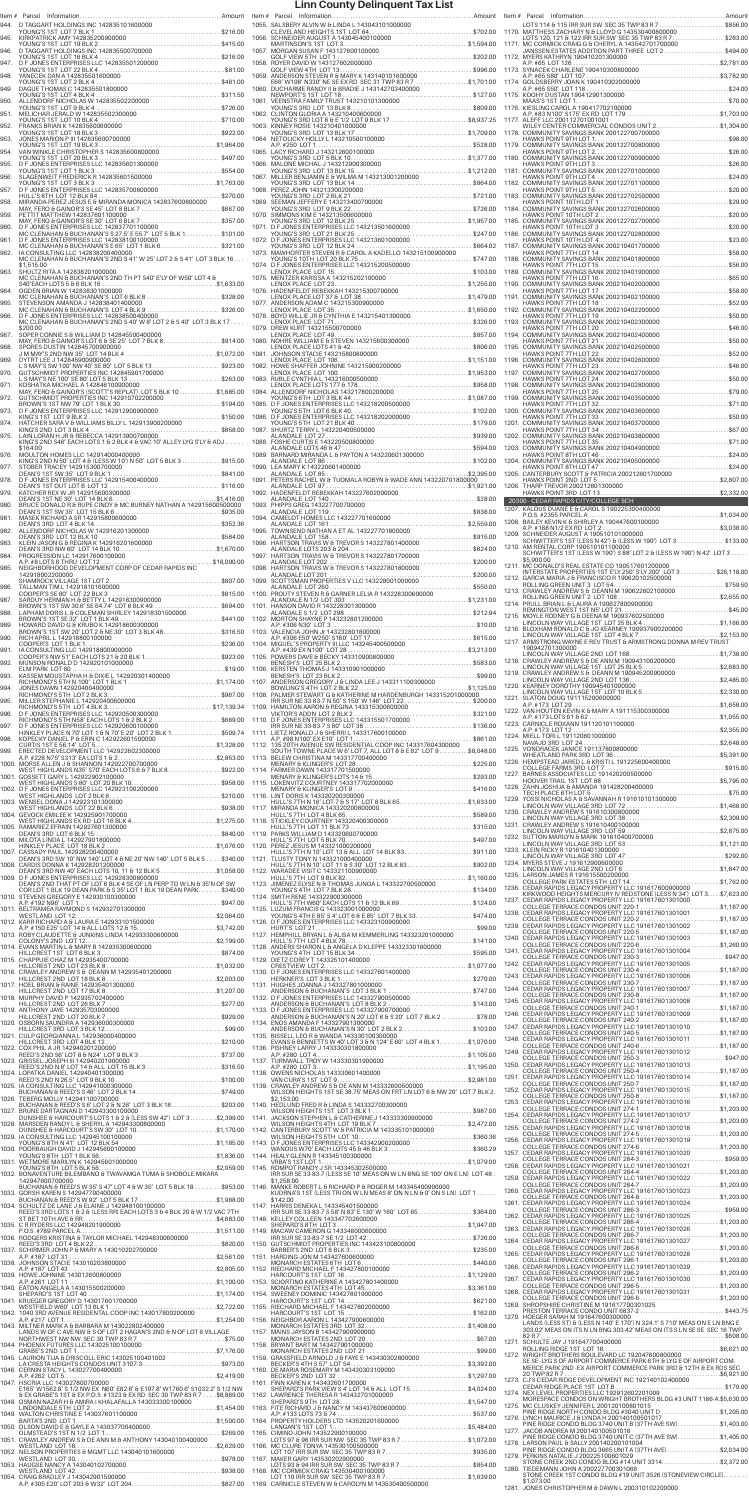|              | Item # Parcel                                                                                                                                                                                          |                             | Item#                 |            |
|--------------|--------------------------------------------------------------------------------------------------------------------------------------------------------------------------------------------------------|-----------------------------|-----------------------|------------|
| 944.<br>945. |                                                                                                                                                                                                        |                             | 1055. SA<br>1056. SC  | Сl         |
| 946.         |                                                                                                                                                                                                        |                             | 1057. M               | M.         |
| 947.         |                                                                                                                                                                                                        |                             | 1058. RO              | G0<br>G(   |
| 948.         |                                                                                                                                                                                                        |                             | 1059. AM              | Е6         |
| 949.<br>950. |                                                                                                                                                                                                        |                             | 1060. Dl<br>1061. VE  | NE         |
| 951.         |                                                                                                                                                                                                        |                             | 1062. CL              | YC         |
| 952.         |                                                                                                                                                                                                        |                             | 1063. KI              | YC<br>YC   |
| 953.         |                                                                                                                                                                                                        |                             | 1064. NE              | A.I        |
| 954.<br>955. |                                                                                                                                                                                                        |                             | 1065. LA<br>1066. M.  | YC         |
| 956.         |                                                                                                                                                                                                        |                             | 1067. MI              | YC         |
| 957.         |                                                                                                                                                                                                        |                             | 1068. PE              | YC<br>YC   |
| 958.         |                                                                                                                                                                                                        |                             | 1069. SE              | YC         |
| 959.<br>960. | PETTIT MATTHEW 142837601100000<br>ا المستمر العام العام 14283700 المن المستمر العام 150000<br>MAY, FERO & GAINOR'S SE 30' LOT 6 BLK 7 \$357.00<br>D F JONES ENTERPRISES LLC 142837701100000            |                             | 1070. SII<br>1071. D  | YC         |
| 961.         | MC CLENAHAN & BUCHANAN'S S 27.5' E 55.7' LOT 5 BLK 1 \$101.00<br>D F JONES ENTERPRISES LLC 142838100100000                                                                                             |                             | 1072. D               | YC         |
| 962.         | MC CLENAHAN & BUCHANAN'S E 65' LOT 1 BLK 6\$321.00<br>IA CONSULTING LLC 142838200400000<br>MC CLENAHAN & BUCHANAN'S 2ND S 41' W 25' LOT 2 & S 41' LOT 3 BLK 16                                         |                             | 1073. M.              | YC<br>YC   |
| 963.         | \$1,515.00<br>SHULTZ RITA A 142838201000000                                                                                                                                                            |                             | 1074. D               | LE         |
| 964.         | MC CLENAHAN & BUCHANAN'S 2ND TH PT S40' E'LY OF W50' LOT 4 &<br>OGDEN BRIAN W 142838301000000                                                                                                          |                             | 1075. MI<br>1076. H/  | LE         |
| 965.         | MC CLENAHAN & BUCHANAN'S LOT 6 BLK 8 \$328.00<br>STEVENSON AMANDA J 142838401400000                                                                                                                    |                             | 1077. AM              | LE         |
| 966.         | STEVENSON AMANDA J 142838401400000<br>MC CLENAHAN & BUCHANAN'S LOT 4 BLK 9 \$326.00<br>D F JONES ENTERPRISES LLC 142838500400000<br>MC CLENAHAN & BUCHANAN'S 2ND S 40' W 8' LOT 2 & S 40' LOT 3 BLK 17 |                             | 1078. BO              | LE<br>LE   |
| 967.         | \$200.00<br>SOPER CONNIE S & WILLIAM D 142845500400000                                                                                                                                                 |                             | 1079. DF              | LE         |
| 968.         | MAY, FERO & GAINOR'S LOT 6 & SE 25' LOT 7 BLK 8\$914.00<br>SPORES DUSTIN 142845700900000                                                                                                               |                             | 1080. NO<br>1081. JC  | LE         |
| 969.         | DYTRT LEE J 142845900900000                                                                                                                                                                            |                             | 1082. HO              | LE         |
| 970.<br>971. | KOSHATKA MICHAEL A 142846100900000                                                                                                                                                                     |                             | 1083. RL              | LE<br>LE   |
| 972.         |                                                                                                                                                                                                        |                             | 1084. AL              | YC         |
| 973.         |                                                                                                                                                                                                        |                             | 1085. D<br>1086. D    | YC         |
| 974.         |                                                                                                                                                                                                        |                             | 1087. SH              | YC         |
| 975.         | LAIN LORAN H JR & REBECCA 142913900700000<br>KING'S 2ND S46' EACH LOTS 1 & 2 BLK 4 & VAC 10' ALLEY LYG S'LY & ADJ<br>\$164.00                                                                          |                             | 1088. FC              | AL<br>AL   |
| 976.         | MOULTON HOMES LLC 142914000400000<br>KING'S 2ND N 50' LOT 4 & (LESS W 10') N 50' LOT 5 BLK 3  \$915.00                                                                                                 |                             | 1089. BA              | AL         |
| 977.<br>978. | STOBER TRACEY 142915300700000<br>DEAN'S 1ST SW 35' LOT 9 BLK 1<br>D F JONES ENTERPRISES LLC 142915400400000                                                                                            |                             | 1090. LE<br>1091. PE  | AL         |
| 979.         | S1ST OUT LOT BLOT 12<br>DEAN<br>KATCHER REX W JR 142915600300000                                                                                                                                       |                             | 1092. H/              | AL         |
| 980.         |                                                                                                                                                                                                        |                             | 1093. PH              | AL<br>AL   |
| 981.<br>982. | MASEK RICHARD A SR 142915800600000                                                                                                                                                                     |                             | 1094. C/<br>1095. TO  | AL         |
| 983.         |                                                                                                                                                                                                        |                             | 1096. H/              | AL         |
| 984.         | PROGRESSION LC 142917600100000                                                                                                                                                                         |                             | 1097. H/              | AL<br>AL   |
| 985.         | 142918002200000                                                                                                                                                                                        |                             | 1098. H/              | AL         |
| 986.         | TALLMAN TIM L 142918101600000                                                                                                                                                                          |                             | 1099. SC              | AL         |
| 987.         | TALLING THE RIVER TO LOT 22 BLK 3<br>SARDUY HERMAN H & BETTY L 142918300900000<br>SARDUY HERMAN H & BETTY L 1429183009000000                                                                           |                             | 1100. PF<br>1101. H/  | AL         |
| 988.         | SANDUT HENNINN H & BETTTL 1429 18300900000<br>BROWN'S 1ST SW 30.6' SE 64.74' LOT 6 BLK 49\$694.00<br>LAPHAM DORIS L & COLEMAN SHIRLEY 1429 18301500000<br>BROWN'S 1ST SE 32' LOT 1 BLK 49              |                             | 1102. M               | AL         |
| 989.<br>990. | HOWARD DAVID G & KRUBO K 142918600300000<br>BROWN'S 1ST SW 20' LOT 2 & NE 30' LOT 3 BLK 48\$316.50<br>RICH APRIL L 142918800100000                                                                     |                             | 1103. VA              | A.I<br>A.I |
| 991.         | \$236.00<br>COOPER'S LOT 1 BLK 1<br>IA CONSULTING LLC 142918800900000<br>COOPER'S NW 51' EACH LOTS 21 & 20 BLK 1\$923.00                                                                               |                             | 1104. MI<br>1105. PC  | A.I        |
| 992.         | MUNSON RONALD D 142920101000000                                                                                                                                                                        |                             | 1106. KE              | BE         |
| 993.<br>994. |                                                                                                                                                                                                        |                             | 1107. AM              | BE<br>B    |
| 995.         |                                                                                                                                                                                                        |                             | 1108. PA              | IR         |
| 996.         |                                                                                                                                                                                                        |                             | 1109. H/<br>1110. D   | VI         |
| 997.         | D F JONES ENTERPRISES LLC 142920600100000<br>HINKLEY PLACE N 70' LOT 1 & N 70' E 20' LOT 2 BLK 1\$509.74                                                                                               |                             | 1111. LII             | IR         |
| 998.<br>999. | KOPECKY DANIEL P & ERIN C 142922601500000                                                                                                                                                              |                             | 1112. 13              | A.I<br>SC  |
|              | 1000. MORSE ALLEN J & SHANNON 142922700700000                                                                                                                                                          |                             | 1113. BE              | M          |
|              | WEST HIGHLANDS N35' S70' EACH LOTS 6 & 7 BLK 8 \$922.00<br>1001. GOSSETT GARY L 142922902100000                                                                                                        |                             | 1114. FA<br>1115. LC  | M          |
|              |                                                                                                                                                                                                        |                             | 1116. LII             | M          |
|              | 1003. WENSEL DONA J 142923101300000<br>1004. GEVOCK EMILEE K 142925901700000                                                                                                                           |                             | 1117. MI              | H<br>Н١    |
|              | WEST HIGHLANDS EX RD LOT 16 BLK 4\$1,275.00                                                                                                                                                            |                             | 1118. ST              | Н١         |
|              |                                                                                                                                                                                                        |                             | 1119. PA<br>1120. PE  | Н١         |
|              | 1007. CASSADY PAUL 142928200400000<br>DEAN'S 3RD SW 10' NW 140' LOT 4 & NE 20' NW 140' LOT 5 BLK 5  \$340.00                                                                                           |                             | 1121. TL              | Н١         |
|              | 1008. CARDIS DONNA K 142928201200000<br>DEAN'S 3RD NW 40' EACH LOTS 10, 11 & 12 BLK 5\$1,058.00<br>1009. D F JONES ENTERPRISES LLC 142928300800000                                                     |                             | 1122. W.              | Н١<br>Н١   |
|              | DEAN'S 2ND THAT PT OF LOT 6 BLK 4 SE OF LN PERP TO W LN & 35'N OF SW<br>COR LOT 1 BLK 19 DEAN PARK & S 35' LOT 1 BLK 19 DEAN PARK \$340.00                                                             |                             | 1123. JII             | YC         |
|              | 1010. STEVENS GREGORY E 142930100300000                                                                                                                                                                |                             | 1124. SM<br>1125. LL  | Н١         |
|              |                                                                                                                                                                                                        |                             | 1126. D               | YC         |
|              | $\cdots$ \$2,199.00<br>COLONY'S 2ND LOT 12                                                                                                                                                             |                             | 1127. HE              | H<br>Н١    |
|              |                                                                                                                                                                                                        |                             | 1128. AM              | YC         |
| 1015.        | CHAPPUIE CHAZ M 142935400700000                                                                                                                                                                        |                             | 1129. DI<br>1130. DI  | СF         |
|              |                                                                                                                                                                                                        |                             | 1131. HI              | HE         |
|              | 1018. MURPHY DAVID P 142935702400000                                                                                                                                                                   |                             | 1132. D               | Α١<br>Α١   |
|              | 1019. ANTHONY JAYE 142935703000000                                                                                                                                                                     |                             | 1133. D               | Α١         |
|              |                                                                                                                                                                                                        |                             | 1134. EM<br>1135. BI  | Α١         |
|              | 1022. COX PHIL A JR 142940201200000<br>REED'S 2ND S6' LOT 8 & N24' LOT 9 BLK 3 \$737.00                                                                                                                |                             | 1136. PI:             | E١         |
|              | 1023. GRISSEL JOSEPH III 142940201900000<br>REED'S 2ND N 8' LOT 14 & ALL LOT 15 BLK 3 \$316.50                                                                                                         |                             | 1137. TL              | A.I<br>A.I |
|              | 1024. LOPATKA DANIEL 142940401300000                                                                                                                                                                   |                             | 1138. OI<br>1139. CF  | V۶         |
|              | 1025. IA CONSULTING LLC 142941000300000<br>BUCHANAN & REED'S S 46' LOT 2 BLK 14\$749.00<br>1026. TEBERG MOLLY 142941100700000                                                                          |                             |                       | W<br>\$2   |
|              | BUCHANAN & REED'S S 6' LOT 2 & N 26' LOT 3 BLK 18\$203.00<br>1027. BRUNE DARTAGNAN D 142943300100000<br>DUNSHEE & HARCOURT'S LOTS 1 & 2 & (LESS SW 42') LOT 3\$2,399.00                                |                             | 1140. HE<br>1141. JA  | W          |
|              | 1028. MARSDEN RANDY L & SHERYL A 142943300800000<br>DUNSHEE & HARCOURT'S SW 30' LOT 10\$1,170.00                                                                                                       |                             | 1142. C/              | W          |
|              |                                                                                                                                                                                                        |                             | 1143. D               | W<br>W.    |
|              |                                                                                                                                                                                                        |                             | 1144. HE              | VF         |
|              | 142947600700000                                                                                                                                                                                        | $\ldots \ldots$ .\$2,059.00 | 1145. RO              | IR<br>\$1  |
|              | BUCHANAN & REED'S W 35' S 47' LOT 4 & W 35' LOT 5 BLK 18 \$953.00<br>1033. GORSH KAREN S 142947700400000                                                                                               |                             | 1146. M.              | KL         |
|              | BUCHANAN & REED'S W 92' LOT 5 BLK 17 \$1,988.00<br>1034. SCHULTZ DE LANE J & ELAINE J 142948100100000<br>REED'S 3RD LOTS 1 & 2 & (LESS RR) EACH LOTS 3 & 4 BLK 20 & W 1/2 VAC 7TH                      |                             | 1147. H/              | \$1<br>IR  |
|              |                                                                                                                                                                                                        |                             | 1148. KE              | S⊦         |
|              |                                                                                                                                                                                                        |                             | 1149. M.<br>1150. Gl  | IR         |
|              |                                                                                                                                                                                                        |                             | 1151. H/              | Βŀ         |
|              |                                                                                                                                                                                                        |                             | 1152. RII             | M<br>H     |
|              | 1040. EATON ANGELA A 143015500200000                                                                                                                                                                   |                             | 1153. SC              | M          |
|              | SHEPARD'S 1ST LOT 40<br>1041. KRUEGER GREGORY D 143017601700000                                                                                                                                        |                             | 1154. SV<br>1155. RI  | H          |
|              | A.P. #217 LOT 1                                                                                                                                                                                        |                             | 1156. NE              | Hł         |
|              | 1043. MILTNER MARK A & BARBARA M 143022802400000<br>LANDS W OF C AVE NW & S OF LOT 2 HAGAN'S 2ND & N OF LOT 6 VILLAGE                                                                                  |                             | 1157. M.              | M<br>M     |
|              | 1044. PHOENIX FUTURES LLC 143025100100000<br>$\ldots \ldots \ldots \ldots \ldots \ldots \ldots \ldots$ \$7,176.00<br>GRABE'S 2ND LOT 1                                                                 |                             | 1158. BF              | M          |
|              | 1045. LAURION TIJA & DRISCOLL ERIC 143025100401002<br>LA CRESTA HEIGHTS CONDOS UNIT 3107-3\$973.00<br>1046. CERNIN STACY L 143027700400000                                                             |                             | 1159. GF<br>1160. DE  | BE         |
|              | A.P. #262 LOT 5.<br>1047. HSCRIA LLC 143027800700000<br>E165' W1562.8' S 1/2 NW EX N60' E82.8' & E197.8' W1760.6' S1032.2' S 1/2 NW                                                                    |                             | 1161. FII             | BE         |
|              | & EX GRABE'S 1ST & EX P.O.S. #1323 & EX RD SEC 30 TWP 83 R 7  \$8,869.00<br>1048. OSMAN NAZAR H & AMIRA I KHALAFALLA 143033300100000                                                                   |                             | 1162. LA              | S⊦<br>Sŀ   |
|              | 1049. WALTON CHRISTINE E 143037601100000                                                                                                                                                               |                             | 1163. FIT<br>1164. PF | A.I        |
|              | BARTA'S 2ND LOT 1<br>1050. OLSON DAVID E & GAYLE A 143037700400000<br>OLMSTEAD'S 1ST N 1/2 LOT 1.                                                                                                      | \$269.00                    | 1165. CI              | LA         |
|              | 1051. CRAWLEY ANDREW S & DE ANN M & ANTHONY 143040100400000<br>WESTLAND LOT 18<br>1052. NELSON PROPERTIES & MGMT LLC 143040101600000                                                                   |                             | 1166. M               | LC<br>LC   |
|              | 1053. HAUGSE NANCY A 143040102700000                                                                                                                                                                   |                             | 1167. M.              | LC         |
|              | WESTLAND LOT 42<br>1054. CRAIG BRADLEY J 143042901500000<br>A.P. #305 E20' LOT 203 & W32' LOT 204\$827.00                                                                                              |                             | 1168. M<br>1169. CA   | LC         |
|              |                                                                                                                                                                                                        |                             |                       |            |

| 1055. SALSBERY ALVIN W & LINDA L 143043101000000                                                                                                                                                                                             |                          |
|----------------------------------------------------------------------------------------------------------------------------------------------------------------------------------------------------------------------------------------------|--------------------------|
|                                                                                                                                                                                                                                              |                          |
|                                                                                                                                                                                                                                              |                          |
|                                                                                                                                                                                                                                              |                          |
|                                                                                                                                                                                                                                              |                          |
| 1060. DUCHARME RANDY II & BECX RD SEC 31 TWP 83 R 7\$1,701.00<br>1060. DUCHARME RANDY II & BRADIE J 143142703400000                                                                                                                          |                          |
|                                                                                                                                                                                                                                              |                          |
|                                                                                                                                                                                                                                              |                          |
|                                                                                                                                                                                                                                              |                          |
|                                                                                                                                                                                                                                              |                          |
| TO ALLIN TON GLORIA A 143210400600000<br>YOUNG'S 3RD LOT 8 & E 1/2 LOT 9 BLK 17<br>1063. KINNEY ROSIE 143210400100000<br>YOUNG'S 3RD LOT 13 BLK 17<br>YOUNG'S SRD LOT 13 BLK 17<br>YOUNG'S SRD LOT 13 BLK 17<br>TOMARD J 143210500100000<br> |                          |
|                                                                                                                                                                                                                                              |                          |
|                                                                                                                                                                                                                                              |                          |
|                                                                                                                                                                                                                                              |                          |
| 1068. PEREZ JOHN 143213300200000                                                                                                                                                                                                             |                          |
|                                                                                                                                                                                                                                              |                          |
|                                                                                                                                                                                                                                              |                          |
|                                                                                                                                                                                                                                              |                          |
|                                                                                                                                                                                                                                              |                          |
| TO THE RESERVED TO THE RESERVED TO THE RESERVED TO THE RESERVED TO THE RESERVED TO THE RESERVED TO THE RESERVED TO THE RESERVED TO THE RESERVED TO THE RESERVED TO THE RESERVED TO THE RESERVED TO THE RESERVED TO THE RESERVE               |                          |
|                                                                                                                                                                                                                                              |                          |
|                                                                                                                                                                                                                                              |                          |
|                                                                                                                                                                                                                                              |                          |
|                                                                                                                                                                                                                                              |                          |
|                                                                                                                                                                                                                                              |                          |
|                                                                                                                                                                                                                                              |                          |
|                                                                                                                                                                                                                                              |                          |
|                                                                                                                                                                                                                                              |                          |
| 1081. JOHNSON STACIE 143215800800000                                                                                                                                                                                                         |                          |
|                                                                                                                                                                                                                                              |                          |
|                                                                                                                                                                                                                                              |                          |
| LENOX PLACE LOTS 177 & 178<br>1084. ALLENDORE NICHOLAS 143217800200000                                                                                                                                                                       |                          |
|                                                                                                                                                                                                                                              |                          |
|                                                                                                                                                                                                                                              |                          |
| 1087. SHURTZ TERRY L 143220400500000                                                                                                                                                                                                         |                          |
|                                                                                                                                                                                                                                              |                          |
|                                                                                                                                                                                                                                              |                          |
| ALANDALE LOT 86                                                                                                                                                                                                                              |                          |
| 1090. LEA MARY K 143220601400000                                                                                                                                                                                                             |                          |
|                                                                                                                                                                                                                                              |                          |
|                                                                                                                                                                                                                                              |                          |
|                                                                                                                                                                                                                                              |                          |
|                                                                                                                                                                                                                                              |                          |
|                                                                                                                                                                                                                                              |                          |
| 1095. I OWNSEND NATHAN A ET AL 143227701800000<br>1096. HARITSON TRAVIS W & TREVOR'S 143227801400000<br>ALANDALE LOTS 203 & 204.<br>ALANDALE LOTS 203 & 204.<br>THE VOR S 143227801700000<br>ALANDALE LOT 202                                |                          |
|                                                                                                                                                                                                                                              |                          |
|                                                                                                                                                                                                                                              |                          |
|                                                                                                                                                                                                                                              |                          |
|                                                                                                                                                                                                                                              |                          |
|                                                                                                                                                                                                                                              |                          |
|                                                                                                                                                                                                                                              |                          |
|                                                                                                                                                                                                                                              |                          |
|                                                                                                                                                                                                                                              |                          |
|                                                                                                                                                                                                                                              |                          |
|                                                                                                                                                                                                                                              |                          |
|                                                                                                                                                                                                                                              |                          |
|                                                                                                                                                                                                                                              |                          |
|                                                                                                                                                                                                                                              |                          |
|                                                                                                                                                                                                                                              |                          |
|                                                                                                                                                                                                                                              |                          |
|                                                                                                                                                                                                                                              |                          |
|                                                                                                                                                                                                                                              |                          |
|                                                                                                                                                                                                                                              |                          |
|                                                                                                                                                                                                                                              |                          |
|                                                                                                                                                                                                                                              |                          |
|                                                                                                                                                                                                                                              |                          |
|                                                                                                                                                                                                                                              |                          |
| 1109. HAMILTON AARON 6 REGINA 143315300600000<br>VIKTOR'S ADDN LOT 2 BLK 2<br>THE SURVEY SAND AND THE SECTION AND THE SECTION OF JONES ENTERPRISES LLC 143315601700000<br>IR SUR NE SUR NE SURVEY SAND J & SHERRI L 14331760010              |                          |
| 1116. LINT DORIS K 143320200300000<br>HULL'S 7TH N 16' LOT 7 & S 17' LOT 8 BLK 65\$1,633.00<br>1117. MIRANDA MONICA 143320200800000                                                                                                          |                          |
|                                                                                                                                                                                                                                              |                          |
|                                                                                                                                                                                                                                              |                          |
|                                                                                                                                                                                                                                              |                          |
|                                                                                                                                                                                                                                              |                          |
|                                                                                                                                                                                                                                              |                          |
|                                                                                                                                                                                                                                              |                          |
|                                                                                                                                                                                                                                              |                          |
|                                                                                                                                                                                                                                              |                          |
|                                                                                                                                                                                                                                              |                          |
|                                                                                                                                                                                                                                              |                          |
|                                                                                                                                                                                                                                              |                          |
| 15 BLK 34.<br>YOUNG'S 4TH LOT                                                                                                                                                                                                                | $\ldots \ldots$ \$595.00 |
| 1129. DIETZ COREY T 143325101400000                                                                                                                                                                                                          |                          |
|                                                                                                                                                                                                                                              |                          |
|                                                                                                                                                                                                                                              |                          |
|                                                                                                                                                                                                                                              |                          |
| 1133. DE JONES ENTERPRISES LLC 143327900700000<br>ANDERSON & BUCHANAN'S N 20' LOT 6 & S 20' LOT 7 BLK 2 \$78.00                                                                                                                              |                          |
| 1134. ENOS AMANDA F 143327901300000                                                                                                                                                                                                          |                          |
|                                                                                                                                                                                                                                              |                          |
| 1136. PISHNEY LARRY J 143330301800000                                                                                                                                                                                                        |                          |
|                                                                                                                                                                                                                                              |                          |
| 1138. OWENS NICHOLAS 143330601400000                                                                                                                                                                                                         |                          |
|                                                                                                                                                                                                                                              |                          |
| WILSON HEIGHTS 1ST SE 38.75' MEAS ON FRT LN LOT 6 & NW 20' LOT 7 BLK 2.<br>\$2.153.00                                                                                                                                                        |                          |
| 1140. HEDLUND FRED R & LINDA S 143332700300000                                                                                                                                                                                               |                          |
|                                                                                                                                                                                                                                              |                          |
|                                                                                                                                                                                                                                              |                          |
|                                                                                                                                                                                                                                              |                          |
|                                                                                                                                                                                                                                              |                          |
|                                                                                                                                                                                                                                              |                          |
| IRR SUR SE 33-83-7 (LESS SE 10' MEAS ON W LN BNG SE 100' ON E LN) LOT 48.<br>\$1,258.00<br>1146. MANKE ROBERT L & RICHARD P & ROGER M 143345400900000                                                                                        |                          |
| KUDRNA'S 1ST (LESS TRI ON W LN MEAS 8' ON N LN & 0' ON S LN) LOT 1                                                                                                                                                                           |                          |
| \$142.00<br>1147. HARRIS DENEKA L 143345401500000                                                                                                                                                                                            |                          |
|                                                                                                                                                                                                                                              |                          |
|                                                                                                                                                                                                                                              |                          |
| SHEPARD'S 8TH LOT 3<br>1149. MACAW CAMERON G. 143348000600000<br>1149. MACAW CAMERON G. 143348000600000                                                                                                                                      |                          |
|                                                                                                                                                                                                                                              |                          |
| 1151. HARDING JON M 143427600600000                                                                                                                                                                                                          |                          |
| 1152. RIECHARD MICHAEL F 143427800100000                                                                                                                                                                                                     |                          |
|                                                                                                                                                                                                                                              |                          |
|                                                                                                                                                                                                                                              |                          |
|                                                                                                                                                                                                                                              |                          |
|                                                                                                                                                                                                                                              |                          |
|                                                                                                                                                                                                                                              |                          |
| 1158. BRYANT BART M 143427901000000                                                                                                                                                                                                          |                          |
|                                                                                                                                                                                                                                              |                          |
|                                                                                                                                                                                                                                              |                          |
|                                                                                                                                                                                                                                              |                          |
| 1160. DE MARIA ROSEMARY M 143430303100000<br>BECKER'S 2ND LOT 32<br>1161. FINN KAREN K 143432601700000<br>SHEPARD'S PARK VIEW S 4' LOT 14 & ALL LOT 15\$4,024.00                                                                             |                          |
| 1163. FITE RICHARD J & NANCY M 143437600600000                                                                                                                                                                                               |                          |
|                                                                                                                                                                                                                                              |                          |
| 1164. PROPERTY HOLDERS LTD 143520201600000<br>\$5,484.00<br>LANGAN'S 1ST LOT 1.                                                                                                                                                              |                          |
| 1165. CIMINO JOHN 143522900100000<br>LOTS 97 & 98 IRR SUR NW SEC 35 TWP 83 R 7 \$1,072.00                                                                                                                                                    |                          |
| 1166. MC CLURE TONYA 143530100500000                                                                                                                                                                                                         |                          |
| 1167. MAKER GARY 143530202900000                                                                                                                                                                                                             |                          |
| 1168. MC CORMICK CRAIG 143530400100000<br>1168. MC CORMICK CRAIG 143530400100000<br>LOT 110 IRR SUR SW SEC 35 TWP 83 R 7\$1,639.00<br>1169. MC CORMICK CRAIG 143530400100000<br>1169. CARNICLE STEVEN W & CAROLYN M 143530400500000          |                          |

|                | LOTS 114 & 115 IRR SUR SW SEC 35 TWP 83 R 7\$856.00<br>1170. MATTHESS ZACHARY N & LLOYD G 143530400800000                                                                                                                              |  |
|----------------|----------------------------------------------------------------------------------------------------------------------------------------------------------------------------------------------------------------------------------------|--|
| 1171.          | MATHER AND THE RELEASED OF THE RELEASED OF THE RELEASED OF THE RELEASED OF THE RELEASED OF THE RELEASED OF THE RELEASED OF THE RELEASED OF THE RELEASED OF THE RELEASED OF THE RELEASED OF THE RELEASED OF THE RELEASED OF THE         |  |
| 1172.          | MYERS KATHRYN 190410201300000                                                                                                                                                                                                          |  |
|                |                                                                                                                                                                                                                                        |  |
| 1175.<br>1176. |                                                                                                                                                                                                                                        |  |
|                | 1177. ALEFF LLC 200112701001001                                                                                                                                                                                                        |  |
|                | WILEY CENTER COMMERCIAL CONDOS UNIT 2\$1,304.00                                                                                                                                                                                        |  |
|                |                                                                                                                                                                                                                                        |  |
|                |                                                                                                                                                                                                                                        |  |
|                |                                                                                                                                                                                                                                        |  |
|                |                                                                                                                                                                                                                                        |  |
|                |                                                                                                                                                                                                                                        |  |
|                |                                                                                                                                                                                                                                        |  |
|                |                                                                                                                                                                                                                                        |  |
|                |                                                                                                                                                                                                                                        |  |
|                |                                                                                                                                                                                                                                        |  |
|                |                                                                                                                                                                                                                                        |  |
|                |                                                                                                                                                                                                                                        |  |
|                |                                                                                                                                                                                                                                        |  |
|                |                                                                                                                                                                                                                                        |  |
|                |                                                                                                                                                                                                                                        |  |
|                |                                                                                                                                                                                                                                        |  |
|                |                                                                                                                                                                                                                                        |  |
|                |                                                                                                                                                                                                                                        |  |
|                |                                                                                                                                                                                                                                        |  |
|                |                                                                                                                                                                                                                                        |  |
|                | 1204. COMMUNITY SAVINGS BANK 200210405000000<br>HAWKS POINT 8TH LOT 47<br>1205. CANTERBURY SCOTT & PATRICIA 200212601700000                                                                                                            |  |
|                | \$2,807.00<br>HAWKS POINT 2ND LOT 5.<br>1206. THARP TREVOR 200212801300000                                                                                                                                                             |  |
|                |                                                                                                                                                                                                                                        |  |
|                | 1207. KALOUS DUANE E & CAROL S 190225300400000<br>1207. KALOUS DUANE E & CAROL S 190225300400000<br>P.O.S. #2355 PARCEL A WARRENT MARCHARD NOS. #2355 PARCEL A                                                                         |  |
|                | 1209. SCHNEIDER AUGUST A 190510101000000<br>SCHWITTER'S 1ST (LESS N 42') & (LESS W 190') LOT 3 \$133.00                                                                                                                                |  |
|                | 1210. AM RENTAL CORP 190510101100000<br>SCHWITTER'S 1ST (LESS W 190') S 88' LOT 2 & (LESS W 190') N 42' LOT 3                                                                                                                          |  |
|                | \$5,900.00<br>1211. MC DONALD'S REAL ESTATE CO 190517601200000<br>INTERSTATE PROPERTIES 1ST E'LY 250' S'LY 200' LOT 3 \$26,118.00                                                                                                      |  |
|                |                                                                                                                                                                                                                                        |  |
|                |                                                                                                                                                                                                                                        |  |
|                | 1215. MOYLE RODNEY G & DEENA M 190937602500000<br>LINCOLN WAY VILLAGE 1ST LOT 25 BLK 4\$1,166.00                                                                                                                                       |  |
|                | 1216. BLOXHAM RONALD C & JO KEARNEY 190937900200000<br>LINCOLN WAY VILLAGE 1ST LOT 4 BLK 7 \$2,153.00                                                                                                                                  |  |
|                | 1217. ARMSTRONG WAYNE E REV TRUST & ARMSTRONG DONNA M REV TRUST<br>190942701300000                                                                                                                                                     |  |
|                | 1218. CRAWLEY ANDREW S & DE ANN M 190943100200000<br>LINCOLN WAY VILLAGE 1ST LOT 25 BLK 5\$2,683.00                                                                                                                                    |  |
|                | 1220. KEARNEY DOROTHY 190945401000000                                                                                                                                                                                                  |  |
|                |                                                                                                                                                                                                                                        |  |
|                |                                                                                                                                                                                                                                        |  |
|                |                                                                                                                                                                                                                                        |  |
|                |                                                                                                                                                                                                                                        |  |
|                |                                                                                                                                                                                                                                        |  |
|                |                                                                                                                                                                                                                                        |  |
|                |                                                                                                                                                                                                                                        |  |
|                |                                                                                                                                                                                                                                        |  |
|                |                                                                                                                                                                                                                                        |  |
|                |                                                                                                                                                                                                                                        |  |
|                | 1233. KLEIN RICKY R 191610401300000                                                                                                                                                                                                    |  |
|                | 1234. MYERS STEVE J 191612900600000                                                                                                                                                                                                    |  |
|                | 1235. LARSON JAMES R 191615500200000<br>COLLEGE PARK ESTATES 5TH LOT 14\$1,762.00<br>1236. CEDAR RAPIDS LEGACY PROPERTY LLC 191617600900000                                                                                            |  |
|                | KIRKWOOD HEIGHTS MERCURY IV REDSTONE (LESS N 34') LOT 3 \$7,623.00<br>1237. CEDAR RAPIDS LEGACY PROPERTY LLC 191617601301000                                                                                                           |  |
|                | COLLEGE TERRACE CONDOS UNIT 220-1\$1,187.00<br>1238. CEDAR RAPIDS LEGACY PROPERTY LLC 191617601301001                                                                                                                                  |  |
|                | 1239. CEDAR RAPIDS LEGACY PROPERTY LLC 191617601301002<br>1240. CEDAR RAPIDS LEGACY PROPERTY LLC 191617601301003                                                                                                                       |  |
|                |                                                                                                                                                                                                                                        |  |
|                | 1242. CEDAR RAPIDS LEGACY PROPERTY LLC 191617601301005<br>COLLEGE TERRACE CONDOS UNIT 230-4 \$1,187.00                                                                                                                                 |  |
|                |                                                                                                                                                                                                                                        |  |
|                |                                                                                                                                                                                                                                        |  |
|                | VOLLEGE TERRACE CONDOS UNIT 230-7<br>1243. CEDAR RAPIDS LEGACY PROPERTY LLC 191617601301006<br>COLLEGE TERRACE CONDOS UNIT 230-7<br>1244. CEDAR RAPIDS LEGACY PROPERTY LLC 191617601301007<br>244. CEDAR RAPIDS LEGACY PROPERTY LLC 19 |  |
|                |                                                                                                                                                                                                                                        |  |
|                | 1248. CEDAR RAPIDS LEGACY PROPERTY LLC 191617601301011<br>COLLEGE TERRACE CONDOS UNIT 240-6 \$1,187.00                                                                                                                                 |  |
|                | 1249. CEDAR RAPIDS LEGACY PROPERTY LLC 191617601301012<br>COLLEGE TERRACE CONDOS UNIT 250-3 \$947.00<br>1250. CEDAR RAPIDS LEGACY PROPERTY LLC 191617601301013<br>COLLEGE TERRACE CONDOS UNIT 250-4\$1,187.00                          |  |
|                | 1251. CEDAR RAPIDS LEGACY PROPERTY LLC 191617601301014<br>COLLEGE TERRACE CONDOS UNIT 250-7 \$1,187.00                                                                                                                                 |  |
|                | 1252. CEDAR RAPIDS LEGACY PROPERTY LLC 191617601301015<br>COLLEGE TERRACE CONDOS UNIT 250-8 \$1,187.00                                                                                                                                 |  |
|                | 1253. CEDAR RAPIDS LEGACY PROPERTY LLC 191617601301016<br>COLLEGE TERRACE CONDOS UNIT 274-1 \$1,203.00<br>1254. CEDAR RAPIDS LEGACY PROPERTY LLC 191617601301017<br>COLLEGE TERRACE CONDOS UNIT 274-2 \$1,203.00                       |  |
|                | 1255. CEDAR RAPIDS LEGACY PROPERTY LLC 191617601301018<br>COLLEGE TERRACE CONDOS UNIT 274-5\$1,203.00                                                                                                                                  |  |
|                | 1256. CEDAR RAPIDS LEGACY PROPERTY LLC 191617601301019<br>COLLEGE TERRACE CONDOS UNIT 2746\$1,203.00                                                                                                                                   |  |
|                | 1257. CEDAR RAPIDS LEGACY PROPERTY LLC 191617601301020<br>COLLEGE TERRACE CONDOS UNIT 284-3<br>1258. CEDAR RAPIDS LEGACY PROPERTY LLC 191617601301021<br>COLLEGE TERRACE CONDOS UNIT 284-4\$1,203.00                                   |  |
|                | 1259. CEDAR RAPIDS LEGACY PROPERTY LLC 191617601301022<br>COLLEGE TERRACE CONDOS UNIT 284-7                                                                                                                                            |  |
|                | 1260. CEDAR RAPIDS LEGACY PROPERTY LLC 191617601301023<br>COLLEGE TERRACE CONDOS UNIT 284-8\$1,203.00                                                                                                                                  |  |
|                | 1261. CEDAR RAPIDS LEGACY PROPERTY LLC 191617601301024<br>COLLEGE TERRACE CONDOS UNIT 286-3<br>1262. CEDAR RAPIDS LEGACY PROPERTY LLC 191617601301025<br>COLLEGE TERRACE CONDOS UNIT 286-4\$1,203.00                                   |  |
|                |                                                                                                                                                                                                                                        |  |
|                |                                                                                                                                                                                                                                        |  |
|                |                                                                                                                                                                                                                                        |  |
|                | 1267. CEDAR RAPIDS LEGACY PROPERTY LLC 191617601301030<br>COLLEGE TERRACE CONDOS UNIT 296-5\$1,203.00                                                                                                                                  |  |
|                | 1268. CEDAR RAPIDS LEGACY PROPERTY LLC 191617601301031<br>COLLEGE TERRACE CONDOS UNIT 296-6 \$1,203.00<br>1269. SHROPSHIRE CHRISTINE M 191617700301025                                                                                 |  |
|                | 1270. HOEGER SARAH M 191647600300000                                                                                                                                                                                                   |  |
|                | LANDS (LESS ST) & (LESS N 140' E 170') N 324.1' S 710' MEAS ON E LN BNG E<br>303.02' MEAS ON ITS N LN BNG 303.42' MEAS ON ITS S LN SE SE SEC 16 TWP                                                                                    |  |
|                | 1271. SCHULTE JAY J 191647700400000                                                                                                                                                                                                    |  |
|                | 1272. WRIGHT BROTHERS BOULEVARD LC 192047600800000<br>SE SE-LYG S OF AIRPORT COMMERCE PARK 6TH & LYG E OF AIRPORT COM-<br>MERCE PARK 2ND - EX AIRPORT COMMERCE PARK 3RD & 12TH & EX RDS SEC                                            |  |
|                |                                                                                                                                                                                                                                        |  |
|                | 1274. NEX LEVEL PROPERTIES LLC 192912602201009<br>MORESPACE CONDOS ON WRIGHT BROTHERS BLDG #3 UNIT 1186-A.\$5,630.00                                                                                                                   |  |
|                | 1275. MC CLUSKEY JENNIFER L 200120100801015<br>PINE RIDGE NORTH CONDO BLDG #3040 UNIT D \$1,205.00<br>1276. LYNCH MAURICE J & LYNDA H 200140100501017                                                                                  |  |
|                | PINE RIDGE CONDO BLDG 3740 UNIT B (37TH AVE SW)\$1,403.00<br>1277. JACOB ANDREA M 200140100501018                                                                                                                                      |  |
|                | PINE RIDGE CONDO BLDG 3740 UNIT C (37TH AVE SW)\$1,405.00<br>1278. LARSON PAUL & SALLY 200140200101004<br>PINE RIDGE CONDO BLDG 3665 UNIT A (37TH AVE)\$2,034.00                                                                       |  |
|                | 1279. PERKINS NATALIE J 200225100601029<br>STONE CREEK 2ND CONDO BLDG #14 UNIT 3314\$2,372.00<br>1280. TIEDEMANN JOHN A 200227700301066<br>STONE CREEK 1ST CONDO BLDG #19 UNIT 3526 (STONEVIEW CIRCLE)                                 |  |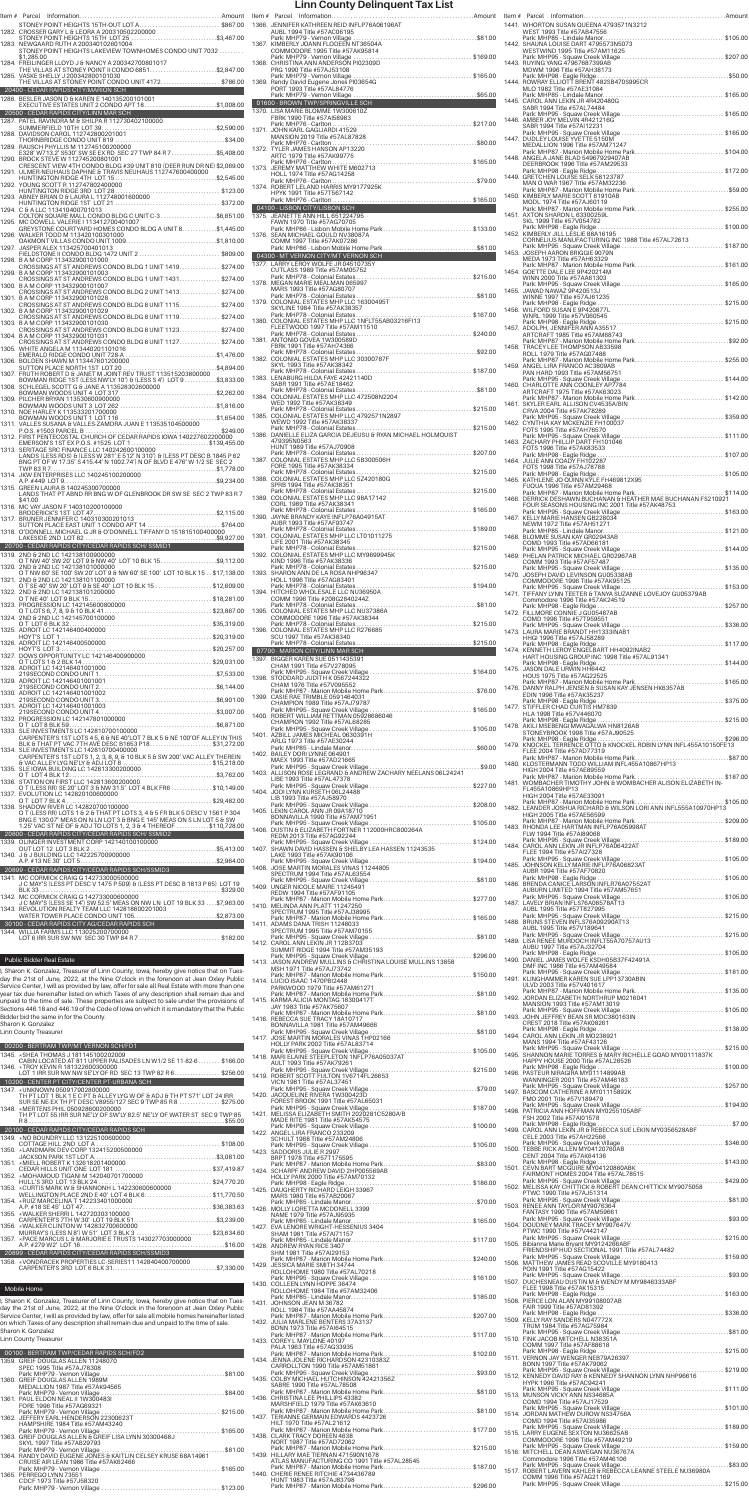|       | STONEY POINT HEIGHTS 15TH-OUT LOT A\$867.00                                                                                                              |  |
|-------|----------------------------------------------------------------------------------------------------------------------------------------------------------|--|
|       | 1283. NEWGAARD RUTH A 200340102601004                                                                                                                    |  |
|       | STONEY POINT HEIGHTS LAKEVIEW TOWNHOMES CONDO UNIT 7032<br>\$1,285.00                                                                                    |  |
|       | 1284. FREILINGER LLOYD J & NANCY A 200342700801017                                                                                                       |  |
|       | THE VILLAS AT STONEY POINT II CONDO 6851\$2,847.00<br>1285. VASKE SHELLY J 200342800101030                                                               |  |
|       | THE VILLAS AT STONEY POINT CONDO UNIT 4172\$786.00                                                                                                       |  |
|       | 20400 - CEDAR RAPIDS CITY/MARION SCH<br>1286. BESLER JASON D & KAREN E 140135200101001                                                                   |  |
|       | EXECUTIVE ESTATES UNIT 2 CONDO APT 18\$1,008.00                                                                                                          |  |
|       | 20500 - CEDAR RAPIDS CITY/LINN MAR SCH                                                                                                                   |  |
|       |                                                                                                                                                          |  |
|       |                                                                                                                                                          |  |
|       | E328' W713.2' S530' SW SE EX RD SEC 27 TWP 84 R 7\$5,408.00<br>1290. BROCK STEVE W 112745200801001                                                       |  |
|       | CRESCENT VIEW 4TH CONDO BLDG #39 UNIT 810 (DEER RUN DR NE) \$2,069.00                                                                                    |  |
|       | 1291. ULMER-NEUHAUS DAPHNE & TRAVIS NEUHAUS 112747600400000                                                                                              |  |
|       | 1292. YOUNG SCOTT R 112747802400000                                                                                                                      |  |
|       |                                                                                                                                                          |  |
|       | 1294. C & A LLC 113410400701013                                                                                                                          |  |
|       | COLTON SQUARE MALL CONDO BLDG C UNIT C-3\$6,651.00<br>1295. MC DOWELL VALERIE I 113412700401007                                                          |  |
|       | GREYSTONE COURTYARD HOMES CONDO BLDG A UNIT 8\$1,445.00<br>1296. WALKER TODD M 113420100301000                                                           |  |
|       |                                                                                                                                                          |  |
| 1297. | JASPER ALEX 113425700401013<br>FIELDSTONE II CONDO BLDG 1472 UNIT 2\$809.00                                                                              |  |
|       | 1298. B A M CORP 113432900101000<br>CROSSINGS AT ST ANDREWS CONDO BLDG 1 UNIT 1419\$274.00                                                               |  |
|       | 1299. B A M CORP 113432900101003<br>CROSSINGS AT ST ANDREWS CONDO BLDG 1 UNIT 1431\$274.00                                                               |  |
|       | 1300. B A M CORP 113432900101007                                                                                                                         |  |
|       | CROSSINGS AT ST ANDREWS CONDO BLDG 2 UNIT 1413\$274.00<br>1301. B A M CORP 113432900101028                                                               |  |
|       | CROSSINGS AT ST ANDREWS CONDO BLDG 8 UNIT 1115\$274.00<br>1302. B A M CORP 113432900101029                                                               |  |
|       | CROSSINGS AT ST ANDREWS CONDO BLDG 8 UNIT 1119\$274.00<br>1303. B A M CORP 113432900101030                                                               |  |
|       | CROSSINGS AT ST ANDREWS CONDO BLDG 8 UNIT 1123\$274.00                                                                                                   |  |
|       | 1304. B A M CORP 113432900101031<br>CROSSINGS AT ST ANDREWS CONDO BLDG 8 UNIT 1127\$274.00                                                               |  |
|       | 1305. WHITE ANGELA M 113440201101016                                                                                                                     |  |
|       |                                                                                                                                                          |  |
|       |                                                                                                                                                          |  |
| 1308. | BOWMAN RIDGE 1ST (LESS NW'LY 10') & (LESS S 4') LOT 9 \$3,833.00<br>SCHLEGEL SCOTT G & JANE A 113528302600000                                            |  |
|       | 1309. PILCHER BRYAN 113530600900000                                                                                                                      |  |
|       | 1310. NOE HARLEY K 113533201700000                                                                                                                       |  |
|       |                                                                                                                                                          |  |
|       |                                                                                                                                                          |  |
|       |                                                                                                                                                          |  |
|       | 1313. SERITAGE SRC FINANCE LLC 140242600100000                                                                                                           |  |
|       | SENTING (LESS RDS) & (LESS W 281' E 512' N 310') & (LESS PT DESC B 1845 P 62<br>BNG PT OF W 17.35' S 415.44' N 1002.74') N OF BLVD E 476' W 1/2 SE SEC 2 |  |
|       | 1314. JKW ENTERPRISES LLC 140245100200000                                                                                                                |  |
|       |                                                                                                                                                          |  |
|       | A.P. #449 LOT 9.<br>1315. GREEN LAURA B 140245300700000                                                                                                  |  |
|       | LANDS THAT PT ABND RR BNG W OF GLENBROOK DR SW SE SEC 2 TWP 83 R 7                                                                                       |  |
|       | \$41.00<br>1316. MC VAY JASON F 140310200100000                                                                                                          |  |
|       |                                                                                                                                                          |  |
|       |                                                                                                                                                          |  |
|       |                                                                                                                                                          |  |
|       | 20700 - CEDAR RAPIDS CITY/CEDAR RAPIDS SCH/SSMID1<br>1319. 2ND & 2ND LC 142138100900000                                                                  |  |
|       | O T NW 40' SW 20' LOT 9 & NW 40' LOT 10 BLK 15\$9,112.00<br>1320. 2ND & 2ND LC 142138101000000                                                           |  |
|       | O T NW 60' SE 100' SW 20' LOT 9 & NW 60' SE 100' LOT 10 BLK 15 \$17,138.00                                                                               |  |
|       | 1321. 2ND & 2ND LC 142138101100000<br>O T SE 40' SW 20' LOT 9 & SE 40' LOT 10 BLK 15 \$12,609.00                                                         |  |
|       | 1322. 2ND & 2ND LC 142138101200000                                                                                                                       |  |
|       |                                                                                                                                                          |  |
|       | 1324. 2ND & 2ND LC 142145700100000                                                                                                                       |  |
|       |                                                                                                                                                          |  |
|       | 1326. ADROIT LC 142146400500000                                                                                                                          |  |
|       | 1327. DOWS OPPORTUNITY LC 142146400900000                                                                                                                |  |
|       | 1328. ADROIT LC 142146401001000                                                                                                                          |  |
|       | 1329. ADROIT LC 142146401001001                                                                                                                          |  |
|       |                                                                                                                                                          |  |
|       | 1330. ADROIT LC 142146401001002                                                                                                                          |  |
|       | 1331. ADROIT LC 142146401001003                                                                                                                          |  |
|       | 1332. PROGRESSION LC 142147801000000<br>O TLOT 8 BLK 59                                                                                                  |  |
|       | 1333. SLE INVESTMENTS LC 142810700100000                                                                                                                 |  |
|       | CARPENTER'S 1ST LOTS 4 5, 6 & NE 40'LOT 7 BLK 5 & NE 100'OF ALLEY IN THIS<br>BLK & THAT PT VAC 7TH AVE DESC B1653 P18\$31,272.00                         |  |
|       | 1334. SLE INVESTMENTS LC 142810700400000<br>CARPENTER'S 1ST LOTS 1, 2, 3, 8, 9, & 10 BLK 5 & SW 200' VAC ALLEY THEREIN                                   |  |
|       | & VAC ALLEY LYG NE'LY & ADJ LOT 8 \$15,218.00<br>1335. SLE IOWA BUILDING LC 142813300200000                                                              |  |
|       | 1336. STATION ON FIRST LLC 142813600200000                                                                                                               |  |
|       | O T (LESS RR) SE 20' LOT 3 & NW 31.5' LOT 4 BLK FR6 \$10,149.00                                                                                          |  |
|       | 1337. EVOLUTION LC 142820100600000<br>O T LOT 7 BLK 4<br>\$29,482.00                                                                                     |  |
| 1338. | SHADOW RIVER LC 142820700100000<br>O T (LESS RR) LOTS 1 & 2 & THAT PT LOTS 3, 4 & 5 FR BLK 5 DESC V 1561 P 304                                           |  |
|       | BNG E 130.07' MEAS ON N LN LOT 3 & BNG E 145' MEAS ON S LN LOT 5 & SW<br>1.25' VAC ST NE OF & ADJ TO LOTS 1, 2, 3 & 4 THEREOF \$110,728.00               |  |
|       | 20800 - CEDAR RAPIDS CITY/CEDAR RAPIDS SCH/SSMID2                                                                                                        |  |
|       | 1339. OLINGER INVESTMENT CORP 142140100100000                                                                                                            |  |
|       | 1340. J & J BUILDING LLC 142225700900000                                                                                                                 |  |
|       | 20899 - CEDAR RAPIDS CITY/CEDAR RAPIDS SCH/SSMID3                                                                                                        |  |
|       | 1341. MC CORMICK CRAIG G 142733000500000                                                                                                                 |  |
|       | J C MAY'S (LESS PT DESC V 1475 P 509) & (LESS PT DESC B 1813 P 65) LOT 19                                                                                |  |
|       | 1342. MC CORMICK CRAIG G 142733000600000<br>J C MAY'S (LESS SE 14') SW 52.5' MEAS ON NW LN LOT 19 BLK 33\$7,963.00                                       |  |
|       | 1343. REVOLUTION REALTY TEAM LLC 142818600201003                                                                                                         |  |
|       | 30100 - CEDAR RAPIDS CITY AG/CEDAR RAPIDS SCH<br>1344. WILLIA FARMS LLC 113025200700000                                                                  |  |

| <b>Public Bidder Real Estate</b>                                                                                                                                                                                                                                                                                                                                                                                                                                                                                                                                                                                                                          |
|-----------------------------------------------------------------------------------------------------------------------------------------------------------------------------------------------------------------------------------------------------------------------------------------------------------------------------------------------------------------------------------------------------------------------------------------------------------------------------------------------------------------------------------------------------------------------------------------------------------------------------------------------------------|
| I, Sharon K. Gonzalez, Treasurer of Linn County, Iowa, hereby give notice that on Tues-<br>day the 21st of June, 2022, at the Nine O'clock in the forenoon at Jean Oxley Public<br>Service Center, I will as provided by law, offer for sale all Real Estate with more than one<br>year tax due hereinafter listed on which Taxes of any description shall remain due and<br>unpaid to the time of sale. These properties are subject to sale under the provisions of<br>Sections 446.18 and 446.19 of the Code of lowa on which it is mandatory that the Public<br>Bidder bid the same in for the County.<br>Sharon K. Gonzalez<br>Linn County Treasurer |
| 00200 - BERTRAM TWP/MT VERNON SCH/FD1                                                                                                                                                                                                                                                                                                                                                                                                                                                                                                                                                                                                                     |
| 1345. * SHEA THOMAS J 181145100202009<br>CABIN LOCATED AT 811 UPPER PALISADES LN W1/2 SE 11-82-6 \$166.00                                                                                                                                                                                                                                                                                                                                                                                                                                                                                                                                                 |
| 1346. * TROY KEVIN R 181322600300000<br>LOT 1 IRR SUR NW NW SE'LY OF RD SEC 13 TWP 82 R 6\$256.00                                                                                                                                                                                                                                                                                                                                                                                                                                                                                                                                                         |
| 10200 - CENTER PT CITY/CENTER PT-URBANA SCH                                                                                                                                                                                                                                                                                                                                                                                                                                                                                                                                                                                                               |
| 1347. * UNKNOWN 050917902800000                                                                                                                                                                                                                                                                                                                                                                                                                                                                                                                                                                                                                           |
| TH PT LOT 1 BLK 1 E C PT & ALLEY LYG W OF & ADJ & TH PT S71' LOT 24 IRR                                                                                                                                                                                                                                                                                                                                                                                                                                                                                                                                                                                   |
| SUR SE NE-EX TH PT DESC V8955/127 SEC 9 TWP 85 R 8  \$275.00<br>1348. * MERTENS PHIL 050928600200000                                                                                                                                                                                                                                                                                                                                                                                                                                                                                                                                                      |
| TH PT LOT 55 IRR SUR NE'LY OF SW'LY 82.5' NE'LY OF WATER ST SEC 9 TWP 85                                                                                                                                                                                                                                                                                                                                                                                                                                                                                                                                                                                  |
|                                                                                                                                                                                                                                                                                                                                                                                                                                                                                                                                                                                                                                                           |
| 20100 - CEDAR RAPIDS CITY/CEDAR RAPIDS SCH                                                                                                                                                                                                                                                                                                                                                                                                                                                                                                                                                                                                                |
|                                                                                                                                                                                                                                                                                                                                                                                                                                                                                                                                                                                                                                                           |
|                                                                                                                                                                                                                                                                                                                                                                                                                                                                                                                                                                                                                                                           |
|                                                                                                                                                                                                                                                                                                                                                                                                                                                                                                                                                                                                                                                           |
|                                                                                                                                                                                                                                                                                                                                                                                                                                                                                                                                                                                                                                                           |
|                                                                                                                                                                                                                                                                                                                                                                                                                                                                                                                                                                                                                                                           |
|                                                                                                                                                                                                                                                                                                                                                                                                                                                                                                                                                                                                                                                           |
| WELLINGTON PLACE 2ND E 40' LOT 4 BLK 6\$11.770.50                                                                                                                                                                                                                                                                                                                                                                                                                                                                                                                                                                                                         |
| 1354. * RUIZ MARCELINA T 142233401000000                                                                                                                                                                                                                                                                                                                                                                                                                                                                                                                                                                                                                  |
| 1355. *WALKER SHERRI L 142720303100000                                                                                                                                                                                                                                                                                                                                                                                                                                                                                                                                                                                                                    |
| CARPENTER'S 7TH W 30' LOT 19 BLK 51\$3.239.00                                                                                                                                                                                                                                                                                                                                                                                                                                                                                                                                                                                                             |
| 1356. * WALKER CLINTON W 142832700600000                                                                                                                                                                                                                                                                                                                                                                                                                                                                                                                                                                                                                  |
|                                                                                                                                                                                                                                                                                                                                                                                                                                                                                                                                                                                                                                                           |
|                                                                                                                                                                                                                                                                                                                                                                                                                                                                                                                                                                                                                                                           |
| 20899 - CEDAR RAPIDS CITY/CEDAR RAPIDS SCH/SSMID3                                                                                                                                                                                                                                                                                                                                                                                                                                                                                                                                                                                                         |
| 1358. * VONDRACEK PROPERTIES LC-SERIES11 142840400700000                                                                                                                                                                                                                                                                                                                                                                                                                                                                                                                                                                                                  |
|                                                                                                                                                                                                                                                                                                                                                                                                                                                                                                                                                                                                                                                           |

## Mobile Home

I, Sharon K. Gonzalez, Treasurer of Linn County, Iowa, hereby give notice that on Tues-<br>day the 21st of June, 2022, at the Nine O'clock in the forenoon at Jean Oxley Public<br>Service Center, I will as provided by law, offer

| 00100 - BERTRAM TWP/CEDAR RAPIDS SCH/FD2                                                                |
|---------------------------------------------------------------------------------------------------------|
| 1359. GREIF DOUGLAS ALLEN 11248070<br>SPEC 1995 Title #57AJ78308                                        |
| 1360. GREIF DOUGLAS ALLEN 1989M<br>MEDALLION 1987 Title #57AK94565                                      |
|                                                                                                         |
| 1361. PAUL ELDON NEAL II 1W300483I<br>FORE 1996 Title #57AG69321                                        |
| 1362. JEFFERY FARL HENDERSON 22300623T                                                                  |
| HAMPSHIRE 1984 Title #57AM43240                                                                         |
| 1363. GREIF DOUGLAS ALLEN & GREIF LISA LYNN 30300468J                                                   |
| SKYL 1997 Title #57AB29793                                                                              |
| 1364. RANDY DAVID EUGENE JONES & KAITLIN CELSEY KRUSE 68A14961<br>CRUISE AIR LEAN 1986 Title #57AK62466 |
| 1365. PERREGO LYNN 73551                                                                                |
| CDCF 1973 Title #57, 58320                                                                              |
|                                                                                                         |

|       |                                                                                                                                                                      |                   | Ite |
|-------|----------------------------------------------------------------------------------------------------------------------------------------------------------------------|-------------------|-----|
|       | 1366. JENNIFER KATHREEN REID INFLP76A06196AT<br>AUBL 1994 Title #57AC06195                                                                                           |                   | 14  |
|       | 1367. KIMBERLY JOANN FLODEEN NT36504A                                                                                                                                |                   | 14  |
|       | COMMODORE 1995 Title #57AK95814                                                                                                                                      |                   |     |
|       | 1368. CHRISTINA ANN ANDERSON PI02309D<br>PRG 1990 Title #57AJ53108                                                                                                   |                   | 14  |
|       | 1369. Randy David Eugene Jones PI03654G                                                                                                                              |                   | 14  |
|       | PORT 1993 Title #57AL84776                                                                                                                                           |                   | 14  |
|       | 01600 - BROWN TWP/SPRINGVILLE SCH CONTROL CONTROL CONTROL CONTROL CONTROL CONTROL CONTROL CONTROL CONTROL CONT<br>1370. LISA MARIE BLOMME 1W300610Z                  |                   |     |
|       | FBRK 1990 Title #57AI58983<br>Park: MHP76 - Carlton<br>1371. JOHN KARL GAGLIARDI 41529                                                                               |                   | 14  |
|       | MANSION 2019 Title #57AL87828                                                                                                                                        |                   | 14  |
|       | 1372. TYLER JAMES HANSON AP13220                                                                                                                                     |                   | 14  |
|       |                                                                                                                                                                      |                   |     |
|       |                                                                                                                                                                      |                   | 14  |
|       |                                                                                                                                                                      |                   | 14  |
|       | 04100 - LISBON CITY/LISBON SCH                                                                                                                                       |                   |     |
|       | 1375. JEANETTE ANN HILL 651224795<br>FAWN 1970 Title #57AG70705                                                                                                      |                   | 14  |
|       | Park: MHP86 - Lisbon Mobile Home Park\$133.00<br>1376. SEAN MICHAEL GOULD NV38087A<br>COMM 1997 Title #57AK07286                                                     |                   | 14  |
|       | 04300 - MT VERNON CITY/MT VERNON SCH                                                                                                                                 |                   | 14  |
|       | 1377. LARRY LEROY WOLFE JR 04510735Y<br>CUTLASS 1989 Title #57AM05752                                                                                                |                   |     |
|       | 1378. MEGAN MARIE MEALMAN 065997                                                                                                                                     |                   | 14  |
|       | MARS 1993 Title #57AG80707                                                                                                                                           |                   | 14  |
|       | SKYLINE 1984 Title #57AK38357                                                                                                                                        |                   | 14  |
|       | FLEETWOOD 1997 Title #57AM11510                                                                                                                                      |                   |     |
|       | 1381. ANTONIO GOVEA 1W300589D                                                                                                                                        |                   | 14  |
|       | FBRK 1991 Title #57AH74366                                                                                                                                           |                   | 14  |
|       | SKYL 1993 Title #57AK38342                                                                                                                                           |                   | 14  |
|       | 1383. LENABURG HILDA FAYE 42421140D<br>SABR 1991 Title #57AE18462                                                                                                    |                   |     |
|       |                                                                                                                                                                      |                   | 14  |
|       | WED 1992 Title #57AK38349                                                                                                                                            |                   | 14  |
|       | WEWD 1992 Title #57AK38337                                                                                                                                           |                   | 14  |
|       | 479395N0563                                                                                                                                                          |                   |     |
|       | HUNT 1989 Title #57AJ70908                                                                                                                                           |                   | 14  |
|       | 1387. COLONIAL ESTATES MHP LLC 5B300506H<br>FORE 1995 Title #57AK38334                                                                                               |                   | 14  |
|       | Park: MHP78 - Colonial Estates<br>1388. COLONIAL ESTATES MHP LLC 5Z420180G                                                                                           |                   | 14  |
|       | SPRB 1994 Title #57AK38351                                                                                                                                           |                   |     |
|       | CORL 1989 Title #57AK38341                                                                                                                                           |                   | 14  |
|       | AUBR 1993 Title #57AF93747                                                                                                                                           |                   | 14  |
|       |                                                                                                                                                                      |                   | 14  |
|       | LIFE 2001 Title #57AK38345                                                                                                                                           |                   |     |
|       | KIND 1996 Title #57AK38336<br>Park: MHP78 - Colonial Estates                                                                                                         |                   | 14  |
|       | 1393. SHARON ANN DE LA ROSA NHP96347<br>HOLL 1996 Title #57AG83401                                                                                                   |                   | 14  |
|       |                                                                                                                                                                      |                   | 14  |
|       | COMM 1996 Title #208G2840244Z                                                                                                                                        |                   |     |
|       | COMMODORE 1996 Title #57AK38344                                                                                                                                      |                   | 14  |
|       | SCU 1997 Title #57AK38340                                                                                                                                            |                   | 14  |
|       | 07700 - MARION CITY/LINN MAR SCH                                                                                                                                     |                   | 14  |
|       | 1397. BIGGER KAREN SUE 0511435391<br>CHAM 1991 Title #57V278095                                                                                                      |                   |     |
|       | 1398. STODDARD JUDITH K 0567244322                                                                                                                                   |                   | 14  |
|       | CHAM 1976 Title #57V095552<br>1399. CASIE RAE TRIMBLE 0591464031                                                                                                     |                   | 14  |
|       | CHAMPION 1989 Title #57AJ79787                                                                                                                                       |                   | 14  |
|       | CHAMPION 1992 Title #57AL68285                                                                                                                                       |                   | 14  |
|       | 1401. AZBILL JAMES MICHEAL 0630391H                                                                                                                                  |                   |     |
|       | ARLG 1973 Title #57AE30244<br>1402. BAILEY DORI LYNNE 064901                                                                                                         |                   | 14  |
|       | MAEX 1993 Title #57AD21665                                                                                                                                           |                   | 14  |
|       | LIBE 1993 Title #57AL47378                                                                                                                                           |                   | 14  |
|       | 1404. JODI LYNN KURSETH 06L24488<br>LIB 1993 Title #57AJ58970                                                                                                        |                   |     |
|       |                                                                                                                                                                      |                   | 14  |
|       | BONNAVILLA 1990 Title #57AM71951                                                                                                                                     |                   | 14  |
|       | REDM 2013 Title #57AG92244                                                                                                                                           |                   |     |
|       | LAKE 1993 Title #57AK90106                                                                                                                                           |                   | 14  |
|       |                                                                                                                                                                      |                   | 14  |
|       | SPECTRUM 1994 Title #57AL63554                                                                                                                                       |                   | 14  |
|       | 1409. UNGER NICOLE MAIRE 11245491<br>REDW 1994 Title #57AF91105<br>Park: MHP87 - Marion Mobile Home Park\$277.00                                                     |                   |     |
|       | 1410. MELINDA ANN PLATT 11247250<br>SPECTRUM 1995 Title #57AJ38995                                                                                                   |                   | 14  |
|       | Park: MHP87 - Marion Mobile Home Park\$165.00<br>1411. ADAMS DANA TRISH 11248033                                                                                     |                   | 14  |
|       | SPECTRUM 1995 Title #57AM70155                                                                                                                                       |                   | 14  |
|       | 1412. CAROL ANN LEKIN JR 112B3703<br>SUMMIT RIDGE 1994 Title #57AM35193<br>Park: MHP95 - Squaw Creek Village                                                         | $\ldots$ \$296.00 |     |
|       | 1413. JASON ANDREW MULLINS & CHRISTINA LOUISE MULLINS 13858<br>MSH 1971 Title #57AJ73742                                                                             |                   | 14  |
|       |                                                                                                                                                                      |                   | 14  |
|       | PARKWOOD 1979 Title #57AM61271<br>1415. KARMA ALICIA MONTAG 18300417T                                                                                                |                   | 14  |
|       | JAY 1983 Title #57AK75607                                                                                                                                            |                   |     |
|       | 1416. REBECCA SUE TRACY 18A10717<br>BONNAVILLA 1981 Title #57AM49666                                                                                                 |                   | 14  |
|       | HOLLY PARK 2002 Title #57AL83714                                                                                                                                     |                   | 14  |
|       |                                                                                                                                                                      |                   | 14  |
|       | AULT 1993 Title #57AK79261                                                                                                                                           |                   | 14  |
|       | VICN 1981 Title #57AL37451                                                                                                                                           |                   |     |
|       | 1420. JACQUELINE RIVERA 1W300423D<br>FOREST BROOK 1991 Title #57AL65031                                                                                              |                   | 14  |
|       |                                                                                                                                                                      |                   | 14  |
|       | MADE RITE 1981 Title #57AK54575                                                                                                                                      |                   | 14  |
|       | 1422. ANGEL LIRA FRANCO 233209<br>SCHULT 1988 Title #57AM24806                                                                                                       |                   |     |
|       | 1423. SADDORIS JULIE R 2997<br>BRPT 1978 Title #57T175595                                                                                                            |                   | 15  |
|       | 1424. SCHARPF ANDREW DAVID 2HP005569AB                                                                                                                               |                   | 15  |
|       | HOLLY PARK 2000 Title #57AM70132<br>Park: MHP98 - Eagle Ridge                                                                                                        |                   | 15  |
|       | 1425. DAUGHERTY RICHARD LEIGH 33967<br>MARS 1980 Title #57AB20067<br>Park: MHP85 - Lindale Manor                                                                     |                   |     |
|       | 1426. MOLLY LORETTA MCDONELL 3399<br>NAME 1979 Title #57AJ95935                                                                                                      |                   | 15  |
|       |                                                                                                                                                                      |                   | 15  |
|       | SHAM 1981 Title #57AI71157<br>1428. ANDREW RYAN RICE 3407                                                                                                            |                   | 15  |
|       | SHM 1981 Title #57AI29153<br>Park: MHP87 - Marion Mobile Home Park\$240.00                                                                                           |                   |     |
|       | 1429. JESSICA MARIE SMITH 34744<br>ROLLOHOME 1980 Title #57AL70218                                                                                                   |                   | 15  |
|       | 1430. COLLEEN LYNN HOPPE 36474                                                                                                                                       |                   | 15  |
|       | ROLLOHOME 1984 Title #57AM32406<br>1431. JOHNSON JEAN M 36782                                                                                                        |                   | 15  |
|       | ROLL 1984 Title #57AA45874<br>Park: MHP87 - Marion Mobile Home Park\$207.00                                                                                          |                   |     |
|       | 1432. JULIA MARLENE BENTERS 37A3137<br>BONN 1973 Title #57Al64515                                                                                                    |                   | 15  |
|       | Park: MHP87 - Marion Mobile Home Park\$117.00<br>1433. COREY L MAYLONE 40197                                                                                         |                   | 15  |
|       | PALA 1963 Title #57AG33935<br>Park: MHP87 - Marion Mobile Home Park\$102.00<br>1434. JENNA JOLENE RICHARDSON 42310383Z                                               |                   | 15  |
|       | CARROLLTON 1990 Title #57AM51861                                                                                                                                     |                   | 15  |
|       |                                                                                                                                                                      |                   |     |
|       | SABRE 1990 Title #57AL78508                                                                                                                                          |                   |     |
|       | 1436. CHRISTINA LEE PHILLIPS 43382                                                                                                                                   |                   | 15  |
| 1437. | MARSHFIELD 1979 Title #57AK63610<br>TERIANNE GERMAIN EDWARDS 4423726                                                                                                 |                   | 15  |
|       | HILT 1970 Title #57AL21612<br>Park: MHP87 - Marion Mobile Home Park\$177.00                                                                                          |                   |     |
|       | 1438. CLARK TRACY DOREEN 4638<br>NORT 1987 Title #57AD72062                                                                                                          |                   | 15  |
|       | Park: MHP87 - Marion Mobile Home Park\$215.00<br>1439. HILLARY MAE TIERNAN 471590N1678                                                                               |                   | 15  |
|       | ATLAS MANUFACTURING CO 1991 Title #57AL28545<br>Park: MHP87 - Marion Mobile Home Park\$187.00<br>1440. CHERIE RENEE RITCHIE 4734436789<br>HUNT 1983 Title #57AJ83798 |                   | 15  |

| Item # Parcel                                                                                                                                                     |          |
|-------------------------------------------------------------------------------------------------------------------------------------------------------------------|----------|
| 1441. WHORTON SUSAN QUEENA 4793571N3212<br>WEST 1993 Title #57AB47556<br>Park: MHP85 - Lindale Manor                                                              |          |
| 1442. SHAUNA LOUISE DART 4795573N5073<br>WESTWIND 1995 Title #57AM11625                                                                                           |          |
| 1443. RUYING YANG 47967687399AB<br>MDWM 1996 Title #57AH38173                                                                                                     |          |
| 1444. ROWRAY ELLIOTT BRENT 482SB470S995CR<br>MLO 1982 Title #57AE31084                                                                                            |          |
| 1445. CAROL ANN LEKIN JR 4R420480G<br>SABR 1994 Title #57AL74484                                                                                                  |          |
| 1446. AMBER JOY MELVIN 4R421216G<br>SABR 1994 Title #57AI12231                                                                                                    |          |
| 1447. DUDLEY LOUISE YVETTE 5150M<br>MEDALLION 1996 Title #57AM71247                                                                                               |          |
| Park: MHP87 - Marion Mobile Home Park\$104.00<br>1448. ANGELA JANE BLAD 54967929407AB<br>DEERBROOK 1996 Title #57AM29533                                          |          |
| 1449. GRETCHEN LOUISE SELK 58123787<br>MAN O WAR 1967 Title #57AM32236                                                                                            |          |
| 1450. KIMBERLY MARIE SCOTT 61910AB<br>MODL 1974 Title #57AJ60119                                                                                                  |          |
| Park: MHP87 - Marion Mobile Home Park\$255.00<br>1451. AXTON SHARON L 63300259L<br>SKL 1999 Title #57V054782                                                      |          |
| 1452. KIMBERLY JILL LESLIE 88A16195                                                                                                                               |          |
| CORNELIUS MANUFACTURING INC 1988 Title #57AL72613<br>1453. JOSEPH AARON BRIGGIE 9079N                                                                             |          |
| MEDA 1973 Title #57AH63329<br>Park: MHP87 - Marion Mobile Home Park\$161.00<br>1454. GOETTE DALE LEE 9P420214M                                                    |          |
| WINN 2000 Title #57AA61303<br>1455. JAWAD NAWAZ 9P420513J                                                                                                         |          |
| WINNE 1997 Title #57AJ61235<br>1456. WILFORD SUSAN E 9P420877L                                                                                                    |          |
| WNRL 1999 Title #57V060545<br>1457. ADOLPH, JENNIFER ANÑ A35517                                                                                                   |          |
| ARTCRAFT 1985 Title #57AM68743<br>1458. TRACEY LEE THOMPSON AB33598                                                                                               |          |
| ROLL 1979 Title #57AG07488<br>Park: MHP87 - Marion Mobile Home Park\$255.00                                                                                       |          |
| 1459. ANGEL LIRA FRANCO AC3809AB<br>PAN HARD 1993 Title #57AM56751                                                                                                |          |
| 1460. CHARLOTTE ANN COONLEY AP7784<br>ARTCRAFT 1975 Title #57AK63023                                                                                              |          |
| 1461. SKYLER EARL ALLISON CV4535A/BIN<br>CRVA 2004 Title #57AK78289                                                                                               |          |
| 1462. CYNTHIA KAY MCKENZIE FH100037<br>FOTS 1995 Title #57AH76570                                                                                                 |          |
| 1463. ZACHARY PHILLIP DART FH101046<br>FOTS 1996 Title #57AK83533<br>Park: MHP98 - Eagle Ridge                                                                    |          |
| 1464. JULIE ANN COADY FH102287<br>FOTS 1998 Title #57AJ78788                                                                                                      | \$105.00 |
| 1465. KATHLENE JO QUINN KÝLE FH469812X95<br>FUQUA 1996 Title #57AM29468                                                                                           |          |
| Park: MHP87 - Marion Mobile Home Park\$114.00<br>1466. DERRICK DESHAWN BUCHANAN & HEATHER MAE BUCHANAN FS210921<br>FOUR SEASONS HOUSING INC 2001 Title #57AK48753 |          |
| 1467. KELLY MARIE HANSEN GB228034<br>NEWM 1972 Title #57AH51271                                                                                                   |          |
| 1468. BLOMME SUSAN KAY GR02943AB<br>COMD 1993 Title #57AD66181                                                                                                    |          |
| 1469. PHELAN PATRICK MICHAEL GR02967AB<br>COMM 1993 Title #57AF57487                                                                                              |          |
| 1470. JOSEPH DAVID LEVINSON GU05338AB<br>COMMODORE 1996 Title #57AK95125                                                                                          |          |
| Commodore 1996 Title #57AK24519                                                                                                                                   |          |
| Park: MHP98 - Eagle Ridge<br>1472. FILLMORE CONNIE J GU05487AB                                                                                                    |          |
| COMD 1996 Title #57T959551<br>1473. LAURA MARIE BRANDT HH1333INAB1                                                                                                |          |
| HHGI 1996 Title #57AJ58289                                                                                                                                        |          |
| HART HOUSING GROUP INC 1998 Title #57AL91341<br>1475. JASON DALE URWIN HH6442                                                                                     |          |
| HOUS 1975 Title #57AG22525<br>Park: MHP87 - Marion Mobile Home Park\$165.00<br>1476. DANNY RALPH JENSEN & SUSAN KAY JENSEN HK6357AB                               |          |
| EDIN 1996 Title #57AK35237                                                                                                                                        |          |
| 1477. STIFFLER CHAD CURTIS HM7839<br>HLA 1998 Title #57V446070                                                                                                    |          |
| 1478. AKILI MSEBENGI MWAGALWA HN8126AB<br>STONEYBROOK 1998 Title #57AJ90525                                                                                       |          |
| 1479. KNOCKEL TERRENCE OTTO & KNOCKEL ROBIN LYNN INFL455A10150FE13                                                                                                |          |
| FLEE 2004 Title #57AD77319                                                                                                                                        |          |
| 1480. KLOSTERMANN TODD WILLIAM INFL455A10867HP13<br>HIGH 2004 Title #57AE89559                                                                                    |          |
| 1481. WOMBACHER TIMOTHY JOHN & WOMBACHER ALISON ELIZABETH IN-<br>FL455A10869HP13<br>HIGH 2004 Title #57AE33091                                                    |          |
| Park: MHP87 - Marion Mobile Home Park\$105.00<br>1482. LEANDER JOSHUA RICHARD & WILSON LORI ANN INFL555A10970HP13                                                 |          |
| HIGH 2005 Title #57AE56599<br>Park: MHP87 - Marion Mobile Home Park\$209.00<br>Park: MIHEO / - MARTMAN INFLP76A05998AT                                            |          |
| FLW 1994 Title #57AI89068<br>1484. CAROL ANN LEKIN JR INFLP76A06422AT                                                                                             |          |
| FLEE 1994 Title #57AI27328                                                                                                                                        |          |
| AUBR 1994 Title #57AF70820                                                                                                                                        |          |
| AUBURN LIMITED 1994 Title #57AM57651<br>1487. LAVELY BRIAN INFLS76A08578AT13                                                                                      |          |
| AUBL 1995 Title #57T827995<br>1488. BRUNS STEVEN INFLS76A09290AT13                                                                                                |          |
| AUBL 1995 Title #57V189641                                                                                                                                        |          |
| 1489. LISA RENEE MURDOCH INFLT55A70757AU13<br>AUBU 1997 Title #57AJ32704                                                                                          | \$105.00 |
| 1490. DANIEL JAMES WOLFE KSDH05B37F42491A<br>DMF INC 1986 Title #57AM49584                                                                                        |          |
| 1491. KLINGHAMMER KAREN SUE LPP13730ABIN<br>ULVD 2003 Title #57V401617<br>Park: MHP87 - Marion Mobile Home Park\$135.00                                           |          |
| 1492. JORDAN ELIZABETH NORTHRUP M0216041<br>MANSION 1993 Title #57AM13019                                                                                         |          |
| 1493. JOHN JEFFREY BEAN SR MDC380163IN<br>CREST 2018 Title #57AK08261<br>Park: MHP98 - Eagle Ridge                                                                |          |
| 1494. CAROL ANN LEKIN JR MO238921<br>MANS 1994 Title #57AF43126                                                                                                   |          |
| 1495. SHANNON MARIE TORRES & MARY RICHELLE GOAD MY00111837K<br>HAPPY HOUSE 2000 Title #57AL26526                                                                  |          |
| 1496. PASTEUR NIRAGIRA MY01114899AB<br>WANNINGER 2001 Title #57AM46183                                                                                            |          |
| FMO 2001 Title #57V189479                                                                                                                                         |          |
| FSH 2002 Title #57Al01578                                                                                                                                         |          |
| CELE 2003 Title #57AH22566                                                                                                                                        |          |
| 1500. TEBBE RICK ALLEN MY04120760AB                                                                                                                               |          |
| CENT 2004 Title #57AK64136                                                                                                                                        |          |
| FAIRMONT HOMES 2004 Title #57AL78515<br>1502. MELISSA KAY CHITTICK & ROBERT DEAN CHITTICK MY9075058                                                               |          |
| PTWC 1990 Title #57AJ51314<br>1503. RENEE ANN TAYLOR MY9076364                                                                                                    |          |
| FANTASY 1990 Title #57AM59661<br>1504. DOUDNEY MARK TRACEY MY907647V                                                                                              |          |
| PTWC 1990 Title #57V442147                                                                                                                                        |          |
|                                                                                                                                                                   |          |
| 1506. MATTHEW JAMES READ SCOVILLE MY9180413<br>POIN 1991 Title #57AG15422                                                                                         |          |
| FLEE 1998 Title #57AK15315                                                                                                                                        |          |
| 1508. PIERCE LON ALAN MY99108007AB<br>FAIR 1999 Title #57AD81392<br>Park: MHP98 - Eagle Ridge                                                                     |          |
| 1509. KELLY RAY SANDERS N047772X<br>TRUM 1984 Title #57AG75984                                                                                                    |          |
| 1510. FINK JACOB MITCHELL N38351A<br>COMM 1997 Title #57AF88618                                                                                                   |          |
| BONN 1997 Title #57AK79062                                                                                                                                        |          |
| 1512. KENNEDY DAVID RAY & KENNEDY SHANNON LYNN NHP96616<br>HYPK 1996 Title #57AC94241                                                                             |          |
| 1513. MUNSON VICKY ANN NS34685A<br>COMD 1994 Title #57AJ17529                                                                                                     |          |
| 1514. JORDAN MATHEW DUROW NS34756A<br>COMD 1994 Title #57AI35986                                                                                                  |          |
| 1515. LARRY EUGENE SEXTON NU36625AB<br>COMMODORE 1996 Title #57AM49219                                                                                            |          |
| 1516. MITCHELL DEAN ASWEGAN NU36767A                                                                                                                              |          |
| Commodore 1996 Title #57AM46106<br>1517. ROBERT LAVERN KAHLER & REBECCA LEANNE STEELE NU36980A<br>COMM 1996 Title #57AG21169                                      |          |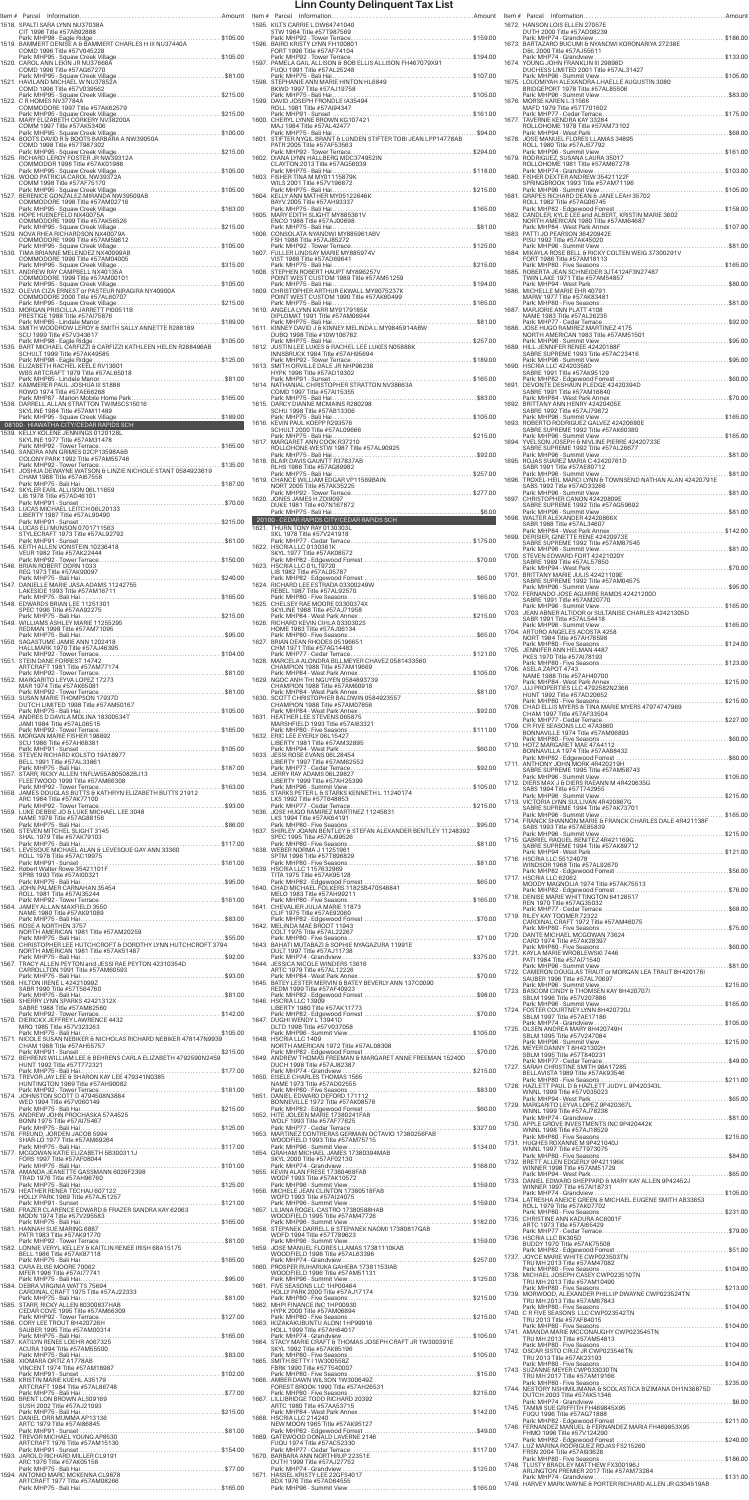|                                                                                                                                   |       | Item # Parcel Informat                                              |
|-----------------------------------------------------------------------------------------------------------------------------------|-------|---------------------------------------------------------------------|
| 1518. SPALTI SARA LYNN NU37038A<br>CIT 1996 Title #57AB92888                                                                      |       | 1595. KILTS CARRIE L DV<br>STW 1964 Title #5                        |
|                                                                                                                                   |       | Park: MHP92 - Tow<br>1596. BAIRD KRISTY LYN                         |
| COMD 1996 Title #57V045228<br>1520. CAROL ANN LEKIN JR NU37666A                                                                   |       | FORT 1996 Title #9<br>Park: MHP92 - Tow<br>1597. PAMELA GAIL ALL    |
| COMD 1996 Title #57AG67270                                                                                                        |       | FUQU 1991 Title #<br>Park: MHP75 - Bali                             |
| 1521. HAVILAND MICHAEL W NU37852A<br>COMD 1996 Title #57V039562                                                                   |       | 1598. STEPHANIE ANN N<br>BKWD 1997 Title #                          |
| 1522. C R HOMES NV37784A<br>COMMODORE 1997 Title #57AK62579                                                                       |       | Park: MHP75 - Bali<br>1599. DAVID JOSEPH FR<br>ROLL 1981 Title #5   |
| 1523. MARY ELIZABETH CORKERY NV38200A                                                                                             |       | Park: MHP91 - Sun<br>1600. CHERYL LYNNE BF                          |
| COMM 1997 Title #57AK53406                                                                                                        |       | MAJ 1984 Title #5.<br>Park: MHP75 - Bali<br>1601. STIFTER NYGIL BR  |
| COMD 1998 Title #57T987302                                                                                                        |       | PATR 2005 Title #5<br>Park: MHP92 - Tow                             |
| 1525. RICHARD LEROY FOSTER JR NW39312A<br>COMMODOR 1998 Title #57AK01988                                                          |       | 1602. DIANA LYNN HALL<br>CLAYTON 2013 Tit                           |
| 1526. WOOD PATRICIA CAROL NW39372A<br>COMM 1998 Title #57AF75170                                                                  |       | Park: MHP75 - Bali<br>1603. FISHER TINA M M\<br>WILS 2001 Title #5  |
| 1527. BERENICE GONZALEZ-MIRANDA NW39509AB                                                                                         |       | Park: MHP75 - Bali<br>1604. KELLY ANN MATHI                         |
| COMMODORE 1998 Title #57AM02716<br>1528. HOPE HUENEFELD NX40075A                                                                  |       | BAYV 2005 Title #5<br>Park: MHP75 - Bali<br>1605. MARY EDITH SLIGI  |
| COMMODORE 1999 Title #57AK56526                                                                                                   |       | ENCO 1988 Title #<br>Park: MHP75 - Bali                             |
| 1529. NOVA RHEA RICHARDSON NX40079A<br>COMMODORE 1999 Title #57AM59612                                                            |       | 1606. CONSOLATA NYAN<br>FSH 1988 Title #57                          |
| 1530. TIMA BRIANNE MELENDEZ NX40099AB<br>COMMODORE 1999 Title #57AM04005                                                          |       | Park: MHP92 - Tow<br>1607. FULLER LINDSAY I<br>VIST 1988 Title #5   |
| Park: MHP95 - Squaw Creek Village<br>1531. ANDREW RAY CAMPBELL NX40135A                                                           |       | Park: MHP75 - Bali<br>1608. STEPHEN ROBERT                          |
| COMMODORE 1999 Title #57AM00101<br>1532. OLEVIA CIZA ERNEST or PASTEUR NIRAGIRA NY40900A                                          |       | POINT WEST CUST<br>Park: MHP75 - Bali                               |
| COMMODORE 2000 Title #57AL60707                                                                                                   |       | 1609. CHRISTOPHER AR<br>POINT WEST CUST<br>Park: MHP75 - Bali       |
| 1533. MORGAN PRISCILLA JARRETT PI00511B<br>PRESTIGE 1988 Title #57AI75876                                                         |       | 1610. ANGELA LYNN KAF<br>DIPLOMAT 1991 T                            |
| . \$189.00<br>1534. SMITH WOODROW LEROY & SMITH SALLY ANNETTE R288189<br>SCU 1999 Title #57V343617                                |       | Park: MHP75 - Bali<br>1611. KINNEY DAVID J &<br>DUBQ 1998 Title #   |
| Park: MHP98 - Eagle Ridge<br>$\ldots \ldots \ldots$ . \$105.00<br>1535. BART MICHAEL CARFIZZI & CARFIZZI KATHLEEN HELEN R288496AB |       | Park: MHP75 - Bali<br>1612. JUSTIN LEE LUKES                        |
| SCHULT 1999 Title #57AK49585<br>Park: MHP98 - Eagle Ridge<br>1536. ELIZABETH RACHEL KEELE RV13601                                 |       | INNSBRUCK 1984<br>Park: MHP92 - Tow<br>1613. SMITH ORVILLE D        |
| WBS ARTCRAFT 1979 Title #57AL65018                                                                                                |       | HYPK 1996 Title #5<br>Park: MHP91 - Sun                             |
| 1537. KAMMERER PAUL JOSHUA III S1888<br>ROWO 1974 Title #57AE66268                                                                |       | 1614. NATHANIAL CHRIS<br>COMD 1997 Title #                          |
| Park: MHP87 - Marion Mobile Home Park\$165.00<br>1538. DARRELL ALLAN STRATTON TWIMSCS15016<br>SKYLINE 1984 Title #57AM11489       |       | Park: MHP75 - Bali<br>1615. DARCY DIANNE M<br>SCHU 1998 Title #     |
| 08100 - HIAWATHA CITY/CEDAR RAPIDS SCH                                                                                            |       | Park: MHP75 - Bali<br>1616. KEVIN PAUL KOEP                         |
| 1539. KELLY KOLENE JENNINGS 0120128L<br>SKYLINE 1977 Title #57AM31478                                                             |       | SCHULT 2000 Title<br>Park: MHP75 - Bali<br>1617. MARGARET ANN C     |
| Park: MHP92 - Tower Terrace<br>1540. SANDRA ANN GRIMES 02CP13598A&B                                                               |       | ROLLOHONE-WES<br>Park: MHP75 - Bali                                 |
| COLONY PARK 1992 Title #57AM55748<br>1541. JOSHUA DEWAYNE WATSON & LINZIE NICHOLE STANT 0584923619                                |       | 1618. BLAIR DAVIS GAUN<br>RLHS 1988 Title #5                        |
| CHAM 1988 Title #57AI67558                                                                                                        | 1619. | Park: MHP75 - Bali<br>CHANCE WILLIAM<br>NORT 2005 Title #           |
| 1542. SKYLER EARL ALLISON 06L11659<br>LIB 1978 Title #57AD46101<br>Park: MHP91 - Sunset                                           |       | Park: MHP92 - Tow<br>1620. JONES JAMES H Z                          |
| 1543. LUCAS MICHAEL LEITCH 06L20133<br>LIBERTY 1987 Title #57AL90490                                                              |       | DUKE 1981 Title #0<br>Park: MHP75 - Bali                            |
| 1544. LUCAS ELI MUNSON 0701711563                                                                                                 |       | 20100 - CEDAR RAPIDS<br>1621. THURN TONY RAY                        |
| STYLECRAFT 1973 Title #57AL92792<br>1545. KEITH ALLEN VONSTEIN 10236418                                                           |       | SKL 1978 Title #57<br>Park: MHP77 - Ced<br>1622. HSCRIA LLC 01303   |
| VEUR 1982 Title #57AK22444                                                                                                        |       | SKYL 1977 Title #5<br>Park: MHP82 - Edg                             |
| 1546. BRIAN ROBERT DORN 1033<br>REG 1973 Title #57AK90097                                                                         |       | 1623. HSCRIA LLC 01L19<br>LIB 1982 Title #57                        |
| 1547. DANIELLE MARIE JASA-ADAMS 11242755<br>LAKESIDE 1993 Title #57AM16711                                                        |       | Park: MHP82 - Edg<br>1624. RICHARD LEE EST<br>REBEL 1987 Title #    |
| 1548. EDWARDS BRIAN LEE 11251301                                                                                                  |       | Park: MHP80 - Five<br>1625. CHELSEY RAE MO                          |
| SPEC 1996 Title #57AA92275<br>Park: MHP75 - Bali Hai<br>1549. WILLIAMS ASHLEY MARIE 11255295                                      |       | SKYLINE 1988 Title<br>Park: MHP84 - Wes<br>1626. RICHARD KEVIN C    |
| REDMAN 1998 Title #57AM71095                                                                                                      |       | HOME 1983 Title #<br>Park: MHP80 - Five                             |
| 1550. SAGASTUME JAMIE ANN 1202418<br>HALLMARK 1970 Title #57AJ46395                                                               |       | 1627. BRIAN DEAN RHOI<br>CHM 1971 Title #5                          |
| 1551. STEIN DANE FORREST 14742<br>ARTCRAFT 1981 Title #57AM77174                                                                  |       | Park: MHP77 - Ced<br>1628. MARCELA ALOND<br>CHAMPION 1988 T         |
| 1552. MARGARITO LEYVA LOPEZ 17273                                                                                                 |       | Park: MHP84 - Wes<br>1629. NGOC ANH THI NO                          |
| MAR 1974 Title #57AK65081<br>1553. SUSAN MARIE THOMPSON 17937D                                                                    |       | CHAMPION 1988 T<br>Park: MHP84 - Wes<br>1630. SCOTT CHRISTOP        |
| DUTCH LIMITED 1998 Title #57AM50167                                                                                               |       | CHAMPION 1988 1<br>Park: MHP84 - Wes                                |
| 1554. ANDRES D DAVILA MOLINA 18300534T<br>JAMI 1984 Title #57AL06515                                                              |       | 1631. HEATHER LEE STE<br>MARSHFIELD 1993                            |
| 1555. MORGAN MARIE FISHER 198892<br>SCU 1986 Title #57AH68381                                                                     |       | Park: MHP80 - Five<br>1632. ERIC LEE EYERLY 0<br>LIBERTY 1981 Title |
| 1556. STEVEN RICHARD KOLSTO 19A18977                                                                                              |       | Park: MHP94 - Wes<br>1633. JESSI ROSE EVANS                         |
| BELL 1991 Title #57AL33861<br>1557. STARR, RICKY ALLEN 1NFLW55AB05082BJ13                                                         |       | LIBERTY 1997 Title<br>Park: MHP77 - Ced<br>1634. JERRY RAY ADAMS    |
| FLEETWOOD 1999 Title #57AM66308                                                                                                   |       | LIBERTY 1999 Title<br>Park: MHP96 - Sum                             |
| 1558. JAMES DOUGLAS BUTTS & KATHRYN ELIZABETH BUTTS 21912<br>ARC 1984 Title #57AK77100                                            |       | 1635. STARKS PETER L 8<br>LKS 1992 Title #57                        |
| 1559. LUKE DEBBIE JO & LUKE MICHAEL LEE 3048<br>NAME 1978 Title #57AG88156                                                        |       | Park: MHP77 - Ced<br>1636. JOSE HUGO RAMII<br>LKS 1994 Title #57    |
| 1560. STEVEN MITCHEL SLIGHT 3145                                                                                                  |       | Park: MHP80 - Five<br>1637. SHIRLEY JOANN B                         |
| SHAL 1979 Title #57AK79103                                                                                                        |       | SPEC 1995 Title #5<br>Park: MHP80 - Five<br>1638. WEBER NORMA J     |
| 1561. LEVESQUE MICHAEL ALAN & LEVESQUE GAY ANN 33360<br>ROLL 1978 Title #57AC19975                                                |       | SPTM 1996 Title #!<br>Park: MHP80 - Five                            |
| 1562. Robert Walter Rowe 35421101F<br>SPRB 1993 Title #57AI00321                                                                  |       | 1639. HSCRIA LLC 11576<br>TITA 1975 Title #5                        |
| 1563. JOHN PALMER CARNAHAN 35454<br>ROLL 1981 Title #57AI35244                                                                    |       | Park: MHP82 - Edg<br>1640. CHAD MICHAEL F<br>MELO 1983 Title #      |
| 1564. JAMEY ALLAN MAXFIELD 3550                                                                                                   |       | Park: MHP80 - Five<br>1641. CHEVALIER JULIA                         |
| NAME 1980 Title #57AK91089<br>1565. ROSE A NORTHEN 3757                                                                           |       | CLIF 1975 Title #5<br>Park: MHP82 - Edg<br>1642. MELINDA MAE BR     |
| NORTH AMERICAN 1981 Title #57AM20259                                                                                              |       | COLT 1975 Title #5<br>Park: MHP80 - Five                            |
| 1566. CHRISTOPHER LEE HUTCHCROFT & DOROTHY LYNN HUTCHCROFT 3794<br>NORTH AMERICAN 1981 Title #57AK51487                           |       | 1643. BAHATI MUTABAZ<br>DULT 1997 Title #5                          |
| 1567. TRACY ALLEN PEYTON and JESSI RAE PEYTON 42310354D<br>CARROLLTON 1991 Title #57AM60593                                       |       | Park: MHP74 - Grar<br>1644. JESSICA NICOLE V<br>ARTC 1979 Title #   |
| 1568. HILTON IRENE L 42421099Z                                                                                                    |       | Park: MHP84 - Wes<br>1645. BATEY LESTER ME                          |
| SABR 1990 Title #57T564760<br>Park: MHP75 - Bali Hai………………………………………………………\$81.00<br>1569.  SHERRY LYNN SPARKS 42421312X           |       | REDM 1999 Title #<br>Park: MHP82 - Edg<br>1646. HSCRIA LLC 13909    |
| SABRE 1988 Title #57AM82560                                                                                                       |       | LIBERTY 1980 Title<br>Park: MHP82 - Edg                             |
| 1570. DIERICKX JEFFREY LAWRENCE 4432<br>MRQ 1985 Title #57V323263                                                                 |       | 1647. DUGHI WENDY L 1<br>DLTD 1998 Title #5                         |
| 1571. NICOLE SUSAN NEBIKER & NICHOLAS RICHARD NEBIKER 478147N9939<br>CHAM 1988 Title #57AH55757                                   |       | Park: MHP96 - Sum<br>1648. HSCRIA LLC 1409<br>NORTH AMERICAN        |
| 1572. BEHRENS WILLIAM LEE & BEHRENS CARLA ELIZABETH 4792590N2459                                                                  |       | Park: MHP82 - Edg<br>1649. ANDREW THOMAS                            |
| HUNT 1992 Title #57T772321<br>Park: MHP75 - Bali Hai<br>1573. TREVOR JAY LEE & SHARON KAY LEE 479341N0385                         |       | DUCH 1998 Title #<br>Park: MHP74 - Grar<br>1650. EISELE CHARLES     |
| HUNTINGTON 1989 Title #57AH90082                                                                                                  |       | NAME 1973 Title #<br>Park: MHP80 - Five                             |
| 1574. JOHNSTON SCOTT D 4794508N3884<br>WED 1994 Title #57V060149                                                                  |       | 1651. DANIEL EDWARD I<br>BONNEVILLE 1972<br>Park: MHP82 - Edg       |
| 1575. ANDREW JOHN PROCHASKA 57A4525<br>BONN 1975 Title #57AI75467                                                                 |       | 1652. HITE JOLEEN MAF<br>WOLF 1993 Title #                          |
| 1576. FREUND, JORDEN JACOB 5994<br>SHAR-LO 1977 Title #57AM69264                                                                  |       | Park: MHP77 - Ced<br>1653. MARTINEZ CONTF<br>WOODFIELD 1993         |
| 1577. MCGOWAN KATIE ELIZABETH 5B300311J                                                                                           |       | Park: MHP96 - Sum<br>1654. GRAHAM MICHAE                            |
| FORS 1997 Title #57AF08044<br>Park: MHP75 - Bali Hai                                                                              |       | SKYL 2000 Title #5<br>Park: MHP74 - Grar                            |
| 1578. AMANDA JEANETTE GASSMANN 6026F2398<br>TRAD 1976 Title #57AH96760<br>Park: MHP75 - Bali Hai                                  |       | 1655. KEVIN ALAN FRESI<br>WODF 1993 Title #<br>Park: MHP96 - Sum    |
| 1579. HEATHER RENEA TECHAU 607122<br>HOLLY PARK 1969 Title #57AJ51257                                                             |       | 1656. MICHELE JEAN CL<br>WOFD 1993 Title #                          |
| 1580. FRAZER CLARENCE EDWARD & FRAZER SANDRA KAY 62063<br>MODN 1974 Title #57V295583                                              |       | Park: MHP96 - Sum<br>1657. LILIANA ROGEL-C/<br>WOODFIELD 1995       |
| 1581. HANNAH SUE MARING 6887                                                                                                      |       | Park: MHP96 - Sum<br>1658. STEPANEK DARRE                           |
| PATR 1983 Title #57AK91770<br>1582. LONNIE VERYL KELLEY & KAITLIN RENEE IRISH 68A15175                                            |       | WDFD 1994 Title #<br>Park: MHP96 - Sum<br>1659. JOSE MANUEL FLO     |
| BELL 1986 Title #57AK87118                                                                                                        |       | WOODFIELD 1998<br>Park: MHP74 - Grar                                |
| 1583. CARA ELISE MOORE 70062<br>MFER 1996 Title #57AI77741                                                                        |       | 1660. PROSPER RUHARL<br>WOODFIELD 1996                              |
| 1584. DEBRA VIRGINIA WATTS 75694<br>CARDINAL CRAFT 1975 Title #57AJ22333                                                          |       | Park: MHP96 - Sum<br>1661. FIVE SEASONS LLO<br>HOLLY PARK 2000      |
| 1585. STARR, RICKY ALLEN 80300837HAB                                                                                              |       | Park: MHP80 - Five<br>1662. MHPI FINANCE IN                         |
| CEDAR COVE 1995 Title #57AM66309                                                                                                  |       | HYPK 2000 Title #5<br>Park: MHP80 - Five<br>1663. IKIZAKAKUBUNTU    |
|                                                                                                                                   |       | HOLL 1999 Title #!                                                  |
| 1586. CORY LEE TROUT 8H420726H<br>SAUBER 1995 Title #57AM00314                                                                    |       | Park: MHP74 - Grar                                                  |
| 1587. KATILYN RENEE LOEHR A067325<br>ACURA 1994 Title #57AM55500                                                                  |       | 1664. STACY MARIE CRA<br>SKYL 1992 Title #5                         |
| 1588. XIOMARA ORTIZ A1778AB<br>VINCENT 1974 Title #57AM18987                                                                      |       | Park: MHP80 - Five<br>1665. SMITH BETTY I 1W<br>FBRK 1990 Title #5  |
| 1589. KRISTIN MARIE KUEHL A35179                                                                                                  |       | Park: MHP80 - Five<br>1666. AMBER DAWN WIL                          |
| ARTCRAFT 1984 Title #57AL86748                                                                                                    |       | <b>FOREST BROOK 19</b><br>Park: MHP80 - Five                        |
| 1590. BRENT LON BROWN ALS09169<br>SUSH 2002 Title #57AJ21093<br>Park: MHP75 - Bali Hai                                            |       | 1667. LILLIBRIDGE TODI<br>ARTC 1980 Title #!<br>Park: MHP84 - Wes   |
| 1591. DANIEL ORR MUMMA AP13136<br>ARTC 1979 Title #57AI86845                                                                      |       | 1668. HSCRIA LLC 21424<br>NEW MOON 1965                             |
| 1592. TREVOR MICHAEL YOUNG AP8530<br>ARTCRAFT 1976 Title #57AM15130                                                               |       | Park: MHP82 - Edg<br>1669. GATEWOOD DON/<br>FUQU 1974 Title #!      |
| 1593. JAROLD RICHARD MILLER CL9191                                                                                                |       | Park: MHP77 - Ced<br>1670. BARBARA ANN NO                           |
| ARC 1976 Title #57AK05158<br>1594. ANTONIO MARC MCKENNA CL9878                                                                    |       | DUTH 1999 Title #<br>Park: MHP74 - Grar<br>1671. HASSEL KRISTY LE   |

| mount        |                                                                                                                                                                            | Ite |
|--------------|----------------------------------------------------------------------------------------------------------------------------------------------------------------------------|-----|
|              | 1595. KILTS CARRIE L DW64741040<br>STW 1964 Title #57T987569                                                                                                               | 16  |
| 105.00       | 1596. BAIRD KRISTY LYNN FH100801<br>FORT 1996 Title #57AF74104                                                                                                             | 16  |
| 105.00       | 1597. PAMELA GAIL ALLISON & BOB ELLIS ALLISON FH467079X91<br>FUQU 1991 Title #57AL25248                                                                                    | 16  |
| \$81.00      | Park: MHP75 - Bali Hai……………………………………………………… \$107.00<br>1598.  STEPHANIE ANN MARIE HINTON HL6849<br>BKWD 1997 Title #57AJ19758                                             | 16  |
| 215.00       | Park: MHP75 - Bali Hai<br>1599. DAVID JOSEPH FRONDLE IA35494                                                                                                               | 16  |
| 215.00       | ROLL 1981 Title #57AI94347                                                                                                                                                 | 16  |
| 100.00       | Park: MHP75 - Bali Hai……………………………………………………\$94.00<br>1601.  STIFTER NYGIL BRANT & LUNDEN STIFTER TOBI JEAN LPP14778AB                                                      | 16  |
| 215.00       | PATR 2005 Title #57AF53563<br>1602. DIANA LYNN HALLBERG MDC374952IN                                                                                                        | 16  |
| 105.00       | CLAYTON 2013 Title #57AG56039<br>1603. FISHER TINA M MY01115879K                                                                                                           | 16  |
| 105.00       | WILS 2001 Title #57V196872                                                                                                                                                 |     |
| 163.00       | BAYV 2005 Title #57AH93337<br>Park: MHP75 - Bali Hai                                                                                                                       | 16  |
| 215.00       | 1605. MARY EDITH SLIGHT MY885361V<br>ENCO 1988 Title #57AJ00698                                                                                                            | 16  |
| 105.00       | FSH 1988 Title #57AJ85272                                                                                                                                                  | 16  |
|              | 1607. FULLER LINDSAY MARIE MY885974V<br>VIST 1988 Title #57AD69641                                                                                                         | 16  |
| 315.00       | POINT WEST CUSTOM 1989 Title #57AM51259                                                                                                                                    | 16  |
| 105.00       | 1609. CHRISTOPHER ARTHUR EKWALL MY9075237K<br>POINT WEST CUSTOM 1990 Title #57AK60499                                                                                      | 16  |
| 215.00       | 1610. ANGELA LYNN KARR MY9179185K                                                                                                                                          | 16  |
| 189.00       | DIPLOMAT 1991 Title #57AM06944<br>Park: MHP75 - Bali Hai<br>1611. KINNEY DAVID J & KINNEY MELINDA L MY9845914ABW                                                           | 16  |
| 105.00       | DUBQ 1998 Title #10W106782<br>1612. JUSTIN LEE LUKES & RACHEL LEE LUKES NO5888K<br>1612. JUSTIN LEE LUKES & RACHEL LEE LUKES NO5888K<br>INNSBRUCK 1984 Title #5741 IQEOD * | 16  |
| 125.00       | 1613. SMITH ORVILLE DALE JR NHP96238                                                                                                                                       | 16  |
| \$81.00      | HYPK 1996 Title #57AD19302                                                                                                                                                 |     |
| 165.00       | COMD 1997 Title #57AI15355<br>Park: MHP75 - Bali Hai                                                                                                                       | 16  |
| 189.00       | 1615. DARCY DIANNE MCMAINS R280298<br>SCHU 1998 Title #57AB13306                                                                                                           | 16  |
|              | 1616. KEVIN PAUL KOEPP R293576<br>SCHULT 2000 Title #57AL09666                                                                                                             | 16  |
| 165.00       | 1617. MARGARET ANN COOK R37210<br>ROLLOHONE-WESTW 1987 Title #57AL90925                                                                                                    | 16  |
| 135.00       | 1618. BLAIR DAVIS GAUNTT R37837AB<br>RLHS 1988 Title #57AG89982                                                                                                            | 16  |
| 187.00       | Park: MHP75 - Bali Hai<br>1619. CHANCE WILLIAM EDGAR VP11569BAIN<br>NORT 2005 Title #57AK35225                                                                             | 16  |
| \$70.00      | 1620. JONES JAMES H ZDI9097<br>DUKE 1981 Title #07N167872                                                                                                                  | 16  |
| 215.00       | 20100 - CEDAR RAPIDS CITY/CEDAR RAPIDS SCH                                                                                                                                 | 16  |
| \$61.00      | 1621. THURN TONY RAY 0130303L<br>SKL 1978 Title #57V241918                                                                                                                 | 16  |
|              | 1622. HSCRIA LLC 0130361K<br>SKYL 1977 Title #57AK08572                                                                                                                    | 17  |
| 150.00       | 1623. HSCRIA LLC 01L19720<br>LIB 1982 Title #57AL05787                                                                                                                     | 17  |
| 240.00       | 1624. RICHARD LEE ESTRADA 03300249W<br>REBEL 1987 Title #57AL92570                                                                                                         |     |
| 165.00       | Park: MHP80 - Five Seasons<br>1625. CHELSEY RAE MOORE 03300374X                                                                                                            | 17  |
| 215.00       | SKYLINE 1988 Title #57AJ71958<br>1626. RICHARD KEVIN CIHLA 0330302S                                                                                                        | 17  |
| \$95.00      | HOME 1983 Title #57AJ06134<br>1627. BRIAN DEAN RHODES 05196651                                                                                                             | 17  |
| 104.00       | CHM 1971 Title #57AG14483<br>1628. MARCELA ALONDRA BILLMEYER CHAVEZ 0581433560                                                                                             | 17  |
| \$81.00      | CHAMPION 1988 Title #57AM19669<br>1629. NGOC ANH THI NGUYEN 0584893739                                                                                                     | 17  |
| \$81.00      | CHAMPION 1988 Title #57AM60918                                                                                                                                             | 17  |
| 105.00       | 1630. SCOTT CHRISTOPHER BALDWIN 0584923557<br>CHAMPION 1988 Title #57AM07856                                                                                               | 17  |
| 165.00       | 1631. HEATHER LEE STEVENS 065875<br>MARSHFIELD 1993 Title #57Al63321                                                                                                       | 17  |
| 105.00       | 1632. ERIC LEE EYERLY 06L15427<br>LIBERTY 1981 Title #57AM32895                                                                                                            | 17  |
| 187.00       | 1633. JESSI ROSE EVANS 06L28454<br>LIBERTY 1997 Title #57AM62552                                                                                                           | 17  |
|              | 1634. JERRY RAY ADAMS 06L29827<br>LIBERTY 1999 Title #57AH25399                                                                                                            | 17  |
| 163.00       | 1635. STARKS PETER L & STARKS KENNETH L 11240174<br>LKS 1992 Title #57T648853                                                                                              | 17  |
| \$93.00      | 1636. JOSE HUGO RAMIREZ MARTINEZ 11245831<br>LKS 1994 Title #57AK64191                                                                                                     |     |
| \$86.00      | . \$95.00<br>1637. SHIRLEY JOANN BENTLEY & STEFAN ALEXANDER BENTLEY 11248392                                                                                               | 17  |
| 117.00       | SPEC 1995 Title #57AJ99526<br>1638. WEBER NORMA J 11251961                                                                                                                 | 17  |
| 161.00       | SPTM 1996 Title #57T896829<br>1639. HSCRIA LLC 1157632969                                                                                                                  | 17  |
| \$95.00      | TITA 1975 Title #57AK95128<br>1640. CHAD MICHAEL FOLKERS 1182SB470S46841                                                                                                   | 17  |
| 161.00       | MELO 1983 Title #57AH99211                                                                                                                                                 | 17  |
| \$83.00      | 1641. CHEVALIER JULIA MARIE 11873<br>CLIF 1975 Title #57AE92060                                                                                                            | 17  |
| \$55.00      | 1642. MELINDA MAE BRODT 11943<br>COLT 1975 Title #57AL22267<br>Park: MHP80 - Five Seasons                                                                                  | 17  |
| 4<br>\$92.00 | 1643. BAHATI MUTABAZI & SOPHIE NYAGAZURA 11991E<br>DULT 1997 Title #57AJ11738<br>Park: MHP74 - Grandview.                                                                  | 17  |
| \$93.00      | 1644. JESSICA NICOLE WINDERS 13616<br>ARTC 1979 Title #57AL12226                                                                                                           | 17  |
|              | REDM 1999 Title #57AF40923                                                                                                                                                 | 17  |
| \$81.00      | 1646. HSCRIA LLC 13909<br>LIBERTY 1980 Title #57AK11773                                                                                                                    | 17  |
| 142.00       | 1647. DUGHI WENDY L 13941D<br>DLTD 1998 Title #57V037058                                                                                                                   |     |
| 105.00       | 1648. HSCRIA LLC 1409                                                                                                                                                      | 17  |
| 215.00       | NORTH AMERICAN 1972 Title #57AL08308<br>Park: MHP82 - Edgewood Forrest ………………………………………\$70.00<br>1649. ANDREW THOMAS FREEMAN & MARGARET ANNE FREEMAN 15240D                | 17  |
| 177.00       | DUCH 1998 Title #57AJ82387<br>1650. EISELE CHARLES THOMAS 1565                                                                                                             | 17  |
| 181.00       | NAME 1973 Title #57AD02555<br>Park: MHP80 - Five Seasons<br>1651. DANIEL EDWARD DEFORD 171112                                                                              | 17  |
| 215.00       | BONNEVILLE 1972 Title #57AK08576<br>1652. HITE JOLEEN MARIE 17380241FAB                                                                                                    | 17  |
| 125.00       | WOLF 1993 Title #57AF77625                                                                                                                                                 | 17  |
| 117.00       | 1653. MARTINEZ CONTRERAS GERMAIN OCTAVIO 17380256FAB<br>WOODFIELD 1993 Title #57AM75715                                                                                    | 17  |
| 101.00       | 1654. GRAHAM MICHAEL JAMES 17380394MAB<br>SKYL 2000 Title #57AF02130                                                                                                       | 17  |
| 125.00       | 1655. KEVIN ALAN FRESE 17380468FAB<br>WODF 1993 Title #57AK10572                                                                                                           | 17  |
|              | 1656. MICHELE JEAN CLINTON 17380518FAB<br>WOFD 1993 Title #57AI24075                                                                                                       | 17  |
| 121.00       | Park: MHP96 - Summit View<br>1657. LILIANA ROGEL-CASTRO 17380588HAB<br>WOODFIELD 1995 Title #57AM47726                                                                     | 17  |
| 165.00       | 1658. STEPANEK DARRELL & STEPANEK NAOMI 17380817GAB<br>WDFD 1994 Title #57T789623                                                                                          | 17  |
| \$81.00      | \$159.00<br>Park: MHP96 - Summit View<br>1659. JOSE MANUEL FLORES LLAMAS 17381110KAB<br>WOODFIELD 1998 Title #57AL63396                                                    |     |
| 165.00       | Park: MHP74 - Grandview<br>1660. PROSPER RUHARUKA GAHEBA 17381153IAB<br>WOODFIELD 1996 Title #57AM51131                                                                    | 17  |
| \$95.00      | 1661. FIVE SEASONS LLC 1HP00464                                                                                                                                            | 17  |
| \$81.00      | HOLLY PARK 2000 Title #57AJ17174<br>1662. MHPI FINANCE INC 1HP00930                                                                                                        | 17  |
| 127.00       | HYPK 2000 Title #57AM06894<br>1663. IKIZAKAKUBUNTU ALONI 1HP99916                                                                                                          | 17  |
| 165.00       | HOLL 1999 Title #57AH64017<br>Park: MHP74 - Grandview<br>1664. STACY MARIE CRAFT & THOMAS JOSEPH CRAFT JR 1W300391E                                                        | 17  |
| \$83.00      | SKYL 1992 Title #57AK85196                                                                                                                                                 | 17  |
| 102.00       | 1665. SMITH BETTY I 1W300558Z<br>FBRK 1990 Title #57T540007                                                                                                                | 17  |
| \$77.00      | 1666. AMBER DAWN WILSON 1W300649Z<br>FOREST BROOK 1990 Title #57AH26531                                                                                                    | 17  |
| 215.00       | 1667. LILLIBRIDGE TODD RICHARD 20392<br>ARTC 1980 Title #57AA53715                                                                                                         | 17  |
| \$81.00      | 1668. HSCRIA LLC 214240<br>NEW MOON 1965 Title #57AK95127<br>Park: MHP82 - Edgewood Forrest.                                                                               | 17  |
|              | 1669. GATEWOOD DONALD LAVERNE 2146<br>FUQU 1974 Title #57AC52330                                                                                                           | 17  |
| 154.00       | Park: MHP77 - Cedar Terrace<br>1670. BARBARA ANN NORTHRUP 22351E<br>DUTH 1999 Title #57AJ27752                                                                             | 17  |
| \$77.00      | Park: MHP74 - Grandview<br>1671. HASSEL KRISTY LEE 22GFS4017<br>BDX 1976 Title #57AD64555                                                                                  |     |
| 165.00       |                                                                                                                                                                            | 17  |

| Item# | 1672. HANSON LOIS ELLEN 27057E                                                                                                               |                            |
|-------|----------------------------------------------------------------------------------------------------------------------------------------------|----------------------------|
|       | DUTH 2000 Title #57AD08239<br>Park: MHP74 - Grandview<br>\$186.00<br>1673. BARTAZARO BUCUMI & NYANDWI KORONARIYA 27238E                      |                            |
|       | D&L 2000 Title #57AJ55611<br>Park: MHP74 - Grandview<br>1674. YOUNG JOHN FRANKLIN III 29898D                                                 |                            |
|       | DUCHESS LIMITED 2001 Title #57AL31427<br>Park: MHP96 - Summit View<br>\$105.00<br>1675. LOUDMIYAH ALEXANDRA-LHAELLE AUGUSTIN 3080            |                            |
|       | BRIDGEPORT 1978 Title #57AL85506<br>1676. MORSE KAREN L 31566                                                                                |                            |
| 1677. | MAFD 1979 Title #57T701602<br>Park: MHP77 - Cedar Terrace<br>TAVERNIE KENDRA KAY 33284                                                       |                            |
|       | ROLLOHOME 1978 Title #57AM73102<br>Park: MHP94 - West Park<br>1678. JOSE MANUEL FLORES LLAMAS 34895                                          |                            |
|       | ROLL 1980 Title #57AJ57792<br>Park: MHP96 - Summit View<br>1679. RODRIGUEZ, SUSANA LAURA 35017<br>ROLLOHOME 1981 Title #57AM67278            |                            |
|       | Park: MHP74 - Grandview.<br>1680. FISHER DEXTER ANDREW 35421122F<br>SPRINGBROOK 1993 Title #57AM71196                                        |                            |
|       | Park: MHP96 - Summit View<br>\$105.00<br>1681. GRAPES RICHARD DEAN & JANE LEAH 35702<br>ROLL 1982 Title #57AG06745                           |                            |
|       | Park: MHP82 - Edgewood Forrest<br>\$158.00<br>1682. CANDLER, KYLE LEE and ALBERT, KRISTIN MARIE 3602<br>NORTH AMERICAN 1980 Title #57AM64687 |                            |
|       | 1683. PATTI JO PEARSON 36420942E<br>PISU 1992 Title #57AK45020                                                                               |                            |
|       | Park: MHP96 - Summit View<br>1684. MIKAYLA ROSE BELL & RICKY COLTEN WEIG 37300291V<br>FORT 1986 Title #57AM18113                             |                            |
|       | TWIN LAKE 1971 Title #57AM54857                                                                                                              |                            |
|       | Park: MHP94 - West Park<br>1686. MICHELLE MARIE EHR 40791<br>MARW 1977 Title #57AK83481                                                      |                            |
| 1687. | Park: MHP80 - Five Seasons<br>MARJORIE ANN PLATT 4108<br>NAME 1983 Title #57AL26235                                                          |                            |
|       | Park: MHP77 - Cedar Terrace<br>1688. JOSE HUGO RAMIREZ MARTINEZ 4175<br>NORTH AMERICAN 1983 Title #57AM51501                                 |                            |
|       | Park: MHP96 - Summit View<br>1689. HILL JENNIFER RENEE 42420188F<br>SABRE SUPREME 1993 Title #57AC23416                                      |                            |
|       | 1690. HSCRIA LLC 42420358D<br>SABRE 1991 Title #57AK95129                                                                                    |                            |
|       | 1691. DEVONTE DESHÃUN PLEDGE 42420394D<br>SABRE 1991 Title #57AM16840                                                                        |                            |
|       | Park: MHP84 - West Park Annex.<br>1692. BRITTANY ANN HENRY 42420405E<br>SABRE 1992 Title #57AJ79872<br>Park: MHP96 - Summit View             |                            |
|       | 1693. ROBERTO RODRIGUEZ GALVEZ 42420680E<br>SABRE SUPREME 1992 Title #57AK60380<br>\$165.00<br>Park: MHP96 - Summit View                     |                            |
|       | 1694. YVELSON JOSEPH & NIVLINE PIERRE 42420733E<br>SABRE SUPREME 1992 Title #57AL26677<br>Park: MHP96 - Summit View                          |                            |
|       | 1695. ROJAS SUAREZ MARIA C 42420761D<br>SABR 1991 Title #57AE80712<br>Park: MHP96 - Summit View                                              | . \$81.00                  |
| 1696  | ROXEL-HEIL MARCI LYNN & TO<br>OWNSEND NATHAN ALAN 42420791<br>п<br>SABS 1992 Title #57AD33266<br>Park: MHP96 - Summit View                   |                            |
|       | 1697. CHRISTOPHER CANON 42420809E<br>SABRE SUPREME 1992 Title #57AG59692<br>Park: MHP96 - Summit View                                        |                            |
|       | 1698. WALTER ALEXANDER 42420866X<br>SABR 1988 Title #57AL34607<br>Park: MHP84 - West Park Annex                                              |                            |
|       | 1699. DERISIER, GINETTE RENE 42420973E<br>SABRE SUPREME 1992 Title #57AM87545<br>Park: MHP96 - Summit View                                   |                            |
|       | 1700. STEVEN EDWARD FORT 42421020Y<br>SABRE 1989 Title #57AL57850<br>Park: MHP94 - West Park.                                                |                            |
|       | 1701. BRITTANY MARIE JULIS 42421109E<br>SABRE SUPREME 1992 Title #57AM04575<br>Park: MHP96 - Summit View                                     |                            |
|       | SABRE 1991 Title #57AM20770<br>Park: MHP96 - Summit View<br>1703. JEAN ABNER ALTIDOR or SULTANISE CHARLES 42421305D                          |                            |
|       | SABR 1991 Title #57AL54418<br>Park: MHP96 - Summit View<br>1704. ARTURO ANGELES ACOSTA 4258                                                  |                            |
|       | NORT 1984 Title #57AH76598<br>1705. JENNIFER ANN HELMAN 4487                                                                                 |                            |
|       | PKES 1970 Title #57AI78193<br>1706. ASELA ZAPOT 4743                                                                                         |                            |
|       | NAME 1988 Title #57AH40700<br>Park: MHP84 - West Park Annex<br>1707. JJJ PROPERTIES LLC 4792582N2366                                         |                            |
|       | HUNT 1992 Title #57AD20652<br>Park: MHP80 - Five Seasons<br>\$215.00<br>1708. CHAD ELLIS MYERS & TINA MARIE MYERS 47974747969                |                            |
|       | CHAM 1997 Title #57AF33504<br>Park: MHP77 - Cedar Terrace<br>1709. CR FIVE SEASONS LLC 47A3860<br>BONNAVILLE 1974 Title #57AM06893           |                            |
|       | Park: MHP80 - Five Seasons<br>1710. HOTZ MARGARET MAE 47A4112<br>BONNAVILLA 1974 Title #57AA88432                                            |                            |
|       | Park: MHP82 - Edgewood Forrest.<br>1711. ANTHONY JOHN MORK 4R420219H<br>SABRE SUPREME 1995 Title #57AM58743                                  |                            |
|       | SABS 1994 Title #57T742955                                                                                                                   |                            |
|       | Park: MHP96 - Summit View<br>1713. VICTORIA LYNN SULLIVAN 4R420867G<br>SABRE SUPREME 1994 Title #57AK73701                                   |                            |
|       | Park: MHP96 - Summit View<br>SABS 1993 Title #57AE85839                                                                                      | $\ldots \ldots$ . \$165.00 |
|       | Park: MHP96 - Summit View<br>\$215.00<br>1715. GABRIEL RAQUEL BENITEZ 4R421169G<br>SABRE SUPREME 1994 Title #57AK89712                       |                            |
|       | 1716. HSCRIA LLC 55124078<br>WINDSOR 1968 Title #57AL92670                                                                                   |                            |
|       | 1717. HSCRIA LLC 62062<br>MOODY MAGNOLIA 1974 Title #57AK75513                                                                               |                            |
|       | Park: MHP82 - Edgewood Forrest<br>1718. DENISE MARIE WHITTINGTON 64128517<br>REN 1970 Title #57AG35032                                       |                            |
|       | Park: MHP77 - Cedar Terrace.<br>1719. RILEY KAY TOOMER 72322<br>CARDINAL CRAFT 1972 Title #57AM46075                                         |                            |
|       | Park: MHP80 - Five Seasons<br>1720. DANTE MICHAEL MCGOWAN 73624<br>CARD 1974 Title #57AK28397<br>Park: MHP80 - Five Seasons                  |                            |
| 1721  | A MARIE WRORI EWSKI 7<br>KAYI                                                                                                                |                            |

| 1721. | <b>GIN. IVIFIFOU</b><br>ттус эсаэснэ<br>KAYLA MARIE WROBLEWSKI 7446<br>PATI 1984 Title #57AI71540                                                                   | <b>.</b> 000.00     |
|-------|---------------------------------------------------------------------------------------------------------------------------------------------------------------------|---------------------|
|       | Park: MHP96 - Summit View.                                                                                                                                          | \$81.00             |
| 1722. | CAMERON DOUGLAS TRAUT OF MORGAN LEA TRAUT 8H420176I<br>SAUBER 1996 Title #57AL70697                                                                                 |                     |
|       |                                                                                                                                                                     |                     |
|       |                                                                                                                                                                     |                     |
|       | 1723. BASCOM CINDY & THOMSEN KAY 8H420707I<br>SASCOM CINDY & THOMSEN KAY 8H420707I<br>SBLM 1996 THO #E7! (202200<br>SBLM 1996 Title #57V207886                      |                     |
|       | \$165.00<br>Park: MHP96 - Summit View.                                                                                                                              |                     |
|       | 1724. FOSTER COURTNEY LYNN 8H420720J                                                                                                                                |                     |
|       | SBLM 1997 Title #57AE17186                                                                                                                                          |                     |
|       |                                                                                                                                                                     |                     |
|       | SBLM 1995 Title #57V247084                                                                                                                                          |                     |
|       |                                                                                                                                                                     |                     |
|       | 1726. MEYER DANNY T 8H421302H                                                                                                                                       |                     |
|       | SBLM 1995 Title #57T840231                                                                                                                                          |                     |
|       |                                                                                                                                                                     |                     |
| 1727. | BELLAVISTA 1989 Title #57AK93546                                                                                                                                    |                     |
|       |                                                                                                                                                                     |                     |
|       |                                                                                                                                                                     |                     |
|       |                                                                                                                                                                     |                     |
|       | Park: MHP94 - West Park                                                                                                                                             |                     |
|       | 1729. MARGARITO LEYVA LOPEZ 9P420367L                                                                                                                               |                     |
|       | WNNL 1999 Title #57AJ78238                                                                                                                                          |                     |
|       |                                                                                                                                                                     |                     |
|       |                                                                                                                                                                     |                     |
|       | Park: MHP80 - Five Seasons                                                                                                                                          |                     |
|       | 1731. HUGHES ROXANNE M 9P421040J                                                                                                                                    |                     |
|       | WNNL 1997 Title #57T973075                                                                                                                                          |                     |
|       | Park: MHP80 - Five Seasons.                                                                                                                                         |                     |
|       | 1732. BRETT ALLEN EDGERLY 9P421196K                                                                                                                                 |                     |
|       | WINNER 1998 Title #57AM51729<br>Park: MHP94 - West Park                                                                                                             |                     |
|       | انت سنت سنت ۱۳۶۰ - ۱۳۶۷ تاریخ ۱۳۵۸ - ۱۳۶۵ - ۱۳۶۵ - ۱۳۶۵ - ۱۳۶۵ - ۱۳۶۵ - ۱۳۶۵ - ۱۳۶۵ - ۱۳۶۵ - ۱۳۶۵ - ۱۳۶۵ - ۱۳<br>WINNER 1997 Title #574118731                       |                     |
|       |                                                                                                                                                                     |                     |
|       |                                                                                                                                                                     |                     |
| 1734. |                                                                                                                                                                     |                     |
|       |                                                                                                                                                                     |                     |
|       | Park: MHP80 - Five Seasons.                                                                                                                                         |                     |
|       | 1735. CHRISTINE ANN KADURA AC6001F<br>ARTC 1973 Title #57Al65429                                                                                                    |                     |
|       |                                                                                                                                                                     |                     |
|       | 1736. HSCRIA LLC BK305D                                                                                                                                             |                     |
|       | BUDDY 1970 Title #57AK75508                                                                                                                                         |                     |
|       | Park: MHP82 - Edgewood Forrest.                                                                                                                                     |                     |
| 1737. | JOYCE MARIE WHITE CWP023503TN                                                                                                                                       |                     |
|       | TRU MH 2013 Title #57AM47082                                                                                                                                        |                     |
|       |                                                                                                                                                                     |                     |
|       |                                                                                                                                                                     |                     |
|       |                                                                                                                                                                     |                     |
|       |                                                                                                                                                                     |                     |
|       | TRU MH 2013 Title #57AM67843                                                                                                                                        |                     |
|       | \$104.00<br>Park: MHP80 - Five Seasons<br>1740. C R FIVE SEASONS LLC CWP023542TN                                                                                    |                     |
|       |                                                                                                                                                                     |                     |
|       |                                                                                                                                                                     |                     |
|       | TRU 2013 Title #57AF84015                                                                                                                                           |                     |
|       |                                                                                                                                                                     |                     |
|       |                                                                                                                                                                     |                     |
|       | Park: MHP80 - Five Seasons                                                                                                                                          |                     |
|       | 1742. OSCAR SISTO CRUZ JR CWP023546TN                                                                                                                               |                     |
|       | TRU 2013 Title #57AK23193                                                                                                                                           |                     |
|       | Park: MHP80 - Five Seasons.                                                                                                                                         |                     |
|       | 1743. SUZANNE MEYER CWP033030TN                                                                                                                                     |                     |
|       | TRU MH 2017 Title #57AM19166                                                                                                                                        |                     |
|       |                                                                                                                                                                     |                     |
|       | 1744.   NE:3 : CHI III : THE JUBARA B SCOLASTICA BIZIMANA DH1N36875D<br>DUTCH 2003 Title #57AKF134A B SCOLASTICA BIZIMANA DH1N36875D<br>DUTCH 2003 Title #57AKF134A |                     |
|       | Park: MHP74 - Grandview                                                                                                                                             |                     |
| 1745. | TAMMI SUE GRIFFITH FH469845X95                                                                                                                                      |                     |
|       | FUQU 1996 Title #57AG71888                                                                                                                                          |                     |
|       |                                                                                                                                                                     |                     |
|       |                                                                                                                                                                     |                     |
|       |                                                                                                                                                                     |                     |
| 1747. |                                                                                                                                                                     |                     |
|       | FRSN 2004 Title #57Al93628                                                                                                                                          |                     |
|       | Park: MHP80 - Five Seasons<br>$\cdots$ \$186.00                                                                                                                     |                     |
| 1748. | TLUSTY BRADLEY MATTHEW FX300196J                                                                                                                                    |                     |
|       | ARLINGTON PREMIER 2017 Title #57AM73284<br>Park: MHP74 - Grandview<br>1749. HARVEY MARK WAYNE & PORTER RICHARD ALLEN JR G304519AB                                   | $\ldots$ . \$131.00 |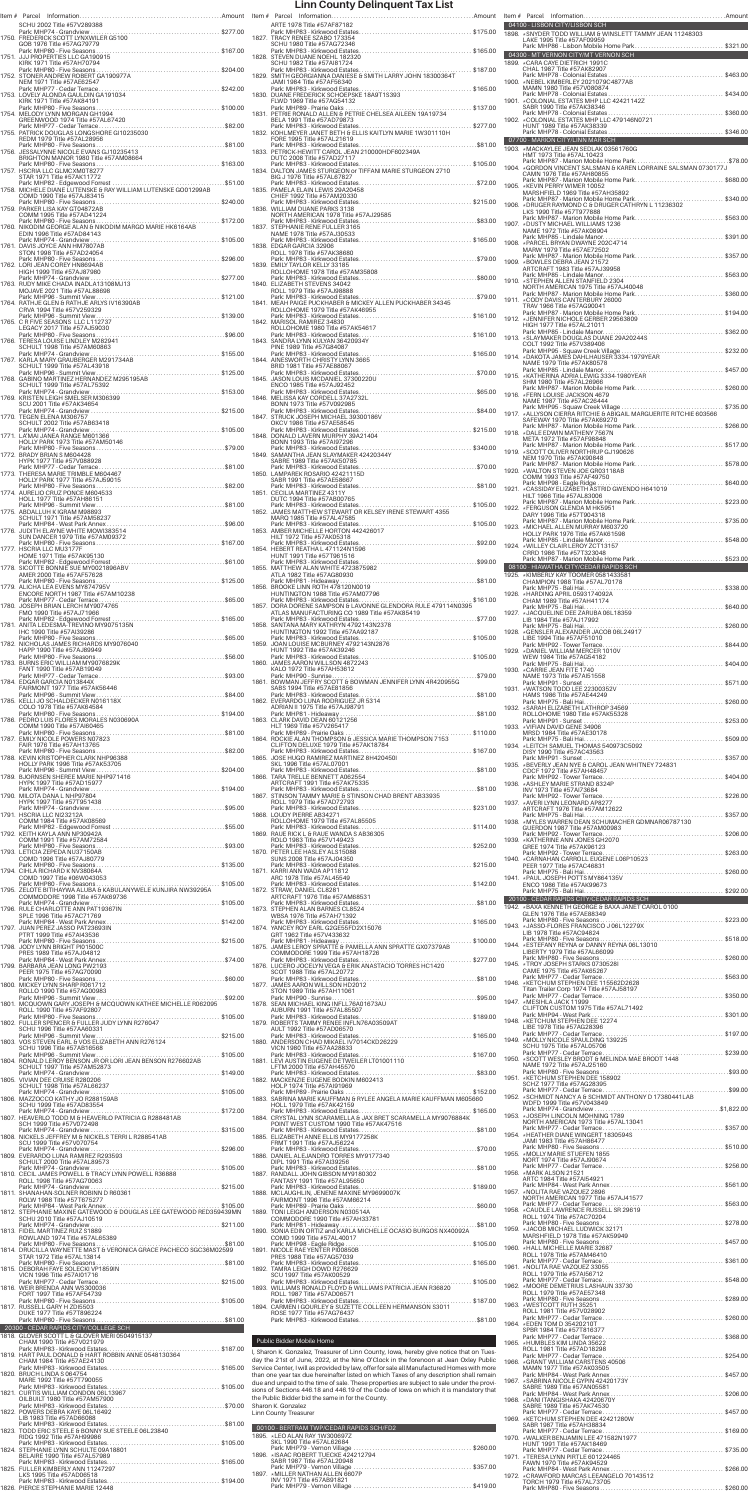| SCHU 2002 Title #57V289388                                                                                     |  | Item # Parcel Information.<br>ARTE 1978 Title #57AF                                |
|----------------------------------------------------------------------------------------------------------------|--|------------------------------------------------------------------------------------|
| 1750. FREDERICK SCOTT LYNXWILER G5100                                                                          |  | Park: MHP83 - Kirkwoo<br>1827. TRACY RENEE SZABO                                   |
| GOB 1976 Title #57AG79779<br>1751. JJJ PROPERTIES LLC GA190915                                                 |  | SCHU 1980 Title #57A<br>Park: MHP83 - Kirkwoo<br>1828. STEVEN DUANE NOEH           |
| KIRK 1971 Title #57AH70794                                                                                     |  | SCHU 1982 Title #57AI<br>Park: MHP83 - Kirkwoo                                     |
| 1752. STONER ANDREW ROBERT GA190977A<br>NEM 1971 Title #57AE62547                                              |  | 1829. SMITH GEORGIANNA D<br>JAMI 1984 Title #57AF                                  |
| 1753. LOVELY ALONDA GAULDIN GA191034                                                                           |  | Park: MHP83 - Kirkwoo<br>1830. DUANE FREDERICK SC                                  |
| KIRK 1971 Title #57AK84191<br>1754. MELODY LYNN MORGAN GH1994                                                  |  | FLWD 1969 Title #57A<br>Park: MHP89 - Prairie O<br>1831. PETRIE RONALD ALLEI       |
| GREENWOOD 1974 Title #57AL67420                                                                                |  | BELA 1991 Title #57AD<br>Park: MHP83 - Kirkwoo                                     |
| 1755. PATRICK DOUGLAS LONGSHORE GI10235030<br>REDM 1979 Title #57AL28956                                       |  | 1832. KOHLMEYER JANET BI<br>FORE 1995 Title #57AL                                  |
| Park: MHP80 - Five Seasons<br>1756. JESSALYNNE NICOLE EVANS GJ10235413<br>BRIGHTON MANOR 1980 Title #57AM08664 |  | Park: MHP83 - Kirkwoo<br>1833. PETRICK-HEWITT CAR<br>DUTC 2008 Title #57AI         |
| 1757. HSCRIA LLC GLMCXM0T8277                                                                                  |  | Park: MHP83 - Kirkwoo<br>1834. DALTON JAMES STUR                                   |
| STAR 1971 Title #57AK11772                                                                                     |  | BIG J 1976 Title #57AL<br>Park: MHP83 - Kirkwoo                                    |
| 1758. MICHELE DIANE LUTENSKE & RAY WILLIAM LUTENSKE GO01299AB<br>COMD 1990 Title #57AJ83415                    |  | 1835. PAMELA ELAIN LEWIS<br>CHIEF 1992 Title #57A<br>Park: MHP83 - Kirkwoo         |
| 1759. PARKER LISA KAY GT04872AB<br>COMM 1995 Title #57AD41224                                                  |  | 1836. WILLIAM DUANE PARK<br>NORTH AMERICAN 197                                     |
| 1760. NIKODIM GEORGE ALAN & NIKODIM MARGO MARIE HK6164AB                                                       |  | Park: MHP83 - Kirkwoo<br>1837. STEPHANIE RENE FUL                                  |
| EDIN 1996 Title #57AD84143<br>1761. DAVIS JOYCE ANN HM7807AB                                                   |  | NAME 1978 Title #57A<br>Park: MHP83 - Kirkwoo<br>1838. EDGAR GARCIA 32906          |
| STON 1998 Title #57AD24054                                                                                     |  | ROLL 1978 Title #57Ak<br>Park: MHP83 - Kirkwoo                                     |
| 1762. LORI JEAN COREY HN8694AB<br>HIGH 1999 Title #57AJ87980                                                   |  | 1839. EMILY TAYLOR KELLY 3<br>ROLLOHOME 1978 Titl                                  |
| 1763. RUDY MIKE CHADA INADLA13108MJ13<br>MOJAVE 2021 Title #57AL88698                                          |  | Park: MHP83 - Kirkwoo<br>1840. ELIZABETH STEVENS 3<br>ROLL 1979 Title #57AJ        |
| Park: MHP96 - Summit View<br>1764. RATHJE GLEN & RATHJE ARLYS IV16390AB                                        |  | Park: MHP83 - Kirkwoo<br>1841. MEAH PAIGE PUCKHAI                                  |
| CRVA 1994 Title #57V259329<br>Park: MHP96 - Summit View                                                        |  | ROLLOHOME 1979 Titl<br>Park: MHP83 - Kirkwoo                                       |
| 1765. C R FIVE SEASONS LLC L112737<br>LEGACY 2017 Title #57AJ59030                                             |  | 1842. MARISOL RAMIREZ 34<br>ROLLOHOME 1980 Titl<br>Park: MHP83 - Kirkwoo           |
| 1766. TERESA LOUISE LINDLEY M282941<br>SCHULT 1998 Title #57AM60863                                            |  | 1843. SANDRA LYNN KULYAN<br>PINE 1989 Title #57G8                                  |
| 1767. KARLA MARY GRAUBERGER M291734AB                                                                          |  | Park: MHP83 - Kirkwoo<br>1844. AINESWORTH CHRIST                                   |
| SCHULT 1999 Title #57AL43918<br>Park: MHP96 - Summit View<br>1768. GABINO MARTINEZ HERNANDEZ M295195AB         |  | BRID 1981 Title #57AE<br>Park: MHP83 - Kirkwoo<br>1845. JASON LOUIS MCDANI         |
| SCHULT 1999 Title #57AL75392                                                                                   |  | ENCO 1985 Title #57A<br>Park: MHP83 - Kirkwoo                                      |
| 1769. KRISTEN LEIGH SMELSER M306399<br>SCU 2001 Title #57AK34654                                               |  | 1846. MELISSA KAY CORDEL<br>BONN 1973 Title #57V                                   |
| 1770. TEGEN ELENA M306757<br>SCHULT 2002 Title #57AB63418                                                      |  | Park: MHP83 - Kirkwoo<br>1847. STRUCK JOSEPH MICH<br>OKCV 1986 Title #57AI         |
| 1771. LA'MAI JANEA RANGE M601366                                                                               |  | Park: MHP83 - Kirkwoo<br>1848. DONALD LAVERN MUF                                   |
| HOLLY PARK 1973 Title #57AM50146                                                                               |  | BONN 1993 Title #57A<br>Park: MHP83 - Kirkwoo                                      |
| 1772. BRADY BRIAN S M604428<br>HYPK 1977 Title #57V088928                                                      |  | 1849. SAMANTHA JEAN SLA<br>SABRE 1989 Title #57A<br>Park: MHP83 - Kirkwoo          |
| 1773. THERESA MARIE TRIMBLE M604467<br>HOLLY PARK 1977 Title #57AJ59015                                        |  | 1850. LAMPAREK ROSARIO 4<br>SABR 1991 Title #57AE                                  |
| 1774. AURELIO CRUZ PONCE M604533                                                                               |  | Park: MHP83 - Kirkwoo<br>1851. CECILIA MARTINEZ 43                                 |
| HOLL 1977 Title #57AH86151<br>1775. ABDALLUH K IGRAM M98893                                                    |  | DUTC 1994 Title #57AI<br>Park: MHP83 - Kirkwoo<br>1852. JAMES MATTHEW STE          |
| SCHULT 1971 Title #57AM58237                                                                                   |  | MARQ 1985 Title #57A<br>Park: MHP83 - Kirkwoo                                      |
| 1776. JUDITH ELAYNE WHITE MOWI383514<br>SUN DANCER 1979 Title #57AM09372                                       |  | 1853. AMBER MICHELLE HO<br>HILT 1972 Title #57AK<br>Park: MHP83 - Kirkwoo          |
| 1777. HSCRIA LLC MU3177F<br>HOME 1971 Title #57AK95130                                                         |  | 1854. HEBERT REATHA L 471<br>HUNT 1991 Title #57T9                                 |
| 1778. SICOTTE BONNIE SUE MY0021896ABV<br>AMER 2000 Title #57AF57628                                            |  | Park: MHP83 - Kirkwoo<br>1855. MATTHEW ALAN WHIT<br>ATLA 1982 Title #57AC          |
| 1779. ALICHA LEA EVENS MY874795V                                                                               |  | Park: MHP81 - Hideawa<br>1856. BROOKE LINN ROTH 4                                  |
| ENCORE NORTH 1987 Title #57AM10238                                                                             |  | HUNTINGTON 1988 Tit<br>Park: MHP83 - Kirkwoo                                       |
| 1780. JOSEPH BRIAN LERCH MY9074765<br>FMO 1990 Title #57AJ71966                                                |  | 1857. DORA DORENE SAMPS<br>ATLAS MANUFACTURI<br>Park: MHP83 - Kirkwoo              |
| 1781. ANITA LEDESMA-TREVINO MY9075135N<br>IHC 1990 Title #57AI39286                                            |  | 1858. SANTANA MARY KATH<br><b>HUNTINGTON 1992 Tit</b>                              |
| 1782. NICHOLAS JAMES RICHARDS MY9076040                                                                        |  | Park: MHP83 - Kirkwoo<br>1859. JOAN LOUISE MCBURI                                  |
| HAPP 1990 Title #57AJ89949<br>1783. BURNS ERIC WILLIAM MY9076829K                                              |  | HUNT 1992 Title #57AI<br>Park: MHP83 - Kirkwoo<br>1860. JAMES AARON WILLS          |
| FANT 1990 Title #57AB19049                                                                                     |  | KALO 1972 Title #57AH<br>Park: MHP90 - Sunrise.                                    |
| 1784. EDGAR GARCIA N013844X<br>FAIRMONT 1977 Title #57AK56446                                                  |  | 1861. BOWMAN JEFFRY SCC<br>SABS 1994 Title #57AE<br>Park: MHP83 - Kirkwoo          |
| 1785. KELLI JO SCHALDECKER N016118X<br>COLO 1978 Title #57AK64584                                              |  | 1862. EVERARDO LUNA ROD<br>ADRIAN II 1975 Title #5                                 |
| 1786. PEDRO LUIS FLORES MORALES N030690A                                                                       |  | Park: MHP81 - Hideawa<br>1863. CLARK DAVID DEAN 60                                 |
| COMM 1990 Title #57Al60465<br>Park: MHP80 - Five Seasons<br>1787. EMILY NICOLE POWERS N07823                   |  | HLT 1969 Title #57V26<br>Park: MHP89 - Prairie O<br>1864. ROCKIE ALAN THOMP!       |
| FAIR 1976 Title #57AH13765<br>Park: MHP80 - Five Seasons                                                       |  | CLIFTON DELUXE 197<br>Park: MHP83 - Kirkwoo                                        |
| 1788. KEVIN KRISTOPHER CLARK NHP96388<br>HOLLY PARK 1996 Title #57AK53705                                      |  | 1865. JOSE HUGO RAMIREZ<br>SKL 1996 Title #57AL0                                   |
| 1789. BJORNSEN SHEREE MARIE NHP971416<br>HYPK 1997 Title #57AD15977                                            |  | Park: MHP83 - Kirkwoo<br>1866. TARA TRELLE BENNET<br>ARTCRAFT 1991 Title #         |
| 1790. MILOTA DANA L NHP97804                                                                                   |  | Park: MHP83 - Kirkwoo<br>1867. STINSON TAMMY MAR                                   |
| HYPK 1997 Title #57T951438                                                                                     |  | ROLL 1979 Title #57AD<br>Park: MHP83 - Kirkwoo                                     |
| 1791. HSCRIA LLC NI23212A<br>COMM 1984 Title #57AK08569                                                        |  | 1868. LOUDY PIERRE AB3427<br>ROLLOHOME 1979 Titl<br>Park: MHP83 - Kirkwoo          |
| 1792. KEITH KAYLA ANN NP30942A<br>COMM 1991 Title #57AM72584                                                   |  | 1869. RAUE RICK L & RAUE W<br>ROLO 1983 Title #57V                                 |
| 1793. LETICIA ZEPEDA NU37150AB<br>COMD 1996 Title #57AJ80779                                                   |  | Park: MHP83 - Kirkwoo<br>1870. PETER LEE HASLEY AL<br><b>SUNS 2008 Title #57A.</b> |
| 1794. CIHLA RICHARD K NV38064A                                                                                 |  | Park: MHP83 - Kirkwoo<br>1871. KARRI ANN WADA AP1                                  |
| COMD 1997 Title #06W043053<br>Park: MHP80 - Five Seasons<br>. \$105.00                                         |  | ARC 1978 Title #57AL4<br>Park: MHP83 - Kirkwoo                                     |
| 1795. ZELOTE BITIHAYWA ALUBA & KABULANYWELE KUNJIRA NW39295A<br>COMMODORE 1998 Title #57AK69736                |  | 1872. STRAW, DANIEL CL828<br>ARTCRAFT 1976 Title #<br>Park: MHP83 - Kirkwoo        |
| 1796. RULE CHARLOTTE ANN PAT19367IN<br>SPLE 1996 Title #57AC71769                                              |  | 1873. STEPHEN ALAN BARNI<br>WBSA 1976 Title #57A                                   |
| 1797. JUAN PEREZ JASSO PAT23693IN<br>PTRT 1999 Title #57AI43536                                                |  | Park: MHP83 - Kirkwoo<br>1874. YANCEY ROY EARL G20                                 |
| 1798. JODY LYNN BRIGHT PI01500C                                                                                |  | GRT 1962 Title #57V43<br>Park: MHP81 - Hideawa<br>1875. JAMES LEROY SPRATT         |

|       | ------<br>PRES 1989 Title #57AJ04812                                                                         |  |
|-------|--------------------------------------------------------------------------------------------------------------|--|
|       | Park: MHP84 - West Park Annex.<br>1799. BARBARA JEAN LONG PW2193                                             |  |
|       | PEER 1975 Title #57AG70090                                                                                   |  |
|       | Park: MHP80 - Five Seasons                                                                                   |  |
|       | 1800. MICKEY LYNN SHARP R061712<br>ROLLO 1990 Title #57AG00983                                               |  |
|       | Park: MHP96 - Summit View<br>$$ \$92.00                                                                      |  |
| 1801. | MCQUOWN GARY JOSEPH & MCQUOWN KATHEE MICHELLE R062095                                                        |  |
|       | ROLL 1990 Title #57AF92807                                                                                   |  |
|       | Park: MHP80 - Five Seasons<br>. \$105.00<br>1802. FULLER SPENCER & FULLER JUDY LYNN R276047                  |  |
|       | SCHU 1996 Title #57AA60331                                                                                   |  |
|       | Park: MHP96 - Summit View.<br>\$215.00                                                                       |  |
| 1803. | VOS STEVEN EARL & VOS ELIZABETH ANN R276124<br>SCHU 1996 Title #57AB16568                                    |  |
|       | Park: MHP96 - Summit View.<br>$\ldots \ldots$ \$105.00                                                       |  |
| 1804. | RONALD LEROY BENSON JR OR LORI JEAN BENSON R276602AB                                                         |  |
|       | SCHULT 1997 Title #57AM52873<br>Park: MHP74 - Grandview                                                      |  |
|       | 1805. VIVIAN DEE CRUISE R280206                                                                              |  |
|       | SCHULT 1998 Title #57AL66237                                                                                 |  |
|       | Park: MHP74 - Grandview.<br>1806. MAZZOCCO KATHY JO R288159AB                                                |  |
|       | SCHU 1999 Title #57AD83554                                                                                   |  |
|       |                                                                                                              |  |
|       | SCH 1999 Title #57V072498                                                                                    |  |
|       | Park: MHP74 - Grandview<br>. \$315.00                                                                        |  |
|       | 1808. NICKELS JEFFREY M & NICKELS TERRI L R288541AB                                                          |  |
|       | SCU 1999 Title #57V070754<br>Park: MHP74 - Grandview                                                         |  |
| 1809. | EVERARDO LUNA RAMIREZ R293593                                                                                |  |
|       | SCHULT 2000 Title #57AL89573                                                                                 |  |
|       | $\cdots$ \$105.00                                                                                            |  |
|       | ROLL 1998 Title #57AG70063                                                                                   |  |
|       | Park: MHP74 - Grandview                                                                                      |  |
| 1811. | SHANAHAN-SOLNER ROBINN D R60361<br>ROLW 1988 Title #57T675277                                                |  |
|       | Park: MHP84 - West Park Annex<br>$.$ \$105.00                                                                |  |
| 1812. | STEPHANIE MAXINE GATEWOOD & DOUGLAS LEE GATEWOOD RED359439MN SCHU 2010 Title #57AJ10519                      |  |
|       | Park: MHP74 - Grandview                                                                                      |  |
|       | 1813. FIDEL MARTINEZ RUIZ S1889                                                                              |  |
|       | ROWLAND 1974 Title #57AL65389                                                                                |  |
|       | Park: MHP80 - Five Seasons.<br>.\$81.00<br>1814. DRUCILLA WAYNETTE MAST & VERONICA GRACE PACHECO SGC36M02599 |  |
|       | STAR 1972 Title #57AL13814                                                                                   |  |
|       | Park: MHP80 - Five Seasons.                                                                                  |  |
|       | 1815. DEBORAH FAYE SOLECKI VP1859IN<br>VICN 1996 Title #57AI01716                                            |  |
|       | Park: MHP77 - Cedar Terrace.                                                                                 |  |
|       | 1816. WEIR BRENDA ANN WS300036                                                                               |  |
|       | FORT 1997 Title #57AF54739<br>Park: MHP80 - Five Seasons                                                     |  |
|       | 1817. RUSSELL GARY H ZDI5503                                                                                 |  |
|       | DUKE 1977 Title #57T896224                                                                                   |  |
|       | Park: MHP80 - Five Seasons                                                                                   |  |
|       | 20300 - CEDAR RAPIDS CITY/COLLEGE SCH                                                                        |  |
|       | 1818. GLOVER SCOTT L & GLOVER MERI 0504915137<br>CHAM 1990 Title #57V021979                                  |  |
|       | Park: MHP83 - Kirkwood Estates<br>. \$187.00                                                                 |  |
|       | 1819. HART PAUL DONALD & HART ROBBIN ANNE 0548130364<br>CHAM 1984 Title #57AE24130                           |  |
|       |                                                                                                              |  |
|       | 1820. BRUCH LINDA S 064754                                                                                   |  |
|       | MARE 1992 Title #57T790055<br>Park: MHP83 - Kirkwood Estates                                                 |  |
|       | 1821. CURTIS WILLIAM CONDON 06L13967                                                                         |  |
|       | OILBUILT 1980 Title #57AM57900                                                                               |  |
|       | Park: MHP83 - Kirkwood Estates                                                                               |  |
|       | 1822. POWERS DEBRA KAYE 06L16492<br>LIB 1983 Title #57AD66088                                                |  |
|       | Park: MHP83 - Kirkwood Estates.                                                                              |  |
| 1823. | TODD ERIC STEELE & BONNY SUE STEELE 06L23840                                                                 |  |
|       | RIDG 1992 Title #57AH99986<br>Park: MHP83 - Kirkwood Estates                                                 |  |
|       | 1824. STEPHANIE LYNN SCHULTE 09A18801                                                                        |  |
|       | BELAIRE 1990 Title #57AL57989                                                                                |  |
| 1825. | Park: MHP83 - Kirkwood Estates.<br>FULLER KIMBERLY ANN 11247297                                              |  |
|       | LKS 1995 Title #57AD06518                                                                                    |  |
|       | Park: MHP83 - Kirkwood Estates.<br>PIERCE STEPHANIE MARIE 12448                                              |  |
| 1826. |                                                                                                              |  |

## Public Bidder Mobile Home

I, Sharon K. Gonzalez, Treasurer of Linn County, Iowa, hereby give notice that on Tues-<br>day the 21st of June, 2022, at the Nine O'Clock in the forenoon at Jean Oxley Public<br>Service Center, I will as provided by law, offer

|  | 00100 - BERTRAM TWP/CEDAR RAPIDS SCH/FD2 |  |
|--|------------------------------------------|--|
|  | 1895. *LEO ALAN RAY 1W300697Z            |  |
|  | SKL 1990 Title #57AL62684                |  |
|  |                                          |  |
|  | 1896. * ISAAC ROBERT TUECKE 424212794    |  |
|  | SABR 1987 Title #57AL20948               |  |
|  |                                          |  |
|  | 1897. * MILLER NATHAN ALLEN 6607P        |  |
|  | INV 1971 Title #57AB91821                |  |
|  |                                          |  |
|  |                                          |  |

| ARTE 1978 Title #57AF87182                                                                                                                                                                                                            |  | 04100 - LISBON CITY/LISBON SCH                                                                                                                                                                                                |  |
|---------------------------------------------------------------------------------------------------------------------------------------------------------------------------------------------------------------------------------------|--|-------------------------------------------------------------------------------------------------------------------------------------------------------------------------------------------------------------------------------|--|
| 1827. TRACY RENEE SZABO 173354<br>SCHU 1980 Title #57AG72346                                                                                                                                                                          |  | 1898. * SNYDER TODD WILLIAM & WINSLETT TAMMY JEAN 11248303<br>LAKE 1995 Title #57AF09959<br>Park: MHP86 - Lisbon Mobile Home Park\$321.00                                                                                     |  |
| 1828. STEVEN DUANE NOEHL 182320                                                                                                                                                                                                       |  | 04300 - MT VERNON CITY/MT VERNON SCH<br>1899. * CARA CAYE DIETRICH 1991C                                                                                                                                                      |  |
| SCHU 1982 Title #57AI81724                                                                                                                                                                                                            |  | CHAL 1987 Title #57AK82907                                                                                                                                                                                                    |  |
| JAMI 1984 Title #57AF56340                                                                                                                                                                                                            |  | 1900. * NEBEL KIMBERLEY 2021079C4877AB<br>MAMN 1980 Title #57V080874                                                                                                                                                          |  |
| FLWD 1969 Title #57AG54132                                                                                                                                                                                                            |  | SABR 1990 Title #57AK38346                                                                                                                                                                                                    |  |
| 1831. PETRIE RONALD ALLEN & PETRIE CHELSEA AILEEN 19A19734<br>BELA 1991 Title #57AD79873                                                                                                                                              |  |                                                                                                                                                                                                                               |  |
|                                                                                                                                                                                                                                       |  | HUNT 1989 Title #57AK38339                                                                                                                                                                                                    |  |
| FORE 1995 Title #57AL21619<br>1833. PETRICK-HEWITT CAROL JEAN 210000HDF602349A                                                                                                                                                        |  | 07700 - MARION CITY/LINN MAR SCH <b>ANDER SCHOOL</b><br>1903. * MACKAYLEE JEAN SEDLAK 03561760G                                                                                                                               |  |
| DUTC 2008 Title #57AD27117                                                                                                                                                                                                            |  | HMT 1973 Title #57AL10423                                                                                                                                                                                                     |  |
| BIG J 1976 Title #57AL67827                                                                                                                                                                                                           |  | CAMN 1976 Title #57AH80855<br>Park: MHP87 - Marion Mobile Home Park\$680.00                                                                                                                                                   |  |
| 1835. PAMELA ELAIN LEWIS 29A20458<br>CHIEF 1992 Title #57AM20330                                                                                                                                                                      |  | 1905. * KEVIN PERRY WIMER 10052<br>MARSHFIELD 1969 Title #57AH35892                                                                                                                                                           |  |
| 1836. WILLIAM DUANE PARKS 3138                                                                                                                                                                                                        |  | LKS 1990 Title #57T977888                                                                                                                                                                                                     |  |
| NORTH AMERICAN 1978 Title #57AJ29585<br>1837. STEPHANIE RENE FULLER 3165                                                                                                                                                              |  | 1907. * DUSTY MICHAEL WILLIAMS 1236                                                                                                                                                                                           |  |
| NAME 1978 Title #57AJ30533                                                                                                                                                                                                            |  | NAME 1972 Title #57AK08904                                                                                                                                                                                                    |  |
| 1838. EDGAR GARCIA 32906<br>ROLL 1978 Title #57AK38680<br>ROLL 1978 Title #57AK38680<br>Park: MHP83 - Kirkwood Estates……………………………………………\$79.00                                                                                        |  | MARW 1979 Title #57AE72502                                                                                                                                                                                                    |  |
| 1839. EMILY TAYLOR KELLY 33185                                                                                                                                                                                                        |  | 1909. * BOWLES DEBRA JEAN 21572                                                                                                                                                                                               |  |
| 1840. ELIZABETH STEVENS 34042                                                                                                                                                                                                         |  | 1910. * STEPHEN ALLEN STANFIELD 2304<br>NORTH AMERICAN 1975 Title #57AJ40048                                                                                                                                                  |  |
| ROLL 1979 Title #57AJ98888                                                                                                                                                                                                            |  | Park: MHP87 - Marion Mobile Home Park\$360.00<br>1911. * CODY DAVIS CANTERBURY 26000                                                                                                                                          |  |
|                                                                                                                                                                                                                                       |  | TRAV 1966 Title #57AG90041                                                                                                                                                                                                    |  |
| 1842. MARISOL RAMIREZ 34830                                                                                                                                                                                                           |  |                                                                                                                                                                                                                               |  |
| PINE 1989 Title #57G84087                                                                                                                                                                                                             |  | COLT 1992 Title #57V389406                                                                                                                                                                                                    |  |
|                                                                                                                                                                                                                                       |  |                                                                                                                                                                                                                               |  |
| BRID 1981 Title #57AE88067                                                                                                                                                                                                            |  |                                                                                                                                                                                                                               |  |
| ENCO 1985 Title #57AJ92452                                                                                                                                                                                                            |  | SHM 1980 Title #57AL26966                                                                                                                                                                                                     |  |
| 1846. MELISSA KAY CORDELL 37A2732L<br>BONN 1973 Title #57V092985                                                                                                                                                                      |  | 1916. * FERN LOUISE JACKSON 4679<br>NAME 1987 Title #57AC26444                                                                                                                                                                |  |
| OKCV 1986 Title #57AE58545                                                                                                                                                                                                            |  | SAFEWAY 1970 Title #57AK69270                                                                                                                                                                                                 |  |
|                                                                                                                                                                                                                                       |  | 1918. * DALE EDWIN MATHENY 7567N<br>META 1972 Title #57AF98848                                                                                                                                                                |  |
| BONN 1993 Title #57Al97296                                                                                                                                                                                                            |  |                                                                                                                                                                                                                               |  |
| SABRE 1989 Title #57AK50785                                                                                                                                                                                                           |  | NEM 1970 Title #57AK90848<br>1920. * WALTON STEVEN JOE GR03118AB                                                                                                                                                              |  |
| 1850. LAMPAREK ROSARIO 42421115D<br>SABR 1991 Title #57AE58667                                                                                                                                                                        |  | COMM 1993 Title #57AF49750                                                                                                                                                                                                    |  |
| 1851. CECILIA MARTINEZ 4311Y<br>DUTC 1994 Title #57AB00765                                                                                                                                                                            |  | 1921. * CASSIDAY ELIZABETH ASTRID GWENDO H641019<br>HILT 1966 Title #57AL83006                                                                                                                                                |  |
|                                                                                                                                                                                                                                       |  | Park: MHP87 - Marion Mobile Home Park\$223.00<br>1922. * FERGUSON GLENDA M HK5951<br>DARY 1996 Title #57T904318                                                                                                               |  |
| MARQ 1985 Title #57AL47585                                                                                                                                                                                                            |  | 1923. * MICHAEL ALLEN MURRAY M603720                                                                                                                                                                                          |  |
| HILT 1972 Title #57AK05318                                                                                                                                                                                                            |  | HOLLY PARK 1976 Title #57AK61598                                                                                                                                                                                              |  |
| 1854. HEBERT REATHA L 471124N1596<br>HUNT 1991 Title #57T961516                                                                                                                                                                       |  | 1924. * WILLEY CLAIR LEROY ZCT13157<br>CRRD 1986 Title #57T323048                                                                                                                                                             |  |
| ATLA 1982 Title #57AG80930                                                                                                                                                                                                            |  | 08100 - HIAWATHA CITY/CEDAR RAPIDS SCH<br>1925. * KIMBERLY KAY TOOMER 0581433581                                                                                                                                              |  |
| ATLA 1982 Title #57AG80930<br>1856. BROOKE LINN ROTH 478120N0019<br>HUNTINGTON 1988 Title #57AM07796<br>HUNTINGTON 1988 Title #57AM07796<br>Park: MHP83 - Kirkwood Estates<br>1857. DORA DORENE SAMPSON & LAVONNE GLENDORA RULE 47911 |  | CHAMPION 1988 Title #57AL70178                                                                                                                                                                                                |  |
|                                                                                                                                                                                                                                       |  | 1926. * HARDING APRIL 0593174092A<br>CHAM 1989 Title #57AH41174                                                                                                                                                               |  |
| ATLAS MANUFACTURING CO 1989 Title #57AK85419                                                                                                                                                                                          |  | LIB 1984 Title #57AJ17992                                                                                                                                                                                                     |  |
| 1858. SANTANA MARY KATHRYN 4792143N2378<br>HUNTINGTON 1992 Title #57AA92187                                                                                                                                                           |  |                                                                                                                                                                                                                               |  |
| HUNT 1992 Title #57AK39246                                                                                                                                                                                                            |  | LIBE 1994 Title #57AF51010<br>1929. * DANIEL WILLIAM MERCER 1010V                                                                                                                                                             |  |
| 1860. JAMES AARON WILLSON 4872243                                                                                                                                                                                                     |  | WEW 1984 Title #57AG54182                                                                                                                                                                                                     |  |
|                                                                                                                                                                                                                                       |  | 1930. * CARRIE JEAN FITE 1740<br>NAME 1973 Title #57Al51558                                                                                                                                                                   |  |
| SABS 1994 Title #57AE81856                                                                                                                                                                                                            |  | 1931. *WATSON TODD LEE 22300352V<br>HAMS 1986 Title #57AE44249                                                                                                                                                                |  |
|                                                                                                                                                                                                                                       |  | 1932. * SARAH ELIZABETH LATHROP 34569                                                                                                                                                                                         |  |
| 1863. CLARK DAVID DEAN 60121256<br>HLT 1969 Title #57V265417                                                                                                                                                                          |  | ROLLOHOME 1980 Title #57AK55328<br>1933. * VIFIAN DAVID GENE 34906                                                                                                                                                            |  |
|                                                                                                                                                                                                                                       |  | MRSD 1984 Title #57AE30178                                                                                                                                                                                                    |  |
|                                                                                                                                                                                                                                       |  | DISY 1990 Title #57AC43563                                                                                                                                                                                                    |  |
| SKL 1996 Title #57AL07001                                                                                                                                                                                                             |  | 1935. ∗BEVERLY JEAN NYE & CAROL JEAN WHITNEY 724831<br>CDCF 1972 Title #57AH48457                                                                                                                                             |  |
| 1866. TARA TRELLE BENNETT A062554                                                                                                                                                                                                     |  | 1936. * ASHLEY MARIE STRAND 8324P                                                                                                                                                                                             |  |
| ROLL 1979 Title #57AD72793                                                                                                                                                                                                            |  | INV 1973 Title #57AI73684<br>1937. * AVERI LYNN LEONARD AP8277                                                                                                                                                                |  |
| 1868. LOUDY PIERRE AB34271<br>ROLLOHOME 1979 Title #57AL85505                                                                                                                                                                         |  |                                                                                                                                                                                                                               |  |
|                                                                                                                                                                                                                                       |  |                                                                                                                                                                                                                               |  |
|                                                                                                                                                                                                                                       |  | 1938. * MYLES WARREN DEAN SCHUMACHER GDMNAR06787130<br>GUERDON 1987 Title #57AM00983                                                                                                                                          |  |
| 1869. RAUE RICK L & RAUE WANDA S AB36305<br>ROLO 1983 Title #57V149423                                                                                                                                                                |  | 1939. * KATHERINE ANN JONES GH2070<br>GREE 1974 Title #57AK96123                                                                                                                                                              |  |
| 1870. PETER LEE HASLEY ALS15088<br>SUNS 2008 Title #57AJ04350                                                                                                                                                                         |  |                                                                                                                                                                                                                               |  |
| 1871. KARRI ANN WADA AP11812<br>ARC 1978 Title #57AL45549                                                                                                                                                                             |  | PEER 1977 Title #57AC46831<br>1941. * PAUL JOSEPH POTTS MY864135V                                                                                                                                                             |  |
| 1872. STRAW, DANIEL CL8281                                                                                                                                                                                                            |  | ENCO 1986 Title #57AK99673                                                                                                                                                                                                    |  |
| ARTCRAFT 1976 Title #57AM68531                                                                                                                                                                                                        |  | 20100 - CEDAR RAPIDS CITY/CEDAR RAPIDS SCH<br>1942. * BAXA KENNETH GEORGE & BAXA JANET CAROL 0100                                                                                                                             |  |
| 1873. STEPHEN ALAN BARNES CL8524<br>WBSA 1976 Title #57AH71392                                                                                                                                                                        |  | GLEN 1976 Title #57AE88349                                                                                                                                                                                                    |  |
| GRT 1962 Title #57V433632                                                                                                                                                                                                             |  | 1943. *JASSO-FLORES FRANCISCO J 06L12279X<br>LIB 1978 Title #57AC94824                                                                                                                                                        |  |
| 1875. JAMES LEROY SPRATTÉ & PAMELLA ANN SPRATTE GX07379AB                                                                                                                                                                             |  | 1944. * ESTEFANY REYNA or DANNY REYNA 06L13010<br>LIBERTY 1979 Title #57AL66099                                                                                                                                               |  |
|                                                                                                                                                                                                                                       |  | 1945. * TROY JOSEPH STARKS 07305281                                                                                                                                                                                           |  |
| SCOT 1988 Title #57AL20772                                                                                                                                                                                                            |  | CAME 1975 Title #57AK65267                                                                                                                                                                                                    |  |
| STON 1989 Title #57AH11061                                                                                                                                                                                                            |  |                                                                                                                                                                                                                               |  |
| AUBURN 1991 Title #57AL85507                                                                                                                                                                                                          |  | 1947. * MESIHLA JACK 11999<br>CLIFTON CUSTOM 1975 Title #57AL71492                                                                                                                                                            |  |
| AULT 1992 Title #57AD06570                                                                                                                                                                                                            |  | 1948. * KETCHUM STEPHEN DEE 12274<br>LIBE 1978 Title #57AG28396                                                                                                                                                               |  |
|                                                                                                                                                                                                                                       |  | SCHU 1975 Title #57AL05706                                                                                                                                                                                                    |  |
| VICN 1980 Title #57AA28833                                                                                                                                                                                                            |  | SCHU 1975 Title #57AL05706<br>Park: MHP77 - Cedar Terrace…………………………………………………… \$239.00<br>1950.   *SCOTT WESLEY BRODT & MELINDA MAE BRODT 1448                                                                                |  |
| LFTM 2000 Title #57AH45570                                                                                                                                                                                                            |  |                                                                                                                                                                                                                               |  |
| HOLP 1974 Title #57AI91969                                                                                                                                                                                                            |  |                                                                                                                                                                                                                               |  |
| Park: MHP89 - Prairie Oaks<br>PAR: MHP89 - Prairie Oaks<br>1883. SABRINA MARIE KAUFFMAN & RYLEE ANGELA MARIE KAUFFMAN M605660<br>HOLL 1979 Title #57AK42159                                                                           |  |                                                                                                                                                                                                                               |  |
|                                                                                                                                                                                                                                       |  | 2007 2009 1110 #57V043849<br>Park: MHP74 - Grandview<br>1953. *JOSEPH LINCOLN MOHNING 1789<br>NORTH AMERICAN 1972 THL * "<br>NORTH AMERICAN 1973 Title #57AL13041                                                             |  |
|                                                                                                                                                                                                                                       |  |                                                                                                                                                                                                                               |  |
| FRMT 1991 Title #57AJ56224                                                                                                                                                                                                            |  |                                                                                                                                                                                                                               |  |
| Friivi I 1991 Tillu #97 AJJORDZ44<br>Park: MHP83 - Kirkwood Estates…………………………………………………\$70.00<br>1886. DANIEL ALEJANDRO TORRES MY9177340<br>DIPL 1991 Title #57AI39256                                                                |  | NORT 1974 Title #57AJ90674                                                                                                                                                                                                    |  |
| FANTASY 1991 Title #57AL95650                                                                                                                                                                                                         |  | 1956. * MARK ALSON 21521<br>ARTC 1984 Title #57AI54921                                                                                                                                                                        |  |
| FANTASY 1991 Title #57AL95650<br>Park: MHP83 - Kirkwood Estates………………………………………… \$189.00<br>1888. MCLAUGHLIN, JENENE MAXINE MY9699007K<br>FAIRMONT 1996 Title #57AM66214                                                              |  | 1957. * NOLITA RAE VAZQUEZ 2896<br>NORTH AMERICAN 1977 Title #57AJ41577                                                                                                                                                       |  |
| 1889. TONI LEIGH ANDERSON N030514A                                                                                                                                                                                                    |  |                                                                                                                                                                                                                               |  |
| COMMODORE 1990 Title #57AH33781                                                                                                                                                                                                       |  | ROLL 1974 Title #57AC70204                                                                                                                                                                                                    |  |
| COMD 1999 Title #57AL40017                                                                                                                                                                                                            |  | COLOGY CONTRACT CONTRACT CONTRACT CONTRACT CONTRACT CONTRACT NO SURFAINED DEVICE THE SURFAINING STRUCT DATA STRUCT DATA STRUCT DATA STRUCT DATA STRUCT DATA STRUCT DATA STRUCT DATA STRUCT DATA STRUCT DATA STRUCT DATA STRUC |  |
| PRES 1988 Title #57AG57039                                                                                                                                                                                                            |  | 1960. * HALL MICHELLE MARIE 32687<br>ROLL 1978 Title #57AM46410                                                                                                                                                               |  |
| 1892. TAMRA LEIGH DOWD R276629<br>SCU 1997 Title #57AK00529                                                                                                                                                                           |  | 1961. * NOLITA RAE VAZQUEZ 33055<br>ROLL 1979 Title #57AI56712                                                                                                                                                                |  |
|                                                                                                                                                                                                                                       |  |                                                                                                                                                                                                                               |  |
| ROLL 1987 Title #57AD06571<br>ROSE 1977 Title #57AG76437                                                                                                                                                                              |  | 1963. * WESTCOTT RUTH 35251<br>ROLL 1981 Title #57V028902                                                                                                                                                                     |  |

|       | 04100 - LISBON CITY/LISBON SCH                                                                                                     |  |
|-------|------------------------------------------------------------------------------------------------------------------------------------|--|
|       | 1898. * SNYDER TODD WILLIAM & WINSLETT TAMMY JEAN 11248303<br>LAKE 1995 Title #57AF09959                                           |  |
|       | 04300 - MT VERNON CITY/MT VERNON SCH<br>1899. * CARA CAYE DIETRICH 1991C                                                           |  |
|       | CHAL 1987 Title #57AK82907                                                                                                         |  |
|       | 1900. * NEBEL KIMBERLEY 2021079C4877AB<br>MAMN 1980 Title #57V080874                                                               |  |
|       | SABR 1990 Title #57AK38346                                                                                                         |  |
|       | HUNT 1989 Title #57AK38339                                                                                                         |  |
|       | 07700 - MARION CITY/LINN MAR SCH                                                                                                   |  |
|       | 1903. * MACKAYLEE JEAN SEDLAK 03561760G<br>HMT 1973 Title #57AL10423                                                               |  |
|       | CAMN 1976 Title #57AH80855<br>Park: MHP87 - Marion Mobile Home Park\$680.00                                                        |  |
| 1905. | *KEVIN PERRY WIMER 10052<br>MARSHFIELD 1969 Title #57AH35892                                                                       |  |
|       | Park: MHP87 - Marion Mobile Home Park\$340.00<br>1906. * DRUGER RAYMOND C & DRUGER CATHRYN L 11236302<br>LKS 1990 Title #57T977888 |  |
| 1907. | Park: MHP87 - Marion Mobile Home Park\$563.00<br>*DUSTY MICHAEL WILLIAMS 1236<br>NAME 1972 Title #57AK08904                        |  |
|       | Park: MHP85 - Lindale Manor<br>1908. * PARCEL BRYAN DWAYNE 202C4714                                                                |  |
|       | MARW 1979 Title #57AE72502<br>1909. * BOWLES DEBRA JEAN 21572                                                                      |  |
|       | ARTCRAFT 1983 Title #57AJ39958<br>Park: MHP85 - Lindale Manor<br>1910. * STEPHEN ALLEN STANFIELD 2304                              |  |
|       | NORTH AMERICAN 1975 Title #57AJ40048                                                                                               |  |
|       | 1911. * CODY DAVIS CANTERBURY 26000<br>TRAV 1966 Title #57AG90041<br>Park: MHP87 - Marion Mobile Home Park\$194.00                 |  |
|       | 1912. * JENNIFER NICHOLE GERBER 29563809<br>HIGH 1977 Title #57AL21011                                                             |  |
|       | COLT 1992 Title #57V389406                                                                                                         |  |
|       | NAME 1979 Title #57AK80578                                                                                                         |  |
| 1915. | Park: MHP85 - Lindale Manor<br>*KATHERINA ADRIA LEWIG 3334-1980YEAR<br>SHM 1980 Title #57AL26966                                   |  |
|       | Park: MHP87 - Marion Mobile Home Park\$260.00<br>1916. * FERN LOUISE JACKSON 4679                                                  |  |
| 1917. | NAME 1987 Title #57AC26444                                                                                                         |  |
| 1918. | SAFEWAY 1970 Title #57AK69270<br>Park: MHP87 - Marion Mobile Home Park\$266.00<br>*DALE EDWIN MATHENY 7567N                        |  |
|       | META 1972 Title #57AF98848<br>Park: MHP87 - Marion Mobile Home Park\$517.00                                                        |  |
|       | 1919. * SCOTT OLIVER NORTHRUP GJ190626<br>NEM 1970 Title #57AK90848<br>Park: MHP87 - Marion Mobile Home Park\$578.00               |  |
|       | 1920. * WALTON STEVEN JOE GR03118AB<br>COMM 1993 Title #57AF49750                                                                  |  |
|       | Park: MHP98 - Eagle Ridge<br>1921. *CASSIDAY ELIZABETH ASTRID GWENDO H641019<br>HILI 1966 Title #57AL83006                         |  |
| 1922. | *FERGUSON GLENDA M HK5951<br>DARY 1996 Title #57T904318                                                                            |  |
|       | Park: MHP87 - Marion Mobile Home Park\$735.00<br>1923. * MICHAEL ALLEN MURRAY M603720                                              |  |
|       | HOLLY PARK 1976 Title #57AK61598<br>Park: MHP85 - Lindale Manor<br>1924. * WILLEY CLAIR LEROY ZCT13157                             |  |
|       | CRRD 1986 Title #57T323048<br>08100 - HIAWATHA CITY/CEDAR RAPIDS SCH                                                               |  |
|       | 1925. * KIMBERLY KAY TOOMER 0581433581<br>CHAMPION 1988 Title #57AL70178                                                           |  |
|       | Park: MHP75 - Bali Hai<br>1926. * HARDING APRIL 0593174092A<br>CHAM 1989 Title #57AH41174                                          |  |
|       | Park: MHP75 - Bali Hai<br>1927. *JACQUELINE DEE ZARUBA 06L18359                                                                    |  |
|       | LIB 1984 Title #57AJ17992<br>Park: MHP75 - Bali Hai<br>1928. ∗GENSLER ALEXANDER JACOB 06L24917                                     |  |
|       | LIBE 1994 Title #57AF51010<br>Park: MHP92 - Tower Terrace<br>1929. * DANIEL WILLIAM MERCER 1010V                                   |  |
|       | WEW 1984 Title #57AG54182<br>Park: MHP75 - Bali Hai                                                                                |  |
|       | 1930. * CARRIE JEAN FITE 1740<br>NAME 1973 Title #57AI51558<br>Park: MHP91 - Sunset                                                |  |
|       | 1931. * WATSON TODD LEE 22300352V<br>HAMS 1986 Title #57AE44249<br>Park: MHP75 - Bali Hai                                          |  |
|       | 1932. * SARAH ELIZABETH LATHROP 34569<br>ROLLOHOME 1980 Title #57AK55328                                                           |  |
|       | Park: MHP91 - Sunset<br>1933. * VIFIAN DAVID GENE 34906<br>MRSD 1984 Title #57AE30178                                              |  |
|       | Park: MHP75 - Bali Hai<br>1934. * LEITCH SAMUEL THOMAS 540973C5092<br>DISY 1990 Title #57AC43563                                   |  |
|       | Park: MHP91 - Sunset<br>. \$357.00<br>1935. * BEVERLY JEAN NYE & CAROL JEAN WHITNEY 724831                                         |  |
|       | CDCF 1972 Title #57AH48457<br>Park: MHP92 - Tower Terrace<br>1936. * ASHLEY MARIE STRAND 8324P                                     |  |
|       | INV 1973 Title #57AI73684<br>Park: MHP92 - Tower Terrace<br>1937. * AVERI LYNN LEONARD AP8277                                      |  |
|       | ARTCRAFT 1976 Title #57AM12622<br>Park: MHP75 - Bali Hai                                                                           |  |
|       | 1938. * MYLES WARREN DEAN SCHUMACHER GDMNAR06787130<br>GUERDON 1987 Title #57AM00983<br>Park: MHP92 - Tower Terrace                |  |
|       | 1939. * KATHERINE ANN JONES GH2070<br>GREE 1974 Title #57AK96123<br>Park: MHP92 - Tower Terrace                                    |  |
|       | 1940. * CARNAHAN CARROLL EUGENE L06P10523<br>PEER 1977 Title #57AC46831                                                            |  |
|       | Park: MHP75 - Bali Hai<br>1941. * PAUL JOSEPH POTTS MY864135V<br>ENCO 1986 Title #57AK99673                                        |  |
|       | 20100 - CEDAR RAPIDS CITY/CEDAR RAPIDS SCH                                                                                         |  |
|       | 1942. * BAXA KENNETH GEORGE & BAXA JANET CAROL 0100<br>GLEN 1976 Title #57AE88349<br>Park: MHP80 - Five Seasons                    |  |
|       | 1943. *JASSO-FLORES FRANCISCO J 06L12279X<br>LIB 1978 Title #57AC94824                                                             |  |
|       | Park: MHP80 - Five Seasons<br>1944. * ESTEFANY REYNA or DANNY REYNA 06L13010<br>LIBERTY 1979 Title #57AL66099                      |  |

|       | ----<br>1979<br>$HUC$ $HJI$ and $HJI$<br>Park: MHP80 - Five Seasons.                                                                                          |  |
|-------|---------------------------------------------------------------------------------------------------------------------------------------------------------------|--|
|       | *TROY JOSEPH STARKS 0730528I                                                                                                                                  |  |
|       |                                                                                                                                                               |  |
|       |                                                                                                                                                               |  |
|       |                                                                                                                                                               |  |
|       | птап тганег согр тэ⁄д пте #57АЈ58197<br>Park: МНР77 - Cedar Terrace…………………………………………… \$350.00                                                                 |  |
|       | 1947. * MESIHLA JACK 11999                                                                                                                                    |  |
|       | CLIFTON CUSTOM 1975 Title #57AL71492                                                                                                                          |  |
|       | 1948. * KETCHUM STEPHEN DEE 12274                                                                                                                             |  |
|       |                                                                                                                                                               |  |
|       | LIBE 1978 Title #57AG28396<br>Park: MHP77 - Cedar Terrace<br>1949. *MOLLY NICOLE SPAULDING 139225                                                             |  |
|       |                                                                                                                                                               |  |
|       |                                                                                                                                                               |  |
|       |                                                                                                                                                               |  |
|       | NAME 1972 Title #57AJ25160                                                                                                                                    |  |
|       | Park: MHP80 - Five Seasons<br>1951. *KETCHUM STEPHEN DEE 158902                                                                                               |  |
|       |                                                                                                                                                               |  |
|       | SCHZ 1977 Title #57AG28395                                                                                                                                    |  |
|       |                                                                                                                                                               |  |
|       |                                                                                                                                                               |  |
|       | Park: MHP74 - Grandview.                                                                                                                                      |  |
| 1953. | *JOSEPH LINCOLN MOHNING 1789<br>NORTH AMERICAN 1973 Title #57AL13041                                                                                          |  |
|       |                                                                                                                                                               |  |
|       |                                                                                                                                                               |  |
|       | JAMI 1983 Title #57AH86477                                                                                                                                    |  |
| 1955. | Park: MHP80 - Five Seasons<br>*MOLLY MARIE STUEFEN 1855                                                                                                       |  |
|       | NORT 1974 Title #57AJ90674                                                                                                                                    |  |
|       |                                                                                                                                                               |  |
|       | 1956. * MARK ALSON 21521                                                                                                                                      |  |
|       | ARTC 1984 Title #57AI54921                                                                                                                                    |  |
|       | 1957. * NOLITA RAE VAZQUEZ 2896                                                                                                                               |  |
|       |                                                                                                                                                               |  |
|       |                                                                                                                                                               |  |
|       |                                                                                                                                                               |  |
|       |                                                                                                                                                               |  |
|       | الله بن السياسي المسير المسير بن بن بن بن بن المسير بن بن المسير بن بن المسير 1959.<br>1959. * JACOB MICHAEL LUDWICK 32171.<br>MARSHEIELD 1978 Tills #ETALETE |  |
|       |                                                                                                                                                               |  |
|       |                                                                                                                                                               |  |
|       |                                                                                                                                                               |  |
|       |                                                                                                                                                               |  |
| 1961. | *NOLITA RAE VAZQUEZ 33055                                                                                                                                     |  |
|       |                                                                                                                                                               |  |
|       |                                                                                                                                                               |  |
|       | ROLL 1979 Title #57AE57348                                                                                                                                    |  |
|       |                                                                                                                                                               |  |
|       |                                                                                                                                                               |  |
|       |                                                                                                                                                               |  |
|       | 1964. * EDEN TOM D 35420210T                                                                                                                                  |  |
|       |                                                                                                                                                               |  |
|       |                                                                                                                                                               |  |
|       | 1965. * HUMBLES KIM LINDA 35622                                                                                                                               |  |
|       | ROLL 1981 Title #57AD18298<br>Park: MHP77 - Cedar Terrace<br>1966. *GRANT WILLIAM CARSTENS 40506                                                              |  |
|       |                                                                                                                                                               |  |
|       | MAMN 1977 Title #57AK03505                                                                                                                                    |  |
|       |                                                                                                                                                               |  |
|       |                                                                                                                                                               |  |
|       |                                                                                                                                                               |  |
|       |                                                                                                                                                               |  |
|       |                                                                                                                                                               |  |
| 1969. |                                                                                                                                                               |  |
|       |                                                                                                                                                               |  |
|       |                                                                                                                                                               |  |
|       |                                                                                                                                                               |  |
|       | HUNT 1991 Title #57AK18469                                                                                                                                    |  |
| 1971. | Park: MHP77 - Cedar Terrace<br>*TERESA LYNN PIRTLE 601224465                                                                                                  |  |
|       | FAWN 1970 Title #57AK94529                                                                                                                                    |  |
|       | \$266.00<br>Park: MHP84 - West Park Annex.<br>1972. * CRAWFORD MARCAS LEEANGELO 70143512                                                                      |  |
|       | TORCH 1979 Title #57AL73705                                                                                                                                   |  |
|       |                                                                                                                                                               |  |
|       |                                                                                                                                                               |  |